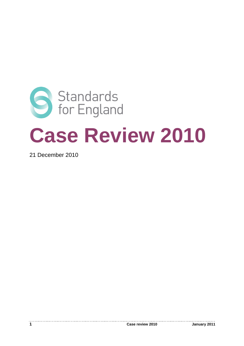

21 December 2010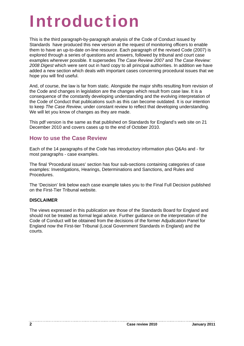# Introduction

This is the third paragraph-by-paragraph analysis of the Code of Conduct issued by Standards have produced this new version at the request of monitoring officers to enable them to have an up-to-date on-line resource. Each paragraph of the revised Code (2007) is explored through a series of questions and answers, followed by tribunal and court case examples wherever possible. It supersedes *The Case Review 2007* and *The Case Review: 2008 Digest* which were sent out in hard copy to all principal authorities. In addition we have added a new section which deals with important cases concerning procedural issues that we hope you will find useful.

And, of course, the law is far from static. Alongside the major shifts resulting from revision of the Code and changes in legislation are the changes which result from case law. It is a consequence of the constantly developing understanding and the evolving interpretation of the Code of Conduct that publications such as this can become outdated. It is our intention to keep *The Case Review*, under constant review to reflect that developing understanding. We will let you know of changes as they are made.

This pdf version is the same as that published on Standards for England's web site on 21 December 2010 and covers cases up to the end of October 2010.

# **How to use the Case Review**

Each of the 14 paragraphs of the Code has introductory information plus Q&As and - for most paragraphs - case examples.

The final 'Procedural issues' section has four sub-sections containing categories of case examples: Investigations, Hearings, Determinations and Sanctions, and Rules and Procedures.

The 'Decision' link below each case example takes you to the Final Full Decision published on the First-Tier Tribunal website.

#### **DISCLAIMER**

The views expressed in this publication are those of the Standards Board for England and should not be treated as formal legal advice. Further guidance on the interpretation of the Code of Conduct will be obtained from the decisions of the former Adjudication Panel for England now the First-tier Tribunal (Local Government Standards in England) and the courts.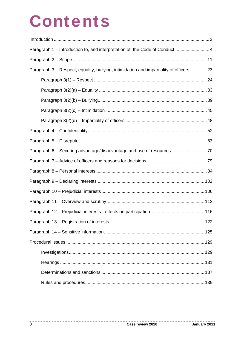# **Contents**

| Paragraph 1 – Introduction to, and interpretation of, the Code of Conduct  4           |  |
|----------------------------------------------------------------------------------------|--|
|                                                                                        |  |
| Paragraph 3 – Respect, equality, bullying, intimidation and impartiality of officers23 |  |
|                                                                                        |  |
|                                                                                        |  |
|                                                                                        |  |
|                                                                                        |  |
|                                                                                        |  |
|                                                                                        |  |
|                                                                                        |  |
|                                                                                        |  |
|                                                                                        |  |
|                                                                                        |  |
|                                                                                        |  |
|                                                                                        |  |
|                                                                                        |  |
|                                                                                        |  |
|                                                                                        |  |
|                                                                                        |  |
|                                                                                        |  |
|                                                                                        |  |
|                                                                                        |  |
|                                                                                        |  |
|                                                                                        |  |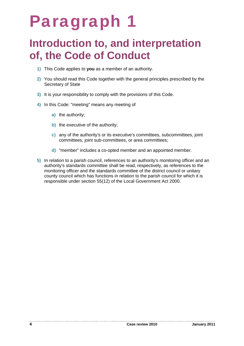# Paragraph 1

# **Introduction to, and interpretation of, the Code of Conduct**

- **1)** This Code applies to **you** as a member of an authority.
- **2)** You should read this Code together with the general principles prescribed by the Secretary of State
- **3)** It is your responsibility to comply with the provisions of this Code.
- **4)** In this Code: "meeting" means any meeting of
	- **a)** the authority;
	- **b)** the executive of the authority;
	- **c)** any of the authority's or its executive's committees, subcommittees, joint committees, joint sub-committees, or area committees;
	- **d)** "member" includes a co-opted member and an appointed member.
- **5)** In relation to a parish council, references to an authority's monitoring officer and an authority's standards committee shall be read, respectively, as references to the monitoring officer and the standards committee of the district council or unitary county council which has functions in relation to the parish council for which it is responsible under section 55(12) of the Local Government Act 2000.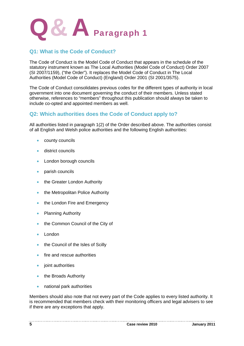

# **Q1: What is the Code of Conduct?**

The Code of Conduct is the Model Code of Conduct that appears in the schedule of the statutory instrument known as The Local Authorities (Model Code of Conduct) Order 2007 (SI 2007/1159), ("the Order"). It replaces the Model Code of Conduct in The Local Authorities (Model Code of Conduct) (England) Order 2001 (SI 2001/3575).

The Code of Conduct consolidates previous codes for the different types of authority in local government into one document governing the conduct of their members. Unless stated otherwise, references to "members" throughout this publication should always be taken to include co-opted and appointed members as well.

## **Q2: Which authorities does the Code of Conduct apply to?**

All authorities listed in paragraph 1(2) of the Order described above. The authorities consist of all English and Welsh police authorities and the following English authorities:

- county councils
- **district councils**
- London borough councils
- parish councils
- the Greater London Authority
- the Metropolitan Police Authority
- the London Fire and Emergency
- Planning Authority
- the Common Council of the City of
- London
- the Council of the Isles of Scilly
- fire and rescue authorities
- $\bullet$  joint authorities
- the Broads Authority
- national park authorities

Members should also note that not every part of the Code applies to every listed authority. It is recommended that members check with their monitoring officers and legal advisers to see if there are any exceptions that apply.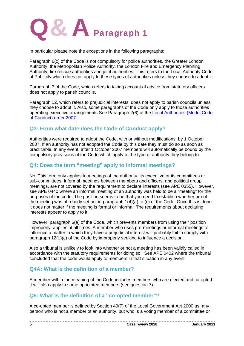

In particular please note the exceptions in the following paragraphs:

Paragraph 6(c) of the Code is not compulsory for police authorities, the Greater London Authority, the Metropolitan Police Authority, the London Fire and Emergency Planning Authority, fire rescue authorities and joint authorities. This refers to the Local Authority Code of Publicity which does not apply to these types of authorities unless they choose to adopt it.

Paragraph 7 of the Code, which refers to taking account of advice from statutory officers does not apply to parish councils.

Paragraph 12, which refers to prejudicial interests, does not apply to parish councils unless they choose to adopt it. Also, some paragraphs of the Code only apply to those authorities operating executive arrangements See Paragraph 2(6) of the Local Authorities (Model Code of Conduct) order 2007.

## **Q3: From what date does the Code of Conduct apply?**

Authorities were required to adopt the Code, with or without modifications, by 1 October 2007. If an authority has not adopted the Code by this date they must do so as soon as practicable. In any event, after 1 October 2007 members will automatically be bound by the compulsory provisions of the Code which apply to the type of authority they belong to.

## **Q4: Does the term "meeting" apply to informal meetings?**

No. This term only applies to meetings of the authority, its executive or its committees or sub-committees. Informal meetings between members and officers, and political group meetings, are not covered by the requirement to declare interests (see APE 0355). However, see APE 0440 where an informal meeting of an authority was held to be a "meeting" for the purposes of the code. The position seems to be that you need to establish whether or not the meeting was of a body set out in paragraph 1(4)(a) to (c) of the Code. Once this is done it does not matter if the meeting is formal or informal. The requirements about declaring interests appear to apply to it.

However, paragraph 6(a) of the Code, which prevents members from using their position improperly, applies at all times. A member who uses pre-meetings or informal meetings to influence a matter in which they have a prejudicial interest will probably fail to comply with paragraph 12(1)(c) of the Code by improperly seeking to influence a decision.

Also a tribunal is unlikely to look into whether or not a meeting has been validly called in accordance with the statutory requirements for doing so. See APE 0402 where the tribunal concluded that the code would apply to members in that situation in any event.

# **Q4A: What is the definition of a member?**

A member within the meaning of the Code includes members who are elected and co-opted. It will also apply to some appointed members (see question 7).

# **Q5: What is the definition of a "co-opted member"?**

-----------------------------

A co-opted member is defined by Section 49(7) of the Local Government Act 2000 as: any person who is not a member of an authority, but who is a voting member of a committee or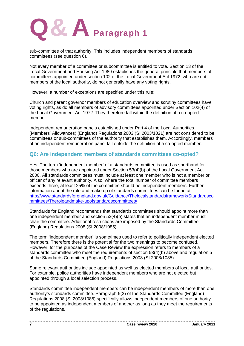

sub-committee of that authority. This includes independent members of standards committees (see question 6).

Not every member of a committee or subcommittee is entitled to vote. Section 13 of the Local Government and Housing Act 1989 establishes the general principle that members of committees appointed under section 102 of the Local Government Act 1972, who are not members of the local authority, do not generally have any voting rights.

However, a number of exceptions are specified under this rule:

Church and parent governor members of education overview and scrutiny committees have voting rights, as do all members of advisory committees appointed under Section 102(4) of the Local Government Act 1972. They therefore fall within the definition of a co-opted member.

Independent remuneration panels established under Part 4 of the Local Authorities (Members' Allowances) (England) Regulations 2003 (SI 2003/1021) are not considered to be committees or sub-committees of the authority that establishes them. Accordingly, members of an independent remuneration panel fall outside the definition of a co-opted member.

### **Q6: Are independent members of standards committees co-opted?**

Yes. The term 'independent member' of a standards committee is used as shorthand for those members who are appointed under Section 53(4)(b) of the Local Government Act 2000. All standards committees must include at least one member who is not a member or officer of any relevant authority. Also, where the total number of committee members exceeds three, at least 25% of the committee should be independent members. Further information about the role and make up of standards committees can be found at: http://www.standardsforengland.gov.uk/Guidance/Thelocalstandardsframework/Standardsco mmittees/Theroleandmake-upofstandardscommittees/

Standards for England recommends that standards committees should appoint more than one independent member and section 53(4)(b) states that an independent member must chair the committee. Additional restrictions are imposed by the Standards Committee (England) Regulations 2008 (SI 2008/1085).

The term 'independent member' is sometimes used to refer to politically independent elected members. Therefore there is the potential for the two meanings to become confused. However, for the purposes of the Case Review the expression refers to members of a standards committee who meet the requirements of section 53(4)(b) above and regulation 5 of the Standards Committee (England) Regulations 2008 (SI 2008/1085).

Some relevant authorities include appointed as well as elected members of local authorities. For example, police authorities have independent members who are not elected but appointed through a local selection process.

Standards committee independent members can be independent members of more than one authority's standards committee. Paragraph 5(3) of the Standards Committee (England) Regulations 2008 (SI 2008/1085) specifically allows independent members of one authority to be appointed as independent members of another as long as they meet the requirements of the regulations.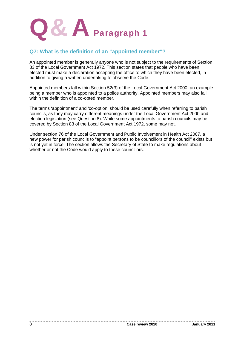

## **Q7: What is the definition of an "appointed member"?**

An appointed member is generally anyone who is not subject to the requirements of Section 83 of the Local Government Act 1972. This section states that people who have been elected must make a declaration accepting the office to which they have been elected, in addition to giving a written undertaking to observe the Code.

Appointed members fall within Section 52(3) of the Local Government Act 2000, an example being a member who is appointed to a police authority. Appointed members may also fall within the definition of a co-opted member.

The terms 'appointment' and 'co-option' should be used carefully when referring to parish councils, as they may carry different meanings under the Local Government Act 2000 and election legislation (see Question 8). While some appointments to parish councils may be covered by Section 83 of the Local Government Act 1972, some may not.

Under section 76 of the Local Government and Public Involvement in Health Act 2007, a new power for parish councils to "appoint persons to be councillors of the council" exists but is not yet in force. The section allows the Secretary of State to make regulations about whether or not the Code would apply to these councillors.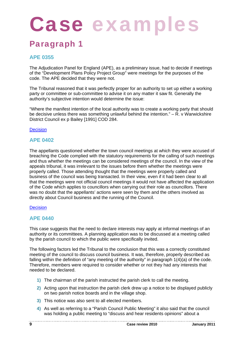# Case examples

# Paragraph 1

# **APE 0355**

The Adjudication Panel for England (APE), as a preliminary issue, had to decide if meetings of the "Development Plans Policy Project Group" were meetings for the purposes of the code. The APE decided that they were not.

The Tribunal reasoned that it was perfectly proper for an authority to set up either a working party or committee or sub-committee to advise it on any matter it saw fit. Generally the authority's subjective intention would determine the issue:

"Where the manifest intention of the local authority was to create a working party that should be decisive unless there was something unlawful behind the intention." – R. v Warwickshire District Council ex p Bailey [1991] COD 284.

#### Decision

#### **APE 0402**

The appellants questioned whether the town council meetings at which they were accused of breaching the Code complied with the statutory requirements for the calling of such meetings and thus whether the meetings can be considered meetings of the council. In the view of the appeals tribunal, it was irrelevant to the issues before them whether the meetings were properly called. Those attending thought that the meetings were properly called and business of the council was being transacted. In their view, even if it had been clear to all that the meetings were not official council meetings it would not have affected the application of the Code which applies to councillors when carrying out their role as councillors. There was no doubt that the appellants' actions were seen by them and the others involved as directly about Council business and the running of the Council.

#### **Decision**

## **APE 0440**

This case suggests that the need to declare interests may apply at informal meetings of an authority or its committees. A planning application was to be discussed at a meeting called by the parish council to which the public were specifically invited.

The following factors led the Tribunal to the conclusion that this was a correctly constituted meeting of the council to discuss council business. It was, therefore, properly described as falling within the definition of "any meeting of the authority" in paragraph 1(4)(a) of the code. Therefore, members were required to consider whether or not they had any interests that needed to be declared.

- **1)** The chairman of the parish instructed the parish clerk to call the meeting.
- **2)** Acting upon that instruction the parish clerk drew up a notice to be displayed publicly on two parish notice boards and in the village shop.
- **3)** This notice was also sent to all elected members.
- **4)** As well as referring to a "Parish Council Public Meeting" it also said that the council was holding a public meeting to "discuss and hear residents opinions" about a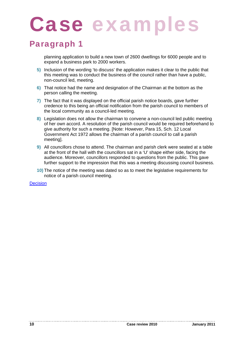# Paragraph 1

planning application to build a new town of 2600 dwellings for 6000 people and to expand a business park to 2000 workers.

- **5)** Inclusion of the wording 'to discuss' the application makes it clear to the public that this meeting was to conduct the business of the council rather than have a public, non-council led, meeting.
- **6)** That notice had the name and designation of the Chairman at the bottom as the person calling the meeting.
- **7)** The fact that it was displayed on the official parish notice boards, gave further credence to this being an official notification from the parish council to members of the local community as a council-led meeting.
- **8)** Legislation does not allow the chairman to convene a non-council led public meeting of her own accord. A resolution of the parish council would be required beforehand to give authority for such a meeting. [Note: However, Para 15, Sch. 12 Local Government Act 1972 allows the chairman of a parish council to call a parish meeting].
- **9)** All councillors chose to attend. The chairman and parish clerk were seated at a table at the front of the hall with the councillors sat in a 'U' shape either side, facing the audience. Moreover, councillors responded to questions from the public. This gave further support to the impression that this was a meeting discussing council business.
- **10)** The notice of the meeting was dated so as to meet the legislative requirements for notice of a parish council meeting.

**Decision**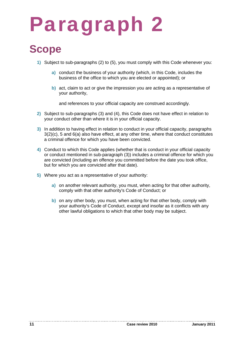# Paragraph 2

# **Scope**

- **1)** Subject to sub-paragraphs (2) to (5), you must comply with this Code whenever you:
	- **a)** conduct the business of your authority (which, in this Code, includes the business of the office to which you are elected or appointed); or
	- **b)** act, claim to act or give the impression you are acting as a representative of your authority,

and references to your official capacity are construed accordingly.

- **2)** Subject to sub-paragraphs (3) and (4), this Code does not have effect in relation to your conduct other than where it is in your official capacity.
- **3)** In addition to having effect in relation to conduct in your official capacity, paragraphs 3(2)(c), 5 and 6(a) also have effect, at any other time, where that conduct constitutes a criminal offence for which you have been convicted.
- **4)** Conduct to which this Code applies (whether that is conduct in your official capacity or conduct mentioned in sub-paragraph (3)) includes a criminal offence for which you are convicted (including an offence you committed before the date you took office, but for which you are convicted after that date).
- **5)** Where you act as a representative of your authority:
	- **a)** on another relevant authority, you must, when acting for that other authority, comply with that other authority's Code of Conduct; or
	- **b)** on any other body, you must, when acting for that other body, comply with your authority's Code of Conduct, except and insofar as it conflicts with any other lawful obligations to which that other body may be subject.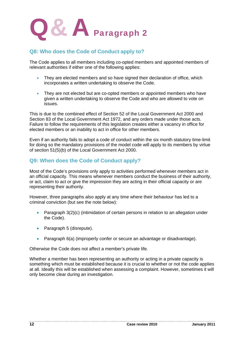

# **Q8: Who does the Code of Conduct apply to?**

The Code applies to all members including co-opted members and appointed members of relevant authorities if either one of the following applies:

- They are elected members and so have signed their declaration of office, which incorporates a written undertaking to observe the Code.
- They are not elected but are co-opted members or appointed members who have given a written undertaking to observe the Code and who are allowed to vote on issues.

This is due to the combined effect of Section 52 of the Local Government Act 2000 and Section 83 of the Local Government Act 1972, and any orders made under those acts. Failure to follow the requirements of this legislation creates either a vacancy in office for elected members or an inability to act in office for other members.

Even if an authority fails to adopt a code of conduct within the six month statutory time-limit for doing so the mandatory provisions of the model code will apply to its members by virtue of section 51(5)(b) of the Local Government Act 2000.

# **Q9: When does the Code of Conduct apply?**

Most of the Code's provisions only apply to activities performed whenever members act in an official capacity. This means whenever members conduct the business of their authority, or act, claim to act or give the impression they are acting in their official capacity or are representing their authority.

However, three paragraphs also apply at any time where their behaviour has led to a criminal conviction (but see the note below):

- Paragraph 3(2)(c) (intimidation of certain persons in relation to an allegation under the Code).
- Paragraph 5 (disrepute).
- Paragraph 6(a) (improperly confer or secure an advantage or disadvantage).

Otherwise the Code does not affect a member's private life.

Whether a member has been representing an authority or acting in a private capacity is something which must be established because it is crucial to whether or not the code applies at all. Ideally this will be established when assessing a complaint. However, sometimes it will only become clear during an investigation.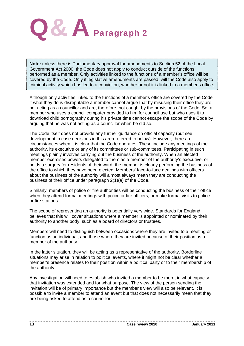

**Note:** unless there is Parliamentary approval for amendments to Section 52 of the Local Government Act 2000, the Code does not apply to conduct outside of the functions performed as a member. Only activities linked to the functions of a member's office will be covered by the Code. Only if legislative amendments are passed, will the Code also apply to criminal activity which has led to a conviction, whether or not it is linked to a member's office.

Although only activities linked to the functions of a member's office are covered by the Code if what they do is disreputable a member cannot argue that by misusing their office they are not acting as a councillor and are, therefore, not caught by the provisions of the Code. So, a member who uses a council computer provided to him for council use but who uses it to download child pornography during his private time cannot escape the scope of the Code by arguing that he was not acting as a councillor when he did so.

The Code itself does not provide any further guidance on official capacity (but see development in case decisions in this area referred to below). However, there are circumstances when it is clear that the Code operates. These include any meetings of the authority, its executive or any of its committees or sub-committees. Participating in such meetings plainly involves carrying out the business of the authority. When an elected member exercises powers delegated to them as a member of the authority's executive, or holds a surgery for residents of their ward, the member is clearly performing the business of the office to which they have been elected. Members' face-to-face dealings with officers about the business of the authority will almost always mean they are conducting the business of their office under paragraph 2(1)(a) of the Code.

Similarly, members of police or fire authorities will be conducting the business of their office when they attend formal meetings with police or fire officers, or make formal visits to police or fire stations.

The scope of representing an authority is potentially very wide. Standards for England believes that this will cover situations where a member is appointed or nominated by their authority to another body, such as a board of directors or trustees.

Members will need to distinguish between occasions where they are invited to a meeting or function as an individual, and those where they are invited because of their position as a member of the authority.

In the latter situation, they will be acting as a representative of the authority. Borderline situations may arise in relation to political events, where it might not be clear whether a member's presence relates to their position within a political party or to their membership of the authority.

Any investigation will need to establish who invited a member to be there, in what capacity that invitation was extended and for what purpose. The view of the person sending the invitation will be of primary importance but the member's view will also be relevant. It is possible to invite a member to attend an event but that does not necessarily mean that they are being asked to attend as a councillor.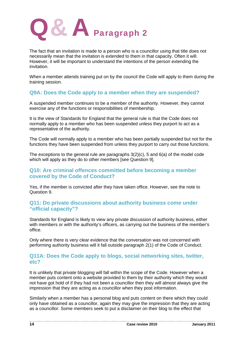

The fact that an invitation is made to a person who is a councillor using that title does not necessarily mean that the invitation is extended to them in that capacity. Often it will. However, it will be important to understand the intentions of the person extending the invitation.

When a member attends training put on by the council the Code will apply to them during the training session.

## **Q9A: Does the Code apply to a member when they are suspended?**

A suspended member continues to be a member of the authority. However, they cannot exercise any of the functions or responsibilities of membership.

It is the view of Standards for England that the general rule is that the Code does not normally apply to a member who has been suspended unless they purport to act as a representative of the authority.

The Code will normally apply to a member who has been partially suspended but not for the functions they have been suspended from unless they purport to carry out those functions.

The exceptions to the general rule are paragraphs  $3(2)(c)$ , 5 and  $6(a)$  of the model code which will apply as they do to other members [see Question 9].

#### **Q10: Are criminal offences committed before becoming a member covered by the Code of Conduct?**

Yes, if the member is convicted after they have taken office. However, see the note to Question 9.

### **Q11: Do private discussions about authority business come under "official capacity"?**

Standards for England is likely to view any private discussion of authority business, either with members or with the authority's officers, as carrying out the business of the member's office.

Only where there is very clear evidence that the conversation was not concerned with performing authority business will it fall outside paragraph 2(1) of the Code of Conduct.

### **Q11A: Does the Code apply to blogs, social networking sites, twitter, etc?**

It is unlikely that private blogging will fall within the scope of the Code. However when a member puts content onto a website provided to them by their authority which they would not have got hold of if they had not been a councillor then they will almost always give the impression that they are acting as a councillor when they post information.

Similarly when a member has a personal blog and puts content on there which they could only have obtained as a councillor, again they may give the impression that they are acting as a councillor. Some members seek to put a disclaimer on their blog to the effect that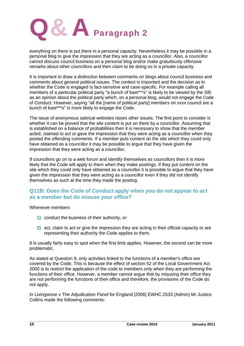

everything on there is put there in a personal capacity. Nevertheless it may be possible in a personal blog to give the impression that they are acting as a councillor. Also, a councillor cannot discuss council business on a personal blog and/or make gratuitously offensive remarks about other councillors and then claim to be doing so in a private capacity.

It is important to draw a distinction between comments on blogs about council business and comments about general political issues. The context is important and the decision as to whether the Code is engaged is fact-sensitive and case-specific. For example calling all members of a particular political party "a bunch of bast\*\*\*s" is likely to be viewed by the SfE as an opinion about the political party which, on a personal blog, would not engage the Code of Conduct. However, saying "all the [name of political party] members on xxxx council are a bunch of bast\*\*\*s" is more likely to engage the Code.

The issue of anonymous satirical websites raises other issues. The first point to consider is whether it can be proved that the site content is put on there by a councillor. Assuming that is established on a balance of probabilities then it is necessary to show that the member acted, claimed to act or gave the impression that they were acting as a councillor when they posted the offending comments. If a member puts content on the site which they could only have obtained as a councillor it may be possible to argue that they have given the impression that they were acting as a councillor.

If councillors go on to a web forum and identify themselves as councillors then it is more likely that the Code will apply to them when they make postings. If they put content on the site which they could only have obtained as a councillor it is possible to argue that they have given the impression that they were acting as a councillor even if they did not identify themselves as such at the time they made the posting.

## **Q11B: Does the Code of Conduct apply when you do not appear to act as a member but do misuse your office?**

Whenever members

- **1)** conduct the business of their authority, or
- **2)** act, claim to act or give the impression they are acting in their official capacity or are representing their authority the Code applies to them.

It is usually fairly easy to spot when the first limb applies. However, the second can be more problematic.

As stated at Question 9, only activities linked to the functions of a member's office are covered by the Code. This is because the effect of section 52 of the Local Government Act 2000 is to restrict the application of the code to members only when they are performing the functions of their office. However, a member cannot argue that by misusing their office they are not performing the functions of their office and therefore, the provisions of the Code do not apply.

In Livingstone v The Adjudication Panel for England [2006] EWHC 2533 (Admin) Mr Justice Collins made the following comments: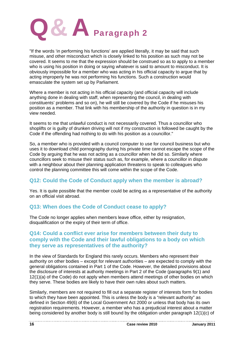

"If the words 'in performing his functions' are applied literally, it may be said that such misuse, and other misconduct which is closely linked to his position as such may not be covered. It seems to me that the expression should be construed so as to apply to a member who is using his position in doing or saying whatever is said to amount to misconduct. It is obviously impossible for a member who was acting in his official capacity to argue that by acting improperly he was not performing his functions. Such a construction would emasculate the system set up by Parliament.

Where a member is not acting in his official capacity (and official capacity will include anything done in dealing with staff, when representing the council, in dealing with constituents' problems and so on), he will still be covered by the Code if he misuses his position as a member. That link with his membership of the authority in question is in my view needed.

It seems to me that unlawful conduct is not necessarily covered. Thus a councillor who shoplifts or is guilty of drunken driving will not if my construction is followed be caught by the Code if the offending had nothing to do with his position as a councillor."

So, a member who is provided with a council computer to use for council business but who uses it to download child pornography during his private time cannot escape the scope of the Code by arguing that he was not acting as a councillor when he did so. Similarly where councillors seek to misuse their status such as, for example, where a councillor in dispute with a neighbour about their planning application threatens to speak to colleagues who control the planning committee this will come within the scope of the Code.

# **Q12: Could the Code of Conduct apply when the member is abroad?**

Yes. It is quite possible that the member could be acting as a representative of the authority on an official visit abroad.

## **Q13: When does the Code of Conduct cease to apply?**

The Code no longer applies when members leave office, either by resignation, disqualification or the expiry of their term of office.

### **Q14: Could a conflict ever arise for members between their duty to comply with the Code and their lawful obligations to a body on which they serve as representatives of the authority?**

In the view of Standards for England this rarely occurs. Members who represent their authority on other bodies – except for relevant authorities – are expected to comply with the general obligations contained in Part 1 of the Code. However, the detailed provisions about the disclosure of interests at authority meetings in Part 2 of the Code (paragraphs 9(1) and 12(1)(a) of the Code) do not apply when members attend meetings of other bodies on which they serve. These bodies are likely to have their own rules about such matters.

Similarly, members are not required to fill out a separate register of interests form for bodies to which they have been appointed. This is unless the body is a "relevant authority" as defined in Section 49(6) of the Local Government Act 2000 or unless that body has its own registration requirements. However, a member who has a prejudicial interest about a matter being considered by another body is still bound by the obligation under paragraph 12(1)(c) of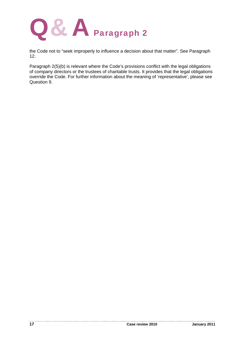

the Code not to "seek improperly to influence a decision about that matter". See Paragraph 12.

Paragraph 2(5)(b) is relevant where the Code's provisions conflict with the legal obligations of company directors or the trustees of charitable trusts. It provides that the legal obligations override the Code. For further information about the meaning of 'representative', please see Question 9.

. . . . . . . . .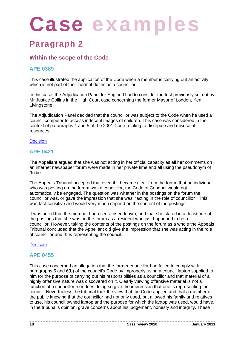# Case examples

# Paragraph 2

# **Within the scope of the Code**

# **APE 0389**

This case illustrated the application of the Code when a member is carrying out an activity, which is not part of their normal duties as a councillor.

In this case, the Adjudication Panel for England had to consider the test previously set out by Mr Justice Collins in the High Court case concerning the former Mayor of London, Ken Livingstone.

The Adjudication Panel decided that the councillor was subject to the Code when he used a council computer to access indecent images of children. This case was considered in the context of paragraphs 4 and 5 of the 2001 Code relating to disrepute and misuse of resources.

#### **Decision**

## **APE 0421**

The Appellant argued that she was not acting in her official capacity as all her comments on an internet newspaper forum were made in her private time and all using the pseudonym of "Indie".

The Appeals Tribunal accepted that even if it became clear from the forum that an individual who was posting on the forum was a councillor, the Code of Conduct would not automatically be engaged. The question was whether in the postings on the forum the councillor was, or gave the impression that she was, "acting in the role of councillor". This was fact-sensitive and would very much depend on the content of the postings.

It was noted that the member had used a pseudonym, and that she stated in at least one of the postings that she was on the forum as a resident who just happened to be a councillor. However, taking the contents of the postings on the forum as a whole the Appeals Tribunal concluded that the Appellant did give the impression that she was acting in the role of councillor and thus representing the council.

#### **Decision**

## **APE 0455**

This case concerned an allegation that the former councillor had failed to comply with paragraphs 5 and 6(b) of the council's Code by improperly using a council laptop supplied to him for the purpose of carrying out his responsibilities as a councillor and that material of a highly offensive nature was discovered on it. Clearly viewing offensive material is not a function of a councillor, nor does doing so give the impression that one is representing the council. Nevertheless the tribunal took the view that the Code applied and that a member of the public knowing that the councillor had not only used, but allowed his family and relatives to use, his council owned laptop and the purpose for which the laptop was used, would have, in the tribunal's opinion, grave concerns about his judgement, honesty and integrity. These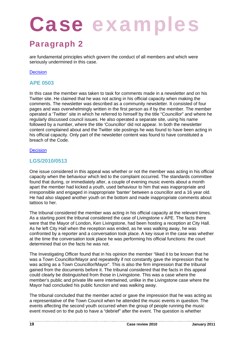# Paragraph 2

are fundamental principles which govern the conduct of all members and which were seriously undermined in this case.

#### **Decision**

### **APE 0503**

In this case the member was taken to task for comments made in a newsletter and on his Twitter site. He claimed that he was not acting in his official capacity when making the comments. The newsletter was described as a community newsletter. It consisted of four pages and was overwhelmingly written in the first person as if by the member. The member operated a 'Twitter' site in which he referred to himself by the title "Councillor" and where he regularly discussed council issues. He also operated a separate site, using his name followed by a number, where the title 'Councillor' did not appear. In both the newsletter content complained about and the Twitter site postings he was found to have been acting in his official capacity. Only part of the newsletter content was found to have constituted a breach of the Code.

#### **Decision**

## **LGS/2010/0513**

One issue considered in this appeal was whether or not the member was acting in his official capacity when the behaviour which led to the complaint occurred. The standards committee found that during, or immediately after, a couple of evening music events about a month apart the member had kicked a youth, used behaviour to him that was inappropriate and irresponsible and engaged in inappropriate 'banter' between a councillor and a 16 year old. He had also slapped another youth on the bottom and made inappropriate comments about tattoos to her.

The tribunal considered the member was acting in his official capacity at the relevant times. As a starting point the tribunal considered the case of Livingstone v APE. The facts there were that the Mayor of London, Ken Livingstone, had been hosting a reception at City Hall. As he left City Hall when the reception was ended, as he was walking away, he was confronted by a reporter and a conversation took place. A key issue in the case was whether at the time the conversation took place he was performing his official functions: the court determined that on the facts he was not.

The Investigating Officer found that in his opinion the member "liked it to be known that he was a Town Councillor/Mayor and repeatedly if not constantly gave the impression that he was acting as a Town Councillor/Mayor". This is also the firm impression that the tribunal gained from the documents before it. The tribunal considered that the facts in this appeal could clearly be distinguished from those in Livingstone. This was a case where the member's public and private life were intertwined, unlike in the Livingstone case where the Mayor had concluded his public function and was walking away.

The tribunal concluded that the member acted or gave the impression that he was acting as a representative of the Town Council when he attended the music events in question. The events affecting the second youth occurred when the group of people running the music event moved on to the pub to have a "debrief" after the event. The question is whether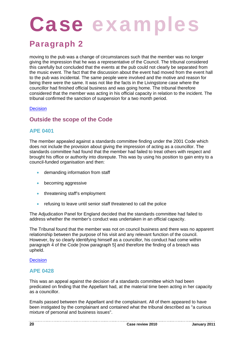# Paragraph 2

moving to the pub was a change of circumstances such that the member was no longer giving the impression that he was a representative of the Council. The tribunal considered this carefully but concluded that the events at the pub could not clearly be separated from the music event. The fact that the discussion about the event had moved from the event hall to the pub was incidental. The same people were involved and the motive and reason for being there were the same. It was not like the facts in the Livingstone case where the councillor had finished official business and was going home. The tribunal therefore considered that the member was acting in his official capacity in relation to the incident. The tribunal confirmed the sanction of suspension for a two month period.

#### **Decision**

# **Outside the scope of the Code**

## **APE 0401**

The member appealed against a standards committee finding under the 2001 Code which does not include the provision about giving the impression of acting as a councillor. The standards committee had found that the member had failed to treat others with respect and brought his office or authority into disrepute. This was by using his position to gain entry to a council-funded organisation and then:

- **•** demanding information from staff
- **•** becoming aggressive
- threatening staff's employment
- refusing to leave until senior staff threatened to call the police

The Adjudication Panel for England decided that the standards committee had failed to address whether the member's conduct was undertaken in an official capacity.

The Tribunal found that the member was not on council business and there was no apparent relationship between the purpose of his visit and any relevant function of the council. However, by so clearly identifying himself as a councillor, his conduct had come within paragraph 4 of the Code [now paragraph 5] and therefore the finding of a breach was upheld.

#### **Decision**

#### **APE 0428**

This was an appeal against the decision of a standards committee which had been predicated on finding that the Appellant had, at the material time been acting in her capacity as a councillor.

Emails passed between the Appellant and the complainant. All of them appeared to have been instigated by the complainant and contained what the tribunal described as "a curious mixture of personal and business issues".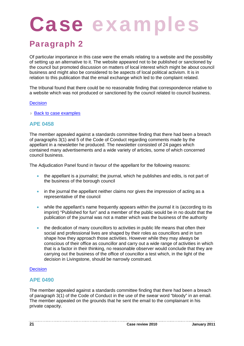# Paragraph 2

Of particular importance in this case were the emails relating to a website and the possibility of setting up an alternative to it. The website appeared not to be published or sanctioned by the council but promoted discussion on matters of local interest which might be about council business and might also be considered to be aspects of local political activism. It is in relation to this publication that the email exchange which led to the complaint related.

The tribunal found that there could be no reasonable finding that correspondence relative to a website which was not produced or sanctioned by the council related to council business.

#### **Decision**

**▶ Back to case examples** 

#### **APE 0458**

The member appealed against a standards committee finding that there had been a breach of paragraphs 3(1) and 5 of the Code of Conduct regarding comments made by the appellant in a newsletter he produced. The newsletter consisted of 24 pages which contained many advertisements and a wide variety of articles, some of which concerned council business.

The Adjudication Panel found in favour of the appellant for the following reasons:

- the appellant is a journalist; the journal, which he publishes and edits, is not part of the business of the borough council
- in the journal the appellant neither claims nor gives the impression of acting as a representative of the council
- while the appellant's name frequently appears within the journal it is (according to its imprint) "Published for fun" and a member of the public would be in no doubt that the publication of the journal was not a matter which was the business of the authority
- the dedication of many councillors to activities in public life means that often their social and professional lives are shaped by their roles as councillors and in turn shape how they approach those activities. However while they may always be conscious of their office as councillor and carry out a wide range of activities in which that is a factor in their thinking, no reasonable observer would conclude that they are carrying out the business of the office of councillor a test which, in the light of the decision in Livingstone, should be narrowly construed.

#### **Decision**

#### **APE 0490**

The member appealed against a standards committee finding that there had been a breach of paragraph 3(1) of the Code of Conduct in the use of the swear word "bloody" in an email. The member appealed on the grounds that he sent the email to the complainant in his private capacity.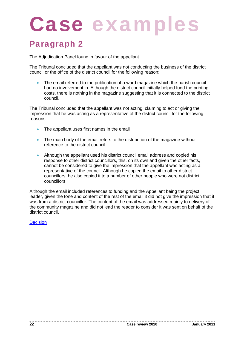# Paragraph 2

The Adjudication Panel found in favour of the appellant.

The Tribunal concluded that the appellant was not conducting the business of the district council or the office of the district council for the following reason:

 The email referred to the publication of a ward magazine which the parish council had no involvement in. Although the district council initially helped fund the printing costs, there is nothing in the magazine suggesting that it is connected to the district council.

The Tribunal concluded that the appellant was not acting, claiming to act or giving the impression that he was acting as a representative of the district council for the following reasons:

- The appellant uses first names in the email
- The main body of the email refers to the distribution of the magazine without reference to the district council
- Although the appellant used his district council email address and copied his response to other district councillors, this, on its own and given the other facts, cannot be considered to give the impression that the appellant was acting as a representative of the council. Although he copied the email to other district councillors, he also copied it to a number of other people who were not district councillors

Although the email included references to funding and the Appellant being the project leader, given the tone and content of the rest of the email it did not give the impression that it was from a district councillor. The content of the email was addressed mainly to delivery of the community magazine and did not lead the reader to consider it was sent on behalf of the district council.

**Decision**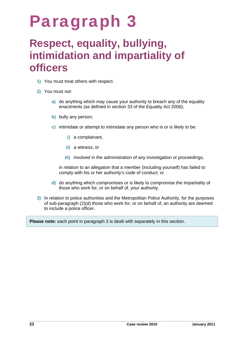# Paragraph 3

# **Respect, equality, bullying, intimidation and impartiality of officers**

- **1)** You must treat others with respect.
- **2)** You must not:
	- **a)** do anything which may cause your authority to breach any of the equality enactments (as defined in section 33 of the Equality Act 2006);
	- **b)** bully any person;
	- **c)** intimidate or attempt to intimidate any person who is or is likely to be:
		- **i)** a complainant,
		- **ii)** a witness, or
		- **iii)** involved in the administration of any investigation or proceedings,

in relation to an allegation that a member (including yourself) has failed to comply with his or her authority's code of conduct; or

- **d)** do anything which compromises or is likely to compromise the impartiality of those who work for, or on behalf of, your authority.
- **3)** In relation to police authorities and the Metropolitan Police Authority, for the purposes of sub-paragraph (2)(d) those who work for, or on behalf of, an authority are deemed to include a police officer.

**Please note:** each point in paragraph 3 is dealt with separately in this section.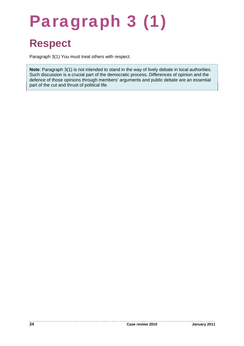# Paragraph 3 (1)

# **Respect**

Paragraph 3(1) You must treat others with respect.

**Note**: Paragraph 3(1) is not intended to stand in the way of lively debate in local authorities. Such discussion is a crucial part of the democratic process. Differences of opinion and the defence of those opinions through members' arguments and public debate are an essential part of the cut and thrust of political life.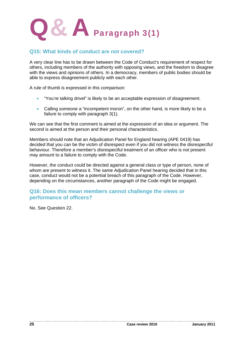

## **Q15: What kinds of conduct are not covered?**

A very clear line has to be drawn between the Code of Conduct's requirement of respect for others, including members of the authority with opposing views, and the freedom to disagree with the views and opinions of others. In a democracy, members of public bodies should be able to express disagreement publicly with each other.

A rule of thumb is expressed in this comparison:

- "You're talking drivel" is likely to be an acceptable expression of disagreement.
- Calling someone a "incompetent moron", on the other hand, is more likely to be a failure to comply with paragraph 3(1).

We can see that the first comment is aimed at the expression of an idea or argument. The second is aimed at the person and their personal characteristics.

Members should note that an Adjudication Panel for England hearing (APE 0419) has decided that you can be the victim of disrespect even if you did not witness the disrespectful behaviour. Therefore a member's disrespectful treatment of an officer who is not present may amount to a failure to comply with the Code.

However, the conduct could be directed against a general class or type of person, none of whom are present to witness it. The same Adjudication Panel hearing decided that in this case, conduct would not be a potential breach of this paragraph of the Code. However, depending on the circumstances, another paragraph of the Code might be engaged.

### **Q16: Does this mean members cannot challenge the views or performance of officers?**

No. See Question 22.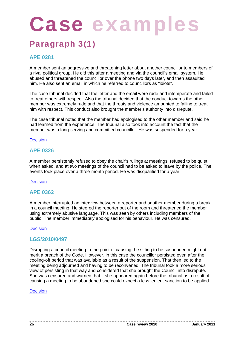# Paragraph 3(1)

# **APE 0281**

A member sent an aggressive and threatening letter about another councillor to members of a rival political group. He did this after a meeting and via the council's email system. He abused and threatened the councillor over the phone two days later, and then assaulted him. He also sent an email in which he referred to councillors as "idiots".

The case tribunal decided that the letter and the email were rude and intemperate and failed to treat others with respect. Also the tribunal decided that the conduct towards the other member was extremely rude and that the threats and violence amounted to failing to treat him with respect. This conduct also brought the member's authority into disrepute.

The case tribunal noted that the member had apologised to the other member and said he had learned from the experience. The tribunal also took into account the fact that the member was a long-serving and committed councillor. He was suspended for a year.

#### **Decision**

### **APE 0326**

A member persistently refused to obey the chair's rulings at meetings, refused to be quiet when asked, and at two meetings of the council had to be asked to leave by the police. The events took place over a three-month period. He was disqualified for a year.

#### **Decision**

#### **APE 0362**

A member interrupted an interview between a reporter and another member during a break in a council meeting. He steered the reporter out of the room and threatened the member using extremely abusive language. This was seen by others including members of the public. The member immediately apologised for his behaviour. He was censured.

#### **Decision**

#### **LGS/2010/0497**

Disrupting a council meeting to the point of causing the sitting to be suspended might not merit a breach of the Code. However, in this case the councillor persisted even after the cooling-off period that was available as a result of the suspension. That then led to the meeting being adjourned and having to be reconvened. The tribunal took a more serious view of persisting in that way and considered that she brought the Council into disrepute. She was censured and warned that if she appeared again before the tribunal as a result of causing a meeting to be abandoned she could expect a less lenient sanction to be applied.

#### **Decision**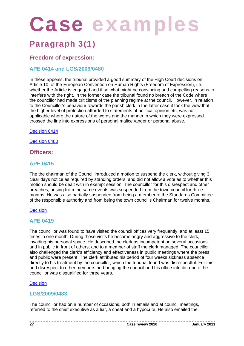# Case examples

# Paragraph 3(1)

# **Freedom of expression:**

# **APE 0414 and LGS/2009/0480**

In these appeals, the tribunal provided a good summary of the High Court decisions on Article 10 of the European Convention on Human Rights (Freedom of Expression), i.e. whether the Article is engaged and if so what might be convincing and compelling reasons to interfere with the right. In the former case the tribunal found no breach of the Code where the councillor had made criticisms of the planning regime at the council. However, in relation to the Councillor's behaviour towards the parish clerk in the latter case it took the view that the higher level of protection afforded to statements of political opinion etc, was not applicable where the nature of the words and the manner in which they were expressed crossed the line into expressions of personal malice /anger or personal abuse.

Decision 0414

Decision 0480

## **Officers:**

## **APE 0415**

The the chairman of the Council introduced a motion to suspend the clerk, without giving 3 clear days notice as required by standing orders, and did not allow a vote as to whether this motion should be dealt with in exempt session. The councillor for this disrespect and other breaches, arising from the same events was suspended from the town council for three months. He was also partially suspended from being a member of the Standards Committee of the responsible authority and from being the town council's Chairman for twelve months.

#### Decision

## **APE 0419**

The councillor was found to have visited the council offices very frequently and at least 15 times in one month. During those visits he became angry and aggressive to the clerk, invading his personal space. He described the clerk as incompetent on several occasions and in public in front of others, and to a member of staff the clerk managed. The councillor also challenged the clerk's efficiency and effectiveness in public meetings where the press and public were present. The clerk attributed his period of four weeks sickness absence directly to his treatment by the councillor, which the tribunal found was disrespectful. For this and disrespect to other members and bringing the council and his office into disrepute the councillor was disqualified for three years.

#### **Decision**

## **LGS/2009/0483**

The councillor had on a number of occasions, both in emails and at council meetings, referred to the chief executive as a liar, a cheat and a hypocrite. He also emailed the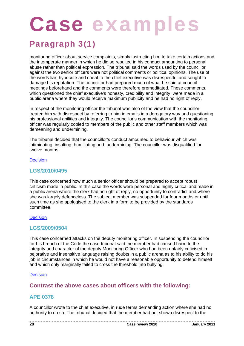# Paragraph 3(1)

monitoring officer about service complaints, simply instructing him to take certain actions and the intemperate manner in which he did so resulted in his conduct amounting to personal abuse rather than political expression. The tribunal said the words used by the councillor against the two senior officers were not political comments or political opinions. The use of the words liar, hypocrite and cheat to the chief executive was disrespectful and sought to damage his reputation. The councillor had prepared much of what he said at council meetings beforehand and the comments were therefore premeditated. These comments, which questioned the chief executive's honesty, credibility and integrity, were made in a public arena where they would receive maximum publicity and he had no right of reply.

In respect of the monitoring officer the tribunal was also of the view that the councillor treated him with disrespect by referring to him in emails in a derogatory way and questioning his professional abilities and integrity. The councillor's communication with the monitoring officer was regularly copied to members of the public and other staff members which was demeaning and undermining.

The tribunal decided that the councillor's conduct amounted to behaviour which was intimidating, insulting, humiliating and undermining. The councillor was disqualified for twelve months.

#### **Decision**

## **LGS/2010/0495**

This case concerned how much a senior officer should be prepared to accept robust criticism made in public. In this case the words were personal and highly critical and made in a public arena where the clerk had no right of reply, no opportunity to contradict and where she was largely defenceless. The subject member was suspended for four months or until such time as she apologised to the clerk in a form to be provided by the standards committee.

#### **Decision**

## **LGS/2009/0504**

This case concerned attacks on the deputy monitoring officer. In suspending the councillor for his breach of the Code the case tribunal said the member had caused harm to the integrity and character of the deputy Monitoring Officer who had been unfairly criticised in pejorative and insensitive language raising doubts in a public arena as to his ability to do his job in circumstances in which he would not have a reasonable opportunity to defend himself and which only marginally failed to cross the threshold into bullying.

#### **Decision**

# **Contrast the above cases about officers with the following:**

## **APE 0378**

A councillor wrote to the chief executive, in rude terms demanding action where she had no authority to do so. The tribunal decided that the member had not shown disrespect to the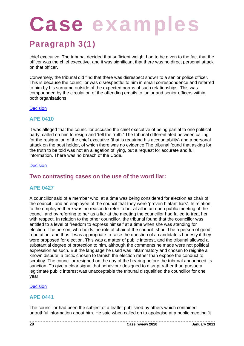# Paragraph 3(1)

chief executive. The tribunal decided that sufficient weight had to be given to the fact that the officer was the chief executive, and it was significant that there was no direct personal attack on that officer.

Conversely, the tribunal did find that there was disrespect shown to a senior police officer. This is because the councillor was disrespectful to him in email correspondence and referred to him by his surname outside of the expected norms of such relationships. This was compounded by the circulation of the offending emails to junior and senior officers within both organisations.

#### **Decision**

## **APE 0410**

It was alleged that the councillor accused the chief executive of being partial to one political party, called on him to resign and 'tell the truth.' The tribunal differentiated between calling for the resignation of the chief executive (that is requiring his accountability) and a personal attack on the post holder, of which there was no evidence The tribunal found that asking for the truth to be told was not an allegation of lying, but a request for accurate and full information. There was no breach of the Code.

#### **Decision**

# **Two contrasting cases on the use of the word liar:**

## **APE 0427**

A councillor said of a member who, at a time was being considered for election as chair of the council , and an employee of the council that they were 'proven blatant liars'. In relation to the employee there was no reason to refer to her at all in an open public meeting of the council and by referring to her as a liar at the meeting the councillor had failed to treat her with respect. In relation to the other councillor, the tribunal found that the councillor was entitled to a level of freedom to express himself at a time when she was standing for election. The person, who holds the role of chair of the council, should be a person of good reputation, and thus it was appropriate to raise the question of a candidate's honesty if they were proposed for election. This was a matter of public interest, and the tribunal allowed a substantial degree of protection to him, although the comments he made were not political expression as such. But the language he used was inflammatory and chosen to reignite a known dispute; a tactic chosen to tarnish the election rather than expose the conduct to scrutiny. The councillor resigned on the day of the hearing before the tribunal announced its sanction. To give a clear signal that behaviour designed to disrupt rather than pursue a legitimate public interest was unacceptable the tribunal disqualified the councillor for one year.

#### **Decision**

## **APE 0441**

The councillor had been the subject of a leaflet published by others which contained untruthful information about him. He said when called on to apologise at a public meeting 'it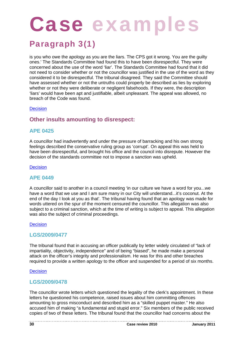# Paragraph 3(1)

is you who owe the apology as you are the liars. The CPS got it wrong. You are the guilty ones.' The Standards Committee had found this to have been disrespectful. They were concerned about the use of the word 'liar'. The Standards Committee had found that it did not need to consider whether or not the councillor was justified in the use of the word as they considered it to be disrespectful. The tribunal disagreed. They said the Committee should have assessed whether or not the untruths could properly be described as lies by exploring whether or not they were deliberate or negligent falsehoods. If they were, the description 'liars' would have been apt and justifiable, albeit unpleasant. The appeal was allowed, no breach of the Code was found.

#### **Decision**

# **Other insults amounting to disrespect:**

### **APE 0425**

A councillor had inadvertently and under the pressure of barracking and his own strong feelings described the conservative ruling group as 'corrupt'. On appeal this was held to have been disrespectful, and brought his office and the council into disrepute. However the decision of the standards committee not to impose a sanction was upheld.

#### **Decision**

#### **APE 0449**

A councillor said to another in a council meeting 'in our culture we have a word for you...we have a word that we use and I am sure many in our City will understand...it's coconut. At the end of the day I look at you as that'. The tribunal having found that an apology was made for words uttered on the spur of the moment censured the councillor. This allegation was also subject to a criminal sanction, which at the time of writing is subject to appeal. This allegation was also the subject of criminal proceedings.

#### **Decision**

## **LGS/2009/0477**

The tribunal found that in accusing an officer publically by letter widely circulated of "lack of impartiality, objectivity, independence" and of being "biased", he made make a personal attack on the officer's integrity and professionalism. He was for this and other breaches required to provide a written apology to the officer and suspended for a period of six months.

#### **Decision**

## **LGS/2009/0478**

The councillor wrote letters which questioned the legality of the clerk's appointment. In these letters he questioned his competence, raised issues about him committing offences amounting to gross misconduct and described him as a "skilled puppet master." He also accused him of making "a fundamental and stupid error." Six members of the public received copies of two of these letters. The tribunal found that the councillor had concerns about the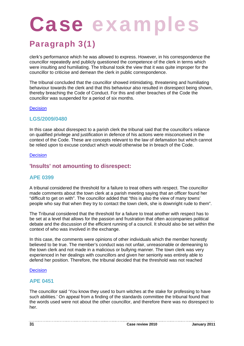# Paragraph 3(1)

clerk's performance which he was allowed to express. However, in his correspondence the councillor repeatedly and publicly questioned the competence of the clerk in terms which were insulting and humiliating. The tribunal took the view that it was quite improper for the councillor to criticise and demean the clerk in public correspondence.

The tribunal concluded that the councillor showed intimidating, threatening and humiliating behaviour towards the clerk and that this behaviour also resulted in disrespect being shown, thereby breaching the Code of Conduct. For this and other breaches of the Code the councillor was suspended for a period of six months.

#### **Decision**

### **LGS/2009/0480**

In this case about disrespect to a parish clerk the tribunal said that the councillor's reliance on qualified privilege and justification in defence of his actions were misconceived in the context of the Code. These are concepts relevant to the law of defamation but which cannot be relied upon to excuse conduct which would otherwise be in breach of the Code.

#### **Decision**

## **'Insults' not amounting to disrespect:**

## **APE 0399**

A tribunal considered the threshold for a failure to treat others with respect. The councillor made comments about the town clerk at a parish meeting saying that an officer found her "difficult to get on with". The councillor added that "this is also the view of many towns' people who say that when they try to contact the town clerk, she is downright rude to them".

The Tribunal considered that the threshold for a failure to treat another with respect has to be set at a level that allows for the passion and frustration that often accompanies political debate and the discussion of the efficient running of a council. It should also be set within the context of who was involved in the exchange.

In this case, the comments were opinions of other individuals which the member honestly believed to be true. The member's conduct was not unfair, unreasonable or demeaning to the town clerk and not made in a malicious or bullying manner. The town clerk was very experienced in her dealings with councillors and given her seniority was entirely able to defend her position. Therefore, the tribunal decided that the threshold was not reached

#### **Decision**

#### **APE 0451**

The councillor said 'You know they used to burn witches at the stake for professing to have such abilities.' On appeal from a finding of the standards committee the tribunal found that the words used were not about the other councillor, and therefore there was no disrespect to her.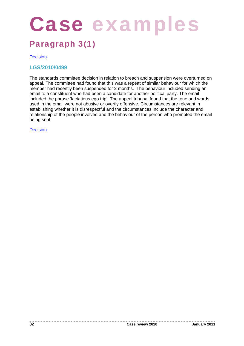# Case examples

# Paragraph 3(1)

#### **Decision**

### **LGS/2010/0499**

The standards committee decision in relation to breach and suspension were overturned on appeal. The committee had found that this was a repeat of similar behaviour for which the member had recently been suspended for 2 months. The behaviour included sending an email to a constituent who had been a candidate for another political party. The email included the phrase 'lactatious ego trip'. The appeal tribunal found that the tone and words used in the email were not abusive or overtly offensive. Circumstances are relevant in establishing whether it is disrespectful and the circumstances include the character and relationship of the people involved and the behaviour of the person who prompted the email being sent.

**Decision**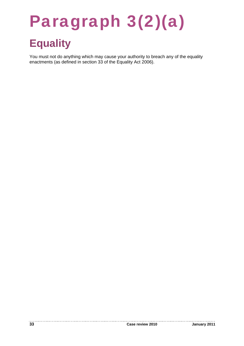# Paragraph 3(2)(a)

# **Equality**

You must not do anything which may cause your authority to breach any of the equality enactments (as defined in section 33 of the Equality Act 2006).

----------

--------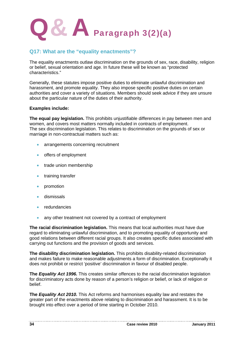

# **Q17: What are the "equality enactments"?**

The equality enactments outlaw discrimination on the grounds of sex, race, disability, religion or belief, sexual orientation and age. In future these will be known as "protected characteristics."

Generally, these statutes impose positive duties to eliminate unlawful discrimination and harassment, and promote equality. They also impose specific positive duties on certain authorities and cover a variety of situations. Members should seek advice if they are unsure about the particular nature of the duties of their authority.

#### **Examples include:**

**The equal pay legislation.** This prohibits unjustifiable differences in pay between men and women, and covers most matters normally included in contracts of employment. The sex discrimination legislation. This relates to discrimination on the grounds of sex or marriage in non-contractual matters such as:

- **arrangements concerning recruitment**
- offers of employment
- **•** trade union membership
- **•** training transfer
- promotion
- dismissals
- redundancies
- any other treatment not covered by a contract of employment

**The racial discrimination legislation.** This means that local authorities must have due regard to eliminating unlawful discrimination, and to promoting equality of opportunity and good relations between different racial groups. It also creates specific duties associated with carrying out functions and the provision of goods and services.

**The disability discrimination legislation.** This prohibits disability-related discrimination and makes failure to make reasonable adjustments a form of discrimination. Exceptionally it does not prohibit or restrict 'positive' discrimination in favour of disabled people.

**The** *Equality Act 1996.* This creates similar offences to the racial discrimination legislation for discriminatory acts done by reason of a person's religion or belief, or lack of religion or belief.

**The** *Equality Act 2010.* This Act reforms and harmonises equality law and restates the greater part of the enactments above relating to discrimination and harassment. It is to be brought into effect over a period of time starting in October 2010.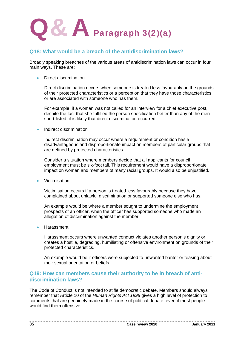

## **Q18: What would be a breach of the antidiscrimination laws?**

Broadly speaking breaches of the various areas of antidiscrimination laws can occur in four main ways. These are:

Direct discrimination

Direct discrimination occurs when someone is treated less favourably on the grounds of their protected characteristics or a perception that they have those characteristics or are associated with someone who has them.

For example, if a woman was not called for an interview for a chief executive post, despite the fact that she fulfilled the person specification better than any of the men short-listed, it is likely that direct discrimination occurred.

Indirect discrimination

Indirect discrimination may occur where a requirement or condition has a disadvantageous and disproportionate impact on members of particular groups that are defined by protected characteristics.

Consider a situation where members decide that all applicants for council employment must be six-foot tall. This requirement would have a disproportionate impact on women and members of many racial groups. It would also be unjustified.

Victimisation

Victimisation occurs if a person is treated less favourably because they have complained about unlawful discrimination or supported someone else who has.

An example would be where a member sought to undermine the employment prospects of an officer, when the officer has supported someone who made an allegation of discrimination against the member.

Harassment

Harassment occurs where unwanted conduct violates another person's dignity or creates a hostile, degrading, humiliating or offensive environment on grounds of their protected characteristics.

An example would be if officers were subjected to unwanted banter or teasing about their sexual orientation or beliefs.

## **Q19: How can members cause their authority to be in breach of antidiscrimination laws?**

The Code of Conduct is not intended to stifle democratic debate. Members should always remember that Article 10 of the *Human Rights Act 1998* gives a high level of protection to comments that are genuinely made in the course of political debate, even if most people would find them offensive.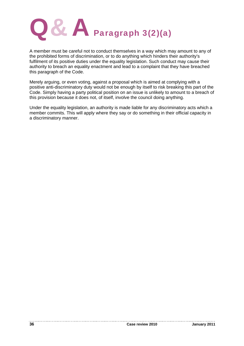

A member must be careful not to conduct themselves in a way which may amount to any of the prohibited forms of discrimination, or to do anything which hinders their authority's fulfilment of its positive duties under the equality legislation. Such conduct may cause their authority to breach an equality enactment and lead to a complaint that they have breached this paragraph of the Code.

Merely arguing, or even voting, against a proposal which is aimed at complying with a positive anti-discriminatory duty would not be enough by itself to risk breaking this part of the Code. Simply having a party political position on an issue is unlikely to amount to a breach of this provision because it does not, of itself, involve the council doing anything.

Under the equality legislation, an authority is made liable for any discriminatory acts which a member commits. This will apply where they say or do something in their official capacity in a discriminatory manner.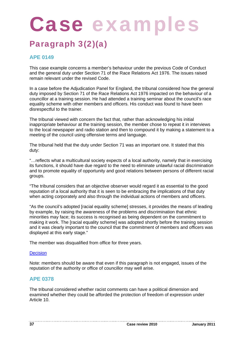### Paragraph 3(2)(a)

### **APE 0149**

This case example concerns a member's behaviour under the previous Code of Conduct and the general duty under Section 71 of the Race Relations Act 1976. The issues raised remain relevant under the revised Code.

In a case before the Adjudication Panel for England, the tribunal considered how the general duty imposed by Section 71 of the Race Relations Act 1976 impacted on the behaviour of a councillor at a training session. He had attended a training seminar about the council's race equality scheme with other members and officers. His conduct was found to have been disrespectful to the trainer.

The tribunal viewed with concern the fact that, rather than acknowledging his initial inappropriate behaviour at the training session, the member chose to repeat it in interviews to the local newspaper and radio station and then to compound it by making a statement to a meeting of the council using offensive terms and language.

The tribunal held that the duty under Section 71 was an important one. It stated that this duty:

"…reflects what a multicultural society expects of a local authority, namely that in exercising its functions, it should have due regard to the need to eliminate unlawful racial discrimination and to promote equality of opportunity and good relations between persons of different racial groups.

"The tribunal considers that an objective observer would regard it as essential to the good reputation of a local authority that it is seen to be embracing the implications of that duty when acting corporately and also through the individual actions of members and officers.

"As the council's adopted [racial equality scheme] stresses, it provides the means of leading by example, by raising the awareness of the problems and discrimination that ethnic minorities may face; its success is recognised as being dependent on the commitment to making it work. The [racial equality scheme] was adopted shortly before the training session and it was clearly important to the council that the commitment of members and officers was displayed at this early stage."

The member was disqualified from office for three years.

### **Decision**

Note: members should be aware that even if this paragraph is not engaged, issues of the reputation of the authority or office of councillor may well arise.

### **APE 0378**

The tribunal considered whether racist comments can have a political dimension and examined whether they could be afforded the protection of freedom of expression under Article 10.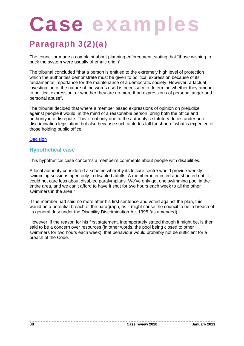### Paragraph 3(2)(a)

The councillor made a complaint about planning enforcement, stating that "those wishing to buck the system were usually of ethnic origin".

The tribunal concluded "that a person is entitled to the extremely high level of protection which the authorities demonstrate must be given to political expression because of its fundamental importance for the maintenance of a democratic society. However, a factual investigation of the nature of the words used is necessary to determine whether they amount to political expression, or whether they are no more than expressions of personal anger and personal abuse".

The tribunal decided that where a member based expressions of opinion on prejudice against people it would, in the mind of a reasonable person, bring both the office and authority into disrepute. This is not only due to the authority's statutory duties under antidiscrimination legislation, but also because such attitudes fall far short of what is expected of those holding public office.

### **Decision**

### **Hypothetical case**

This hypothetical case concerns a member's comments about people with disabilities.

A local authority considered a scheme whereby its leisure centre would provide weekly swimming sessions open only to disabled adults. A member interjected and shouted out, "I could not care less about disabled paralympians. We've only got one swimming pool in the entire area, and we can't afford to have it shut for two hours each week to all the other swimmers in the area!"

If the member had said no more after his first sentence and voted against the plan, this would be a potential breach of the paragraph, as it might cause the council to be in breach of its general duty under the Disability Discrimination Act 1995 (as amended).

However, if the reason for his first statement, intemperately stated though it might be, is then said to be a concern over resources (in other words, the pool being closed to other swimmers for two hours each week), that behaviour would probably not be sufficient for a breach of the Code.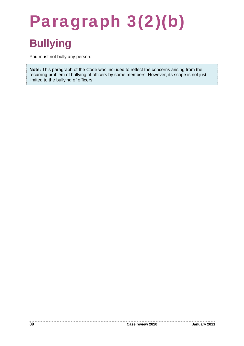## Paragraph 3(2)(b) **Bullying**

You must not bully any person.

**Note:** This paragraph of the Code was included to reflect the concerns arising from the recurring problem of bullying of officers by some members. However, its scope is not just limited to the bullying of officers.

. . . . . . .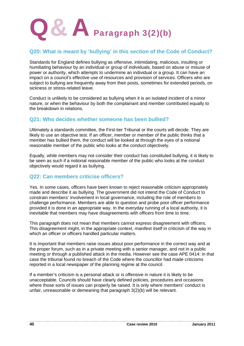

### **Q20: What is meant by 'bullying' in this section of the Code of Conduct?**

Standards for England defines bullying as offensive, intimidating, malicious, insulting or humiliating behaviour by an individual or group of individuals, based on abuse or misuse of power or authority, which attempts to undermine an individual or a group. It can have an impact on a council's effective use of resources and provision of services. Officers who are subject to bullying are frequently away from their posts, sometimes for extended periods, on sickness or stress-related leave.

Conduct is unlikely to be considered as bullying when it is an isolated incident of a minor nature, or when the behaviour by both the complainant and member contributed equally to the breakdown in relations.

### **Q21: Who decides whether someone has been bullied?**

Ultimately a standards committee, the First-tier Tribunal or the courts will decide. They are likely to use an objective test. If an officer, member or member of the public thinks that a member has bullied them, the conduct will be looked at through the eyes of a notional reasonable member of the public who looks at the conduct objectively.

Equally, while members may not consider their conduct has constituted bullying, it is likely to be seen as such if a notional reasonable member of the public who looks at the conduct objectively would regard it as bullying.

### **Q22: Can members criticise officers?**

Yes. In some cases, officers have been known to reject reasonable criticism appropriately made and describe it as bullying. The government did not intend the Code of Conduct to constrain members' involvement in local governance, including the role of members to challenge performance. Members are able to question and probe poor officer performance provided it is done in an appropriate way. In the everyday running of a local authority, it is inevitable that members may have disagreements with officers from time to time.

This paragraph does not mean that members cannot express disagreement with officers. This disagreement might, in the appropriate context, manifest itself in criticism of the way in which an officer or officers handled particular matters.

It is important that members raise issues about poor performance in the correct way and at the proper forum, such as in a private meeting with a senior manager, and not in a public meeting or through a published attack in the media. However see the case APE 0414: in that case the tribunal found no breach of the Code where the councillor had made criticisms reported in a local newspaper of the planning regime at the council.

If a member's criticism is a personal attack or is offensive in nature it is likely to be unacceptable. Councils should have clearly defined policies, procedures and occasions where those sorts of issues can properly be raised. It is only where members' conduct is unfair, unreasonable or demeaning that paragraph 3(2)(b) will be relevant.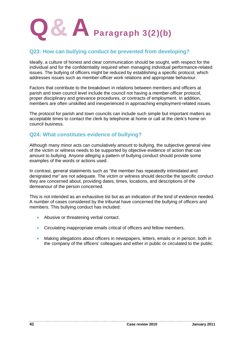

### **Q23: How can bullying conduct be prevented from developing?**

Ideally, a culture of honest and clear communication should be sought, with respect for the individual and for the confidentiality required when managing individual performance-related issues. The bullying of officers might be reduced by establishing a specific protocol, which addresses issues such as member-officer work relations and appropriate behaviour.

Factors that contribute to the breakdown in relations between members and officers at parish and town council level include the council not having a member-officer protocol, proper disciplinary and grievance procedures, or contracts of employment. In addition, members are often unskilled and inexperienced in approaching employment-related issues.

The protocol for parish and town councils can include such simple but important matters as acceptable times to contact the clerk by telephone at home or call at the clerk's home on council business.

### **Q24: What constitutes evidence of bullying?**

Although many minor acts can cumulatively amount to bullying, the subjective general view of the victim or witness needs to be supported by objective evidence of action that can amount to bullying. Anyone alleging a pattern of bullying conduct should provide some examples of the words or actions used.

In contrast, general statements such as "the member has repeatedly intimidated and denigrated me" are not adequate. The victim or witness should describe the specific conduct they are concerned about, providing dates, times, locations, and descriptions of the demeanour of the person concerned.

This is not intended as an exhaustive list but as an indication of the kind of evidence needed. A number of cases considered by the tribunal have concerned the bullying of officers and members. This bullying conduct has included:

- Abusive or threatening verbal contact.
- Circulating inappropriate emails critical of officers and fellow members.
- Making allegations about officers in newspapers, letters, emails or in person, both in the company of the officers' colleagues and either in public or circulated to the public.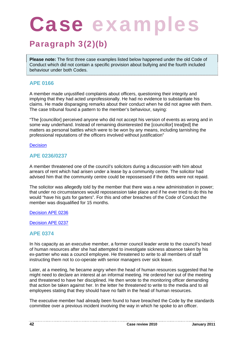### Paragraph 3(2)(b)

**Please note:** The first three case examples listed below happened under the old Code of Conduct which did not contain a specific provision about bullying and the fourth included behaviour under both Codes.

### **APE 0166**

A member made unjustified complaints about officers, questioning their integrity and implying that they had acted unprofessionally. He had no evidence to substantiate his claims. He made disparaging remarks about their conduct when he did not agree with them. The case tribunal found a pattern to the member's behaviour, saying:

"The [councillor] perceived anyone who did not accept his version of events as wrong and in some way underhand. Instead of remaining disinterested the [councillor] treat[ed] the matters as personal battles which were to be won by any means, including tarnishing the professional reputations of the officers involved without justification"

### **Decision**

### **APE 0236/0237**

A member threatened one of the council's solicitors during a discussion with him about arrears of rent which had arisen under a lease by a community centre. The solicitor had advised him that the community centre could be repossessed if the debts were not repaid.

The solicitor was allegedly told by the member that there was a new administration in power; that under no circumstances would repossession take place and if he ever tried to do this he would "have his guts for garters". For this and other breaches of the Code of Conduct the member was disqualified for 15 months.

Decision APE 0236

Decision APE 0237

### **APE 0374**

In his capacity as an executive member, a former council leader wrote to the council's head of human resources after she had attempted to investigate sickness absence taken by his ex-partner who was a council employee. He threatened to write to all members of staff instructing them not to co-operate with senior managers over sick leave.

Later, at a meeting, he became angry when the head of human resources suggested that he might need to declare an interest at an informal meeting. He ordered her out of the meeting and threatened to have her disciplined. He then wrote to the monitoring officer demanding that action be taken against her. In the letter he threatened to write to the media and to all employees stating that they should have no faith in the head of human resources.

The executive member had already been found to have breached the Code by the standards committee over a previous incident involving the way in which he spoke to an officer.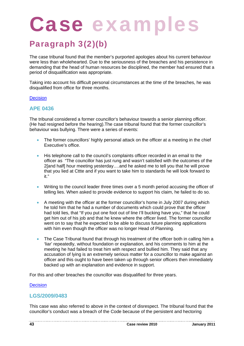### Paragraph 3(2)(b)

The case tribunal found that the member's purported apologies about his current behaviour were less than wholehearted. Due to the seriousness of the breaches and his persistence in demanding that the head of human resources be disciplined, the member had ensured that a period of disqualification was appropriate.

Taking into account his difficult personal circumstances at the time of the breaches, he was disqualified from office for three months.

### **Decision**

### **APE 0436**

The tribunal considered a former councillor's behaviour towards a senior planning officer. (He had resigned before the hearing).The case tribunal found that the former councillor's behaviour was bullying. There were a series of events:

- The former councillors' highly personal attack on the officer at a meeting in the chief Executive's office.
- His telephone call to the council's complaints officer recorded in an email to the officer as "The councillor has just rung and wasn't satisfied with the outcomes of the 2[and half] hour meeting yesterday….and he asked me to tell you that he will prove that you lied at Cttte and if you want to take him to standards he will look forward to it."
- Writing to the council leader three times over a 5 month period accusing the officer of telling lies. When asked to provide evidence to support his claim, he failed to do so.
- A meeting with the officer at the former councillor's home in July 2007 during which he told him that he had a number of documents which could prove that the officer had told lies, that "If you put one foot out of line I'll bucking have you," that he could get him out of his job and that he knew where the officer lived. The former councillor went on to say that he expected to be able to discuss future planning applications with him even though the officer was no longer Head of Planning.
- The Case Tribunal found that through his treatment of the officer both in calling him a 'liar' repeatedly, without foundation or explanation, and his comments to him at the meeting he had failed to treat him with respect and bullied him. They said that any accusation of lying is an extremely serious matter for a councillor to make against an officer and this ought to have been taken up through senior officers then immediately backed up with an explanation and evidence in support.

For this and other breaches the councillor was disqualified for three years.

### **Decision**

### **LGS/2009/0483**

This case was also referred to above in the context of disrespect. The tribunal found that the councillor's conduct was a breach of the Code because of the persistent and hectoring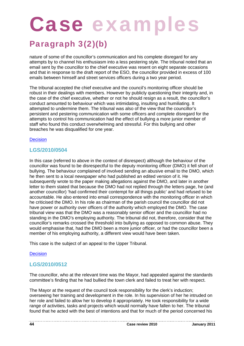### Paragraph 3(2)(b)

nature of some of the councillor's communication and his complete disregard for any attempts by to channel his enthusiasm into a less pestering style. The tribunal noted that an email sent by the councillor to the chief executive was resent on eight separate occasions and that in response to the draft report of the ESO, the councillor provided in excess of 100 emails between himself and street services officers during a two year period.

The tribunal accepted the chief executive and the council's monitoring officer should be robust in their dealings with members. However by publicly questioning their integrity and, in the case of the chief executive, whether or not he should resign as a result, the councillor's conduct amounted to behaviour which was intimidating, insulting and humiliating. It attempted to undermine them. The tribunal was also of the view that the councillor's persistent and pestering communication with some officers and complete disregard for the attempts to control his communication had the effect of bullying a more junior member of staff who found this conduct overwhelming and stressful. For this bullying and other breaches he was disqualified for one year.

### **Decision**

### **LGS/2010/0504**

In this case (referred to above in the context of disrespect) although the behaviour of the councillor was found to be disrespectful to the deputy monitoring officer (DMO) it fell short of bullying. The behaviour complained of involved sending an abusive email to the DMO, which he then sent to a local newspaper who had published an edited version of it. He subsequently wrote to the paper making allegations against the DMO, and later in another letter to them stated that because the DMO had not replied through the letters page, he (and another councillor) 'had confirmed their contempt for all things public' and had refused to be accountable. He also entered into email correspondence with the monitoring officer in which he criticised the DMO. In his role as chairman of the parish council the councillor did not have power or authority over officers of the authority which employed the DMO. The case tribunal view was that the DMO was a reasonably senior officer and the councillor had no standing in the DMO's employing authority. The tribunal did not, therefore, consider that the councillor's remarks crossed the threshold into bullying as opposed to common abuse. They would emphasise that, had the DMO been a more junior officer, or had the councillor been a member of his employing authority, a different view would have been taken.

This case is the subject of an appeal to the Upper Tribunal.

### **Decision**

### **LGS/2010/0512**

The councillor, who at the relevant time was the Mayor, had appealed against the standards committee's finding that he had bullied the town clerk and failed to treat her with respect.

The Mayor at the request of the council took responsibility for the clerk's induction; overseeing her training and development in the role. In his supervision of her he intruded on her role and failed to allow her to develop it appropriately. He took responsibility for a wide range of activities, tasks and projects which would normally have fallen to her. The tribunal found that he acted with the best of intentions and that for much of the period concerned his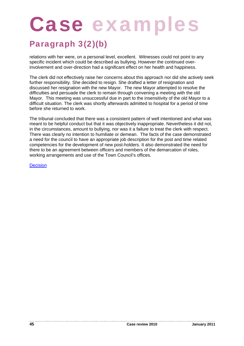### Paragraph 3(2)(b)

relations with her were, on a personal level, excellent. Witnesses could not point to any specific incident which could be described as bullying. However the continued overinvolvement and over-direction had a significant effect on her health and happiness.

The clerk did not effectively raise her concerns about this approach nor did she actively seek further responsibility. She decided to resign. She drafted a letter of resignation and discussed her resignation with the new Mayor. The new Mayor attempted to resolve the difficulties and persuade the clerk to remain through convening a meeting with the old Mayor. This meeting was unsuccessful due in part to the insensitivity of the old Mayor to a difficult situation. The clerk was shortly afterwards admitted to hospital for a period of time before she returned to work.

The tribunal concluded that there was a consistent pattern of well intentioned and what was meant to be helpful conduct but that it was objectively inappropriate. Nevertheless it did not, in the circumstances, amount to bullying, nor was it a failure to treat the clerk with respect. There was clearly no intention to humiliate or demean. The facts of the case demonstrated a need for the council to have an appropriate job description for the post and time related competencies for the development of new post-holders. It also demonstrated the need for there to be an agreement between officers and members of the demarcation of roles, working arrangements and use of the Town Council's offices.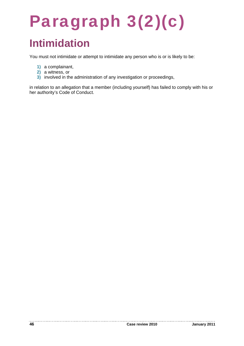## Paragraph 3(2)(c) **Intimidation**

You must not intimidate or attempt to intimidate any person who is or is likely to be:

- **1)** a complainant,
- **2)** a witness, or
- **3)** involved in the administration of any investigation or proceedings,

in relation to an allegation that a member (including yourself) has failed to comply with his or her authority's Code of Conduct.

---------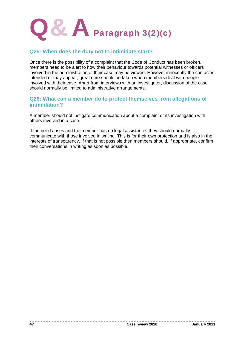

### **Q25: When does the duty not to intimidate start?**

Once there is the possibility of a complaint that the Code of Conduct has been broken, members need to be alert to how their behaviour towards potential witnesses or officers involved in the administration of their case may be viewed. However innocently the contact is intended or may appear, great care should be taken when members deal with people involved with their case. Apart from interviews with an investigator, discussion of the case should normally be limited to administrative arrangements.

### **Q26: What can a member do to protect themselves from allegations of intimidation?**

A member should not instigate communication about a complaint or its investigation with others involved in a case.

If the need arises and the member has no legal assistance, they should normally communicate with those involved in writing. This is for their own protection and is also in the interests of transparency. If that is not possible then members should, if appropriate, confirm their conversations in writing as soon as possible.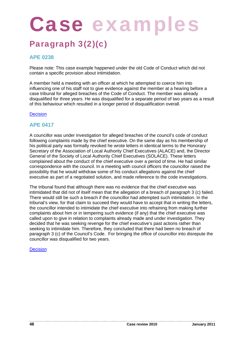### Paragraph 3(2)(c)

### **APE 0238**

Please note: This case example happened under the old Code of Conduct which did not contain a specific provision about intimidation.

A member held a meeting with an officer at which he attempted to coerce him into influencing one of his staff not to give evidence against the member at a hearing before a case tribunal for alleged breaches of the Code of Conduct. The member was already disqualified for three years. He was disqualified for a separate period of two years as a result of this behaviour which resulted in a longer period of disqualification overall.

### **Decision**

### **APE 0417**

A councillor was under investigation for alleged breaches of the council's code of conduct following complaints made by the chief executive. On the same day as his membership of his political party was formally revoked he wrote letters in identical terms to the Honorary Secretary of the Association of Local Authority Chief Executives (ALACE) and, the Director General of the Society of Local Authority Chief Executives (SOLACE). These letters complained about the conduct of the chief executive over a period of time. He had similar correspondence with the council. In a meeting with council officers the councillor raised the possibility that he would withdraw some of his conduct allegations against the chief executive as part of a negotiated solution, and made reference to the code investigations.

The tribunal found that although there was no evidence that the chief executive was intimidated that did not of itself mean that the allegation of a breach of paragraph 3 (c) failed. There would still be such a breach if the councillor had attempted such intimidation. In the tribunal's view, for that claim to succeed they would have to accept that in writing the letters, the councillor intended to intimidate the chief executive into refraining from making further complaints about him or in tempering such evidence (if any) that the chief executive was called upon to give in relation to complaints already made and under investigation. They decided that he was seeking revenge for the chief executive's past actions rather than seeking to intimidate him. Therefore, they concluded that there had been no breach of paragraph 3 (c) of the Council's Code. For bringing the office of councillor into disrepute the councillor was disqualified for two years.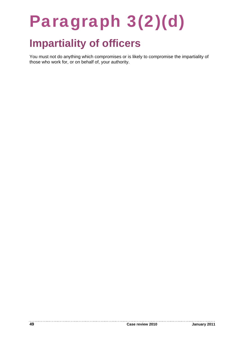## Paragraph 3(2)(d)

## **Impartiality of officers**

You must not do anything which compromises or is likely to compromise the impartiality of those who work for, or on behalf of, your authority.

. . . . . . . . . .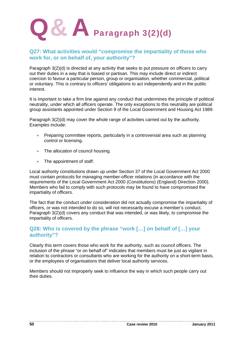

### **Q27: What activities would "compromise the impartiality of those who work for, or on behalf of, your authority"?**

Paragraph 3(2)(d) is directed at any activity that seeks to put pressure on officers to carry out their duties in a way that is biased or partisan. This may include direct or indirect coercion to favour a particular person, group or organisation, whether commercial, political or voluntary. This is contrary to officers' obligations to act independently and in the public interest.

It is important to take a firm line against any conduct that undermines the principle of political neutrality, under which all officers operate. The only exceptions to this neutrality are political group assistants appointed under Section 9 of the Local Government and Housing Act 1989.

Paragraph 3(2)(d) may cover the whole range of activities carried out by the authority. Examples include:

- Preparing committee reports, particularly in a controversial area such as planning control or licensing.
- The allocation of council housing.
- The appointment of staff.

Local authority constitutions drawn up under Section 37 of the Local Government Act 2000 must contain protocols for managing member-officer relations (in accordance with the requirements of the Local Government Act 2000 (Constitutions) (England) Direction 2000). Members who fail to comply with such protocols may be found to have compromised the impartiality of officers.

The fact that the conduct under consideration did not actually compromise the impartiality of officers, or was not intended to do so, will not necessarily excuse a member's conduct. Paragraph 3(2)(d) covers any conduct that was intended, or was likely, to compromise the impartiality of officers.

### **Q28: Who is covered by the phrase "work […] on behalf of […] your authority"?**

Clearly this term covers those who work for the authority, such as council officers. The inclusion of the phrase "or on behalf of" indicates that members must be just as vigilant in relation to contractors or consultants who are working for the authority on a short-term basis, or the employees of organisations that deliver local authority services.

Members should not improperly seek to influence the way in which such people carry out their duties.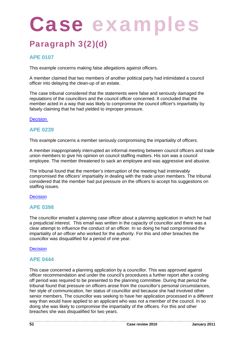### Paragraph 3(2)(d)

### **APE 0107**

This example concerns making false allegations against officers.

A member claimed that two members of another political party had intimidated a council officer into delaying the clean-up of an estate.

The case tribunal considered that the statements were false and seriously damaged the reputations of the councillors and the council officer concerned. It concluded that the member acted in a way that was likely to compromise the council officer's impartiality by falsely claiming that he had yielded to improper pressure.

### **Decision**

### **APE 0239**

This example concerns a member seriously compromising the impartiality of officers.

A member inappropriately interrupted an informal meeting between council officers and trade union members to give his opinion on council staffing matters. His son was a council employee. The member threatened to sack an employee and was aggressive and abusive.

The tribunal found that the member's interruption of the meeting had irretrievably compromised the officers' impartiality in dealing with the trade union members. The tribunal considered that the member had put pressure on the officers to accept his suggestions on staffing issues.

### **Decision**

### **APE 0398**

The councillor emailed a planning case officer about a planning application in which he had a prejudicial interest. This email was written in the capacity of councillor and there was a clear attempt to influence the conduct of an officer. In so doing he had compromised the impartiality of an officer who worked for the authority. For this and other breaches the councillor was disqualified for a period of one year.

### **Decision**

### **APE 0444**

This case concerned a planning application by a councillor. This was approved against officer recommendation and under the council's procedures a further report after a cooling off period was required to be presented to the planning committee. During that period the tribunal found that pressure on officers arose from the councillor's personal circumstances, her style of communication, her status of councillor and because she had involved other senior members. The councillor was seeking to have her application processed in a different way than would have applied to an applicant who was not a member of the council. In so doing she was likely to compromise the impartiality of the officers. For this and other breaches she was disqualified for two years.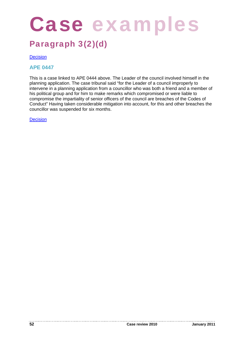## Case examples

### Paragraph 3(2)(d)

**Decision** 

**APE 0447** 

This is a case linked to APE 0444 above. The Leader of the council involved himself in the planning application. The case tribunal said "for the Leader of a council improperly to intervene in a planning application from a councillor who was both a friend and a member of his political group and for him to make remarks which compromised or were liable to compromise the impartiality of senior officers of the council are breaches of the Codes of Conduct" Having taken considerable mitigation into account, for this and other breaches the councillor was suspended for six months.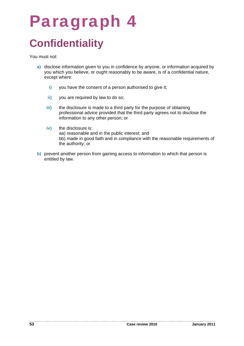## Paragraph 4 **Confidentiality**

You must not:

- **a)** disclose information given to you in confidence by anyone, or information acquired by you which you believe, or ought reasonably to be aware, is of a confidential nature, except where:
	- **i)** you have the consent of a person authorised to give it;
	- **ii)** you are required by law to do so;
	- **iii)** the disclosure is made to a third party for the purpose of obtaining professional advice provided that the third party agrees not to disclose the information to any other person; or
	- **iv)** the disclosure is: aa) reasonable and in the public interest; and bb) made in good faith and in compliance with the reasonable requirements of the authority; or
- **b)** prevent another person from gaining access to information to which that person is entitled by law.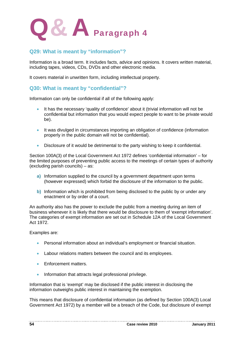

### **Q29: What is meant by "information"?**

Information is a broad term. It includes facts, advice and opinions. It covers written material, including tapes, videos, CDs, DVDs and other electronic media.

It covers material in unwritten form, including intellectual property.

### **Q30: What is meant by "confidential"?**

Information can only be confidential if all of the following apply:

- It has the necessary 'quality of confidence' about it (trivial information will not be confidential but information that you would expect people to want to be private would be).
- It was divulged in circumstances importing an obligation of confidence (information properly in the public domain will not be confidential).
- Disclosure of it would be detrimental to the party wishing to keep it confidential.

Section 100A(3) of the Local Government Act 1972 defines 'confidential information' – for the limited purposes of preventing public access to the meetings of certain types of authority (excluding parish councils) – as:

- **a)** Information supplied to the council by a government department upon terms (however expressed) which forbid the disclosure of the information to the public.
- **b)** Information which is prohibited from being disclosed to the public by or under any enactment or by order of a court.

An authority also has the power to exclude the public from a meeting during an item of business whenever it is likely that there would be disclosure to them of 'exempt information'. The categories of exempt information are set out in Schedule 12A of the Local Government Act 1972.

Examples are:

- Personal information about an individual's employment or financial situation.
- Labour relations matters between the council and its employees.
- **Enforcement matters.**
- Information that attracts legal professional privilege.

Information that is 'exempt' may be disclosed if the public interest in disclosing the information outweighs public interest in maintaining the exemption.

This means that disclosure of confidential information (as defined by Section 100A(3) Local Government Act 1972) by a member will be a breach of the Code, but disclosure of exempt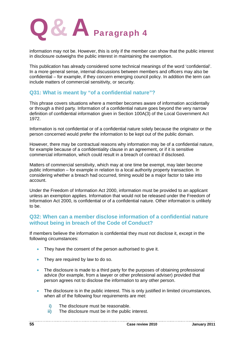

information may not be. However, this is only if the member can show that the public interest in disclosure outweighs the public interest in maintaining the exemption.

This publication has already considered some technical meanings of the word 'confidential'. In a more general sense, internal discussions between members and officers may also be confidential – for example, if they concern emerging council policy. In addition the term can include matters of commercial sensitivity, or security.

### **Q31: What is meant by "of a confidential nature"?**

This phrase covers situations where a member becomes aware of information accidentally or through a third party. Information of a confidential nature goes beyond the very narrow definition of confidential information given in Section 100A(3) of the Local Government Act 1972.

Information is not confidential or of a confidential nature solely because the originator or the person concerned would prefer the information to be kept out of the public domain.

However, there may be contractual reasons why information may be of a confidential nature, for example because of a confidentiality clause in an agreement, or if it is sensitive commercial information, which could result in a breach of contract if disclosed.

Matters of commercial sensitivity, which may at one time be exempt, may later become public information – for example in relation to a local authority property transaction. In considering whether a breach had occurred, timing would be a major factor to take into account.

Under the Freedom of Information Act 2000, information must be provided to an applicant unless an exemption applies. Information that would not be released under the Freedom of Information Act 2000, is confidential or of a confidential nature. Other information is unlikely to be.

### **Q32: When can a member disclose information of a confidential nature without being in breach of the Code of Conduct?**

If members believe the information is confidential they must not disclose it, except in the following circumstances:

- They have the consent of the person authorised to give it.
- They are required by law to do so.
- The disclosure is made to a third party for the purposes of obtaining professional advice (for example, from a lawyer or other professional adviser) provided that person agrees not to disclose the information to any other person.
- The disclosure is in the public interest. This is only justified in limited circumstances, when all of the following four requirements are met:
	- **i)** The disclosure must be reasonable.
	- **ii)** The disclosure must be in the public interest.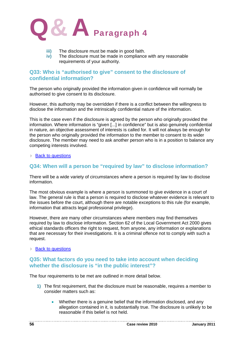

- **iii)** The disclosure must be made in good faith.
- **iv)** The disclosure must be made in compliance with any reasonable requirements of your authority.

### **Q33: Who is "authorised to give" consent to the disclosure of confidential information?**

The person who originally provided the information given in confidence will normally be authorised to give consent to its disclosure.

However, this authority may be overridden if there is a conflict between the willingness to disclose the information and the intrinsically confidential nature of the information.

This is the case even if the disclosure is agreed by the person who originally provided the information. Where information is "given [...] in confidence" but is also genuinely confidential in nature, an objective assessment of interests is called for. It will not always be enough for the person who originally provided the information to the member to consent to its wider disclosure. The member may need to ask another person who is in a position to balance any competing interests involved.

#### **■ Back to questions**

### **Q34: When will a person be "required by law" to disclose information?**

There will be a wide variety of circumstances where a person is required by law to disclose information.

The most obvious example is where a person is summoned to give evidence in a court of law. The general rule is that a person is required to disclose whatever evidence is relevant to the issues before the court, although there are notable exceptions to this rule (for example, information that attracts legal professional privilege).

However, there are many other circumstances where members may find themselves required by law to disclose information. Section 62 of the Local Government Act 2000 gives ethical standards officers the right to request, from anyone, any information or explanations that are necessary for their investigations. It is a criminal offence not to comply with such a request.

#### **Back to questions**

### **Q35: What factors do you need to take into account when deciding whether the disclosure is "in the public interest"?**

The four requirements to be met are outlined in more detail below.

- **1)** The first requirement, that the disclosure must be reasonable, requires a member to consider matters such as:
	- Whether there is a genuine belief that the information disclosed, and any allegation contained in it, is substantially true. The disclosure is unlikely to be reasonable if this belief is not held.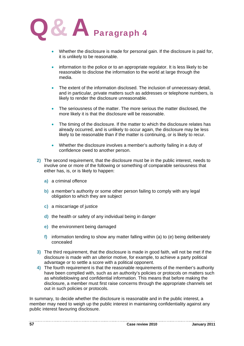

- Whether the disclosure is made for personal gain. If the disclosure is paid for, it is unlikely to be reasonable.
- information to the police or to an appropriate regulator. It is less likely to be reasonable to disclose the information to the world at large through the media.
- The extent of the information disclosed. The inclusion of unnecessary detail, and in particular, private matters such as addresses or telephone numbers, is likely to render the disclosure unreasonable.
- The seriousness of the matter. The more serious the matter disclosed, the more likely it is that the disclosure will be reasonable.
- The timing of the disclosure. If the matter to which the disclosure relates has already occurred, and is unlikely to occur again, the disclosure may be less likely to be reasonable than if the matter is continuing, or is likely to recur.
- Whether the disclosure involves a member's authority failing in a duty of confidence owed to another person.
- **2)** The second requirement, that the disclosure must be in the public interest, needs to involve one or more of the following or something of comparable seriousness that either has, is, or is likely to happen:
	- **a)** a criminal offence
	- **b)** a member's authority or some other person failing to comply with any legal obligation to which they are subject
	- **c)** a miscarriage of justice
	- **d)** the health or safety of any individual being in danger
	- **e)** the environment being damaged
	- **f)** information tending to show any matter falling within (a) to (e) being deliberately concealed
- **3)** The third requirement, that the disclosure is made in good faith, will not be met if the disclosure is made with an ulterior motive, for example, to achieve a party political advantage or to settle a score with a political opponent.
- **4)** The fourth requirement is that the reasonable requirements of the member's authority have been complied with, such as an authority's policies or protocols on matters such as whistleblowing and confidential information. This means that before making the disclosure, a member must first raise concerns through the appropriate channels set out in such policies or protocols.

In summary, to decide whether the disclosure is reasonable and in the public interest, a member may need to weigh up the public interest in maintaining confidentiality against any public interest favouring disclosure.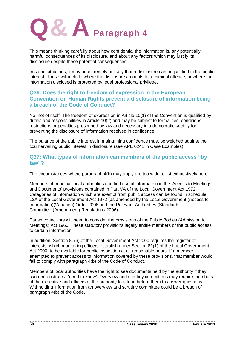

This means thinking carefully about how confidential the information is, any potentially harmful consequences of its disclosure, and about any factors which may justify its disclosure despite these potential consequences.

In some situations, it may be extremely unlikely that a disclosure can be justified in the public interest. These will include where the disclosure amounts to a criminal offence, or where the information disclosed is protected by legal professional privilege.

### **Q36: Does the right to freedom of expression in the European Convention on Human Rights prevent a disclosure of information being a breach of the Code of Conduct?**

No, not of itself. The freedom of expression in Article 10(1) of the Convention is qualified by duties and responsibilities in Article 10(2) and may be subject to formalities, conditions, restrictions or penalties prescribed by law and necessary in a democratic society for preventing the disclosure of information received in confidence.

The balance of the public interest in maintaining confidence must be weighed against the countervailing public interest in disclosure (see APE 0241 in Case Examples).

### **Q37: What types of information can members of the public access "by law"?**

The circumstances where paragraph 4(b) may apply are too wide to list exhaustively here.

Members of principal local authorities can find useful information in the 'Access to Meetings and Documents' provisions contained in Part VA of the Local Government Act 1972. Categories of information which are exempt from public access can be found in schedule 12A of the Local Government Act 1972 (as amended by the Local Government (Access to Information)(Variation) Order 2006 and the Relevant Authorities (Standards Committee)(Amendment) Regulations 2006).

Parish councillors will need to consider the provisions of the Public Bodies (Admission to Meetings) Act 1960. These statutory provisions legally entitle members of the public access to certain information.

In addition, Section 81(6) of the Local Government Act 2000 requires the register of interests, which monitoring officers establish under Section 81(1) of the Local Government Act 2000, to be available for public inspection at all reasonable hours. If a member attempted to prevent access to information covered by these provisions, that member would fail to comply with paragraph 4(b) of the Code of Conduct.

Members of local authorities have the right to see documents held by the authority if they can demonstrate a 'need to know'. Overview and scrutiny committees may require members of the executive and officers of the authority to attend before them to answer questions. Withholding information from an overview and scrutiny committee could be a breach of paragraph 4(b) of the Code.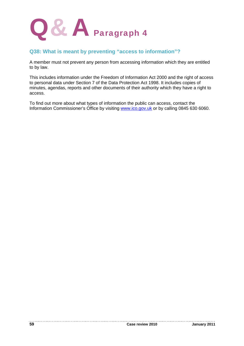

### **Q38: What is meant by preventing "access to information"?**

A member must not prevent any person from accessing information which they are entitled to by law.

This includes information under the Freedom of Information Act 2000 and the right of access to personal data under Section 7 of the Data Protection Act 1998. It includes copies of minutes, agendas, reports and other documents of their authority which they have a right to access.

To find out more about what types of information the public can access, contact the Information Commissioner's Office by visiting www.ico.gov.uk or by calling 0845 630 6060.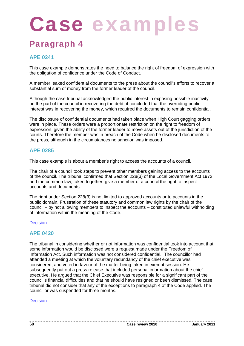### Paragraph 4

### **APE 0241**

This case example demonstrates the need to balance the right of freedom of expression with the obligation of confidence under the Code of Conduct.

A member leaked confidential documents to the press about the council's efforts to recover a substantial sum of money from the former leader of the council.

Although the case tribunal acknowledged the public interest in exposing possible inactivity on the part of the council in recovering the debt, it concluded that the overriding public interest was in recovering the money, which required the documents to remain confidential.

The disclosure of confidential documents had taken place when High Court gagging orders were in place. These orders were a proportionate restriction on the right to freedom of expression, given the ability of the former leader to move assets out of the jurisdiction of the courts. Therefore the member was in breach of the Code when he disclosed documents to the press, although in the circumstances no sanction was imposed.

### **APE 0285**

This case example is about a member's right to access the accounts of a council.

The chair of a council took steps to prevent other members gaining access to the accounts of the council. The tribunal confirmed that Section 228(3) of the Local Government Act 1972 and the common law, taken together, give a member of a council the right to inspect accounts and documents.

The right under Section 228(3) is not limited to approved accounts or to accounts in the public domain. Frustration of these statutory and common law rights by the chair of the council – by not allowing members to inspect the accounts – constituted unlawful withholding of information within the meaning of the Code.

### **Decision**

### **APE 0420**

The tribunal in considering whether or not information was confidential took into account that some information would be disclosed were a request made under the Freedom of Information Act. Such information was not considered confidential. The councillor had attended a meeting at which the voluntary redundancy of the chief executive was considered, and voted in favour of the matter being taken in exempt session. He subsequently put out a press release that included personal information about the chief executive. He argued that the Chief Executive was responsible for a significant part of the council's financial difficulties and that he should have resigned or been dismissed. The case tribunal did not consider that any of the exceptions to paragraph 4 of the Code applied. The councillor was suspended for three months.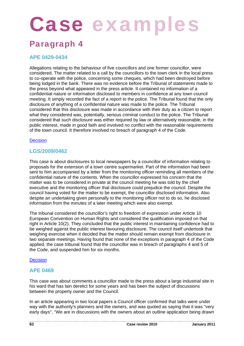### Paragraph 4

### **APE 0429-0434**

Allegations relating to the behaviour of five councillors and one former councillor, were considered. The matter related to a call by the councillors to the town clerk in the local press to co-operate with the police, concerning some cheques, which had been destroyed before being lodged in the bank. There was no evidence before the Tribunal of statements made to the press beyond what appeared in the press article. It contained no information of a confidential nature or information disclosed to members in confidence at any town council meeting. It simply recorded the fact of a report to the police. The Tribunal found that the only disclosure of anything of a confidential nature was made to the police. The Tribunal considered that this disclosure was made in accordance with their duty as a citizen to report what they considered was, potentially, serious criminal conduct to the police. The Tribunal considered that such disclosure was either required by law or alternatively reasonable, in the public interest, made in good faith and involved no conflict with the reasonable requirements of the town council. It therefore involved no breach of paragraph 4 of the Code.

### **Decision**

### **LGS/2009/0462**

This case is about disclosures to local newspapers by a councillor of information relating to proposals for the extension of a town centre supermarket. Part of the information had been sent to him accompanied by a letter from the monitoring officer reminding all members of the confidential nature of the contents. When the councillor expressed his concern that the matter was to be considered in private at the council meeting he was told by the chief executive and the monitoring officer that disclosure could prejudice the council. Despite the council having voted for the matter to be exempt, the councillor disclosed information. Also despite an undertaking given personally to the monitoring officer not to do so, he disclosed information from the minutes of a later meeting which were also exempt.

The tribunal considered the councillor's right to freedom of expression under Article 10 European Convention on Human Rights and considered the qualification imposed on that right in Article 10(2). They concluded that the public interest in maintaining confidence had to be weighed against the public interest favouring disclosure. The council itself undertook that weighing exercise when it decided that the matter should remain exempt from disclosure in two separate meetings. Having found that none of the exceptions in paragraph 4 of the Code applied, the case tribunal found that the councillor was in breach of paragraphs 4 and 5 of the Code, and suspended him for six months.

### **Decision**

### **APE 0469**

This case was about comments a councillor made to the press about a large industrial site in his ward that has lain derelict for some years and has been the subject of discussions between the property owner and the Council.

In an article appearing in two local papers a Council officer confirmed that talks were under way with the authority's planners and the owners, and was quoted as saying that it was "very early days", "We are in discussions with the owners about an outline application being drawn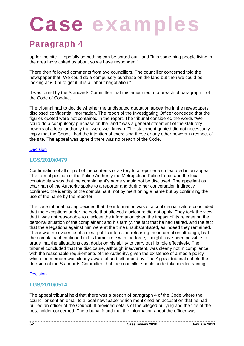### Paragraph 4

up for the site. Hopefully something can be sorted out." and "It is something people living in the area have asked us about so we have responded."

There then followed comments from two councillors. The councillor concerned told the newspaper that "We could do a compulsory purchase on the land but then we could be looking at £10m to get it, it is all about negotiation."

It was found by the Standards Committee that this amounted to a breach of paragraph 4 of the Code of Conduct.

The tribunal had to decide whether the undisputed quotation appearing in the newspapers disclosed confidential information. The report of the Investigating Officer conceded that the figures quoted were not contained in the report. The tribunal considered the words "We could do a compulsory purchase on the land " was a general statement of the statutory powers of a local authority that were well known. The statement quoted did not necessarily imply that the Council had the intention of exercising these or any other powers in respect of the site. The appeal was upheld there was no breach of the Code.

### **Decision**

### **LGS/2010/0479**

Confirmation of all or part of the contents of a story to a reporter also featured in an appeal. The formal position of the Police Authority the Metropolitan Police Force and the local constabulary was that the complainant's name should not be disclosed. The appellant as chairman of the Authority spoke to a reporter and during her conversation indirectly confirmed the identity of the complainant, not by mentioning a name but by confirming the use of the name by the reporter.

The case tribunal having decided that the information was of a confidential nature concluded that the exceptions under the code that allowed disclosure did not apply. They took the view that it was not reasonable to disclose the information given the impact of its release on the personal situation of the complainant and his family, the fact that he had retired, and the fact that the allegations against him were at the time unsubstantiated, as indeed they remained. There was no evidence of a clear public interest in releasing the information although, had the complainant continued in his former role with the force, it might have been possible to argue that the allegations cast doubt on his ability to carry out his role effectively. The tribunal concluded that the disclosure, although inadvertent, was clearly not in compliance with the reasonable requirements of the Authority, given the existence of a media policy which the member was clearly aware of and felt bound by. The Appeal tribunal upheld the decision of the Standards Committee that the councillor should undertake media training.

### **Decision**

### **LGS/2010/0514**

The appeal tribunal held that there was a breach of paragraph 4 of the Code where the councillor sent an email to a local newspaper which mentioned an accusation that he had bullied an officer of the Council. It provided details of the alleged bullying and the title of the post holder concerned. The tribunal found that the information about the officer was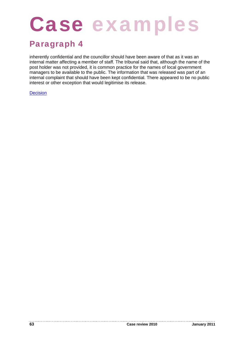## Case examples

### Paragraph 4

inherently confidential and the councillor should have been aware of that as it was an internal matter affecting a member of staff. The tribunal said that, although the name of the post holder was not provided, it is common practice for the names of local government managers to be available to the public. The information that was released was part of an internal complaint that should have been kept confidential. There appeared to be no public interest or other exception that would legitimise its release.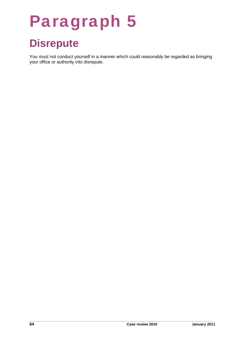## Paragraph 5

## **Disrepute**

You must not conduct yourself in a manner which could reasonably be regarded as bringing your office or authority into disrepute.

. . . . . . . . . . .

---------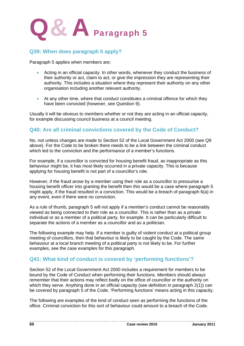

### **Q39: When does paragraph 5 apply?**

Paragraph 5 applies when members are:

- Acting in an official capacity. In other words, whenever they conduct the business of their authority or act, claim to act, or give the impression they are representing their authority. This includes a situation where they represent their authority on any other organisation including another relevant authority.
- At any other time, where that conduct constitutes a criminal offence for which they have been convicted (however, see Question 9).

Usually it will be obvious to members whether or not they are acting in an official capacity, for example discussing council business at a council meeting.

### **Q40: Are all criminal convictions covered by the Code of Conduct?**

No, not unless changes are made to Section 52 of the Local Government Act 2000 (see Q9 above). For the Code to be broken there needs to be a link between the criminal conduct which led to the conviction and the performance of a member's functions.

For example, if a councillor is convicted for housing benefit fraud, as inappropriate as this behaviour might be, it has most likely occurred in a private capacity. This is because applying for housing benefit is not part of a councillor's role.

However, if the fraud arose by a member using their role as a councillor to pressurise a housing benefit officer into granting the benefit then this would be a case where paragraph 5 might apply, if the fraud resulted in a conviction. This would be a breach of paragraph 6(a) in any event, even if there were no conviction.

As a rule of thumb, paragraph 5 will not apply if a member's conduct cannot be reasonably viewed as being connected to their role as a councillor. This is rather than as a private individual or as a member of a political party, for example. It can be particularly difficult to separate the actions of a member as a councillor and as a politician.

The following example may help. If a member is guilty of violent conduct at a political group meeting of councillors, then that behaviour is likely to be caught by the Code. The same behaviour at a local branch meeting of a political party is not likely to be. For further examples, see the case examples for this paragraph.

### **Q41: What kind of conduct is covered by 'performing functions'?**

Section 52 of the Local Government Act 2000 includes a requirement for members to be bound by the Code of Conduct when performing their functions. Members should always remember that their actions may reflect badly on the office of councillor or the authority on which they serve. Anything done in an official capacity (see definition in paragraph 2(1)) can be covered by paragraph 5 of the Code. 'Performing functions' means acting in this capacity.

The following are examples of the kind of conduct seen as performing the functions of the office. Criminal conviction for this sort of behaviour could amount to a breach of the Code.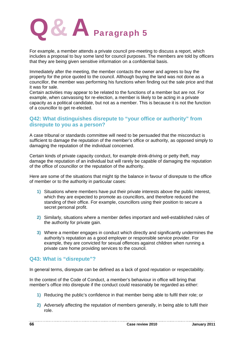

For example, a member attends a private council pre-meeting to discuss a report, which includes a proposal to buy some land for council purposes. The members are told by officers that they are being given sensitive information on a confidential basis.

Immediately after the meeting, the member contacts the owner and agrees to buy the property for the price quoted to the council. Although buying the land was not done as a councillor, the member was performing his functions when finding out the sale price and that it was for sale.

Certain activities may appear to be related to the functions of a member but are not. For example, when canvassing for re-election, a member is likely to be acting in a private capacity as a political candidate, but not as a member. This is because it is not the function of a councillor to get re-elected.

### **Q42: What distinguishes disrepute to "your office or authority" from disrepute to you as a person?**

A case tribunal or standards committee will need to be persuaded that the misconduct is sufficient to damage the reputation of the member's office or authority, as opposed simply to damaging the reputation of the individual concerned.

Certain kinds of private capacity conduct, for example drink-driving or petty theft, may damage the reputation of an individual but will rarely be capable of damaging the reputation of the office of councillor or the reputation of the authority.

Here are some of the situations that might tip the balance in favour of disrepute to the office of member or to the authority in particular cases:

- **1)** Situations where members have put their private interests above the public interest, which they are expected to promote as councillors, and therefore reduced the standing of their office. For example, councillors using their position to secure a secret personal profit.
- **2)** Similarly, situations where a member defies important and well-established rules of the authority for private gain.
- **3)** Where a member engages in conduct which directly and significantly undermines the authority's reputation as a good employer or responsible service provider. For example, they are convicted for sexual offences against children when running a private care home providing services to the council.

### **Q43: What is "disrepute"?**

In general terms, disrepute can be defined as a lack of good reputation or respectability.

In the context of the Code of Conduct, a member's behaviour in office will bring that member's office into disrepute if the conduct could reasonably be regarded as either:

- **1)** Reducing the public's confidence in that member being able to fulfil their role; or
- **2)** Adversely affecting the reputation of members generally, in being able to fulfil their role.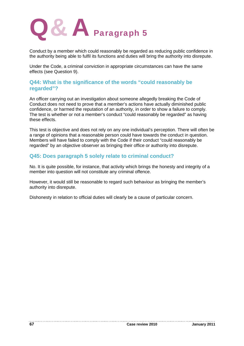

Conduct by a member which could reasonably be regarded as reducing public confidence in the authority being able to fulfil its functions and duties will bring the authority into disrepute.

Under the Code, a criminal conviction in appropriate circumstances can have the same effects (see Question 9).

### **Q44: What is the significance of the words "could reasonably be regarded"?**

An officer carrying out an investigation about someone allegedly breaking the Code of Conduct does not need to prove that a member's actions have actually diminished public confidence, or harmed the reputation of an authority, in order to show a failure to comply. The test is whether or not a member's conduct "could reasonably be regarded" as having these effects.

This test is objective and does not rely on any one individual's perception. There will often be a range of opinions that a reasonable person could have towards the conduct in question. Members will have failed to comply with the Code if their conduct "could reasonably be regarded" by an objective observer as bringing their office or authority into disrepute.

### **Q45: Does paragraph 5 solely relate to criminal conduct?**

No. It is quite possible, for instance, that activity which brings the honesty and integrity of a member into question will not constitute any criminal offence.

However, it would still be reasonable to regard such behaviour as bringing the member's authority into disrepute.

Dishonesty in relation to official duties will clearly be a cause of particular concern.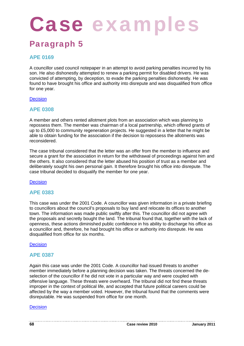# Case examples

### Paragraph 5

### **APE 0169**

A councillor used council notepaper in an attempt to avoid parking penalties incurred by his son. He also dishonestly attempted to renew a parking permit for disabled drivers. He was convicted of attempting, by deception, to evade the parking penalties dishonestly. He was found to have brought his office and authority into disrepute and was disqualified from office for one year.

### **Decision**

### **APE 0308**

A member and others rented allotment plots from an association which was planning to repossess them. The member was chairman of a local partnership, which offered grants of up to £5,000 to community regeneration projects. He suggested in a letter that he might be able to obtain funding for the association if the decision to repossess the allotments was reconsidered.

The case tribunal considered that the letter was an offer from the member to influence and secure a grant for the association in return for the withdrawal of proceedings against him and the others. It also considered that the letter abused his position of trust as a member and deliberately sought his own personal gain. It therefore brought his office into disrepute. The case tribunal decided to disqualify the member for one year.

**Decision** 

### **APE 0383**

This case was under the 2001 Code. A councillor was given information in a private briefing to councillors about the council's proposals to buy land and relocate its offices to another town. The information was made public swiftly after this. The councillor did not agree with the proposals and secretly bought the land. The tribunal found that, together with the lack of openness, these actions diminished public confidence in his ability to discharge his office as a councillor and, therefore, he had brought his office or authority into disrepute. He was disqualified from office for six months.

### **Decision**

### **APE 0387**

Again this case was under the 2001 Code. A councillor had issued threats to another member immediately before a planning decision was taken. The threats concerned the deselection of the councillor if he did not vote in a particular way and were coupled with offensive language. These threats were overheard. The tribunal did not find these threats improper in the context of political life, and accepted that future political careers could be affected by the way a member voted. However, the tribunal found that the comments were disreputable. He was suspended from office for one month.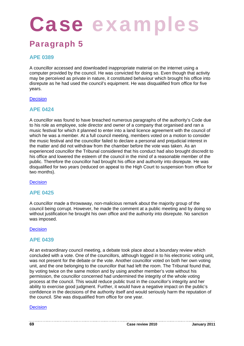### Paragraph 5

### **APE 0389**

A councillor accessed and downloaded inappropriate material on the internet using a computer provided by the council. He was convicted for doing so. Even though that activity may be perceived as private in nature, it constituted behaviour which brought his office into disrepute as he had used the council's equipment. He was disqualified from office for five years.

### **Decision**

### **APE 0424**

A councillor was found to have breached numerous paragraphs of the authority's Code due to his role as employee, sole director and owner of a company that organised and ran a music festival for which it planned to enter into a land licence agreement with the council of which he was a member. At a full council meeting, members voted on a motion to consider the music festival and the councillor failed to declare a personal and prejudicial interest in the matter and did not withdraw from the chamber before the vote was taken. As an experienced councillor the Tribunal considered that his conduct had also brought discredit to his office and lowered the esteem of the council in the mind of a reasonable member of the public. Therefore the councillor had brought his office and authority into disrepute. He was disqualified for two years (reduced on appeal to the High Court to suspension from office for two months).

**Decision** 

### **APE 0425**

A councillor made a throwaway, non-malicious remark about the majority group of the council being corrupt. However, he made the comment at a public meeting and by doing so without justification he brought his own office and the authority into disrepute. No sanction was imposed.

### **Decision**

### **APE 0439**

At an extraordinary council meeting, a debate took place about a boundary review which concluded with a vote. One of the councillors, although logged in to his electronic voting unit, was not present for the debate or the vote. Another councillor voted on both her own voting unit, and the one belonging to the councillor that had left the room. The Tribunal found that, by voting twice on the same motion and by using another member's vote without his permission, the councillor concerned had undermined the integrity of the whole voting process at the council. This would reduce public trust in the councillor's integrity and her ability to exercise good judgment. Further, it would have a negative impact on the public's confidence in the decisions of the authority itself and would seriously harm the reputation of the council. She was disqualified from office for one year.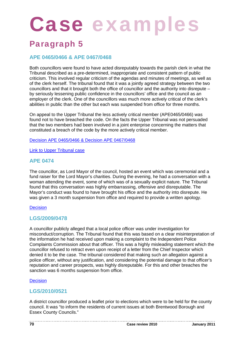### Paragraph 5

### **APE 0465/0466 & APE 0467/0468**

Both councillors were found to have acted disreputably towards the parish clerk in what the Tribunal described as a pre-determined, inappropriate and consistent pattern of public criticism. This involved regular criticism of the agendas and minutes of meetings, as well as of the clerk herself. The tribunal found that it was a jointly agreed strategy between the two councillors and that it brought both the office of councillor and the authority into disrepute  $$ by seriously lessening public confidence in the councillors' office and the council as an employer of the clerk. One of the councillors was much more actively critical of the clerk's abilities in public than the other but each was suspended from office for three months.

On appeal to the Upper Tribunal the less actively critical member (APE0465/0466) was found not to have breached the code. On the facts the Upper Tribunal was not persuaded that the two members had been involved in a joint enterprise concerning the matters that constituted a breach of the code by the more actively critical member.

Decision APE 0465/0466 & Decision APE 0467/0468

**Link to Upper Tribunal case** 

### **APE 0474**

The councillor, as Lord Mayor of the council, hosted an event which was ceremonial and a fund raiser for the Lord Mayor's charities. During the evening, he had a conversation with a woman attending the event, some of which was of a sexually explicit nature. The Tribunal found that this conversation was highly embarrassing, offensive and disreputable. The Mayor's conduct was found to have brought his office and the authority into disrepute. He was given a 3 month suspension from office and required to provide a written apology.

### **Decision**

### **LGS/2009/0478**

A councillor publicly alleged that a local police officer was under investigation for misconduct/corruption. The Tribunal found that this was based on a clear misinterpretation of the information he had received upon making a complaint to the Independent Police Complaints Commission about that officer. This was a highly misleading statement which the councillor refused to retract even upon receipt of a letter from the Chief Inspector which denied it to be the case. The tribunal considered that making such an allegation against a police officer, without any justification, and considering the potential damage to that officer's reputation and career prospects, was highly disreputable. For this and other breaches the sanction was 6 months suspension from office.

### **Decision**

### **LGS/2010/0521**

A district councillor produced a leaflet prior to elections which were to be held for the county council. It was "to inform the residents of current issues at both Brentwood Borough and Essex County Councils."

**70 Case review 2010 January 2011**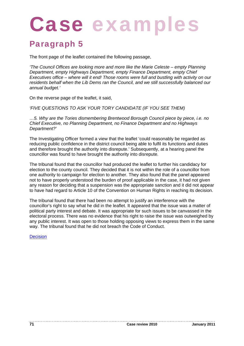### Paragraph 5

The front page of the leaflet contained the following passage,

*'The Council Offices are looking more and more like the Marie Celeste – empty Planning Department, empty Highways Department, empty Finance Department, empty Chief Executives office – where will it end! Those rooms were full and bustling with activity on our residents behalf when the Lib Dems ran the Council, and we still successfully balanced our annual budget.'*

On the reverse page of the leaflet, it said,

*'FIVE QUESTIONS TO ASK YOUR TORY CANDIDATE (IF YOU SEE THEM)*

*…5. Why are the Tories dismembering Brentwood Borough Council piece by piece, i.e. no Chief Executive, no Planning Department, no Finance Department and no Highways Department?'*

The Investigating Officer formed a view that the leaflet 'could reasonably be regarded as reducing public confidence in the district council being able to fulfil its functions and duties and therefore brought the authority into disrepute.' Subsequently, at a hearing panel the councillor was found to have brought the authority into disrepute.

The tribunal found that the councillor had produced the leaflet to further his candidacy for election to the county council. They decided that it is not within the role of a councillor from one authority to campaign for election to another. They also found that the panel appeared not to have properly understood the burden of proof applicable in the case, it had not given any reason for deciding that a suspension was the appropriate sanction and it did not appear to have had regard to Article 10 of the Convention on Human Rights in reaching its decision.

The tribunal found that there had been no attempt to justify an interference with the councillor's right to say what he did in the leaflet. It appeared that the issue was a matter of political party interest and debate. It was appropriate for such issues to be canvassed in the electoral process. There was no evidence that his right to raise the issue was outweighed by any public interest. It was open to those holding opposing views to express them in the same way. The tribunal found that he did not breach the Code of Conduct.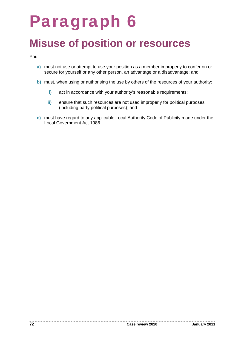## Paragraph 6

## **Misuse of position or resources**

You:

- **a)** must not use or attempt to use your position as a member improperly to confer on or secure for yourself or any other person, an advantage or a disadvantage; and
- **b)** must, when using or authorising the use by others of the resources of your authority:
	- **i)** act in accordance with your authority's reasonable requirements;
	- **ii)** ensure that such resources are not used improperly for political purposes (including party political purposes); and
- **c)** must have regard to any applicable Local Authority Code of Publicity made under the Local Government Act 1986.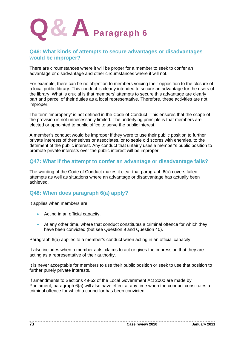

#### **Q46: What kinds of attempts to secure advantages or disadvantages would be improper?**

There are circumstances where it will be proper for a member to seek to confer an advantage or disadvantage and other circumstances where it will not.

For example, there can be no objection to members voicing their opposition to the closure of a local public library. This conduct is clearly intended to secure an advantage for the users of the library. What is crucial is that members' attempts to secure this advantage are clearly part and parcel of their duties as a local representative. Therefore, these activities are not improper.

The term 'improperly' is not defined in the Code of Conduct. This ensures that the scope of the provision is not unnecessarily limited. The underlying principle is that members are elected or appointed to public office to serve the public interest.

A member's conduct would be improper if they were to use their public position to further private interests of themselves or associates, or to settle old scores with enemies, to the detriment of the public interest. Any conduct that unfairly uses a member's public position to promote private interests over the public interest will be improper.

#### **Q47: What if the attempt to confer an advantage or disadvantage fails?**

The wording of the Code of Conduct makes it clear that paragraph 6(a) covers failed attempts as well as situations where an advantage or disadvantage has actually been achieved.

#### **Q48: When does paragraph 6(a) apply?**

It applies when members are:

- Acting in an official capacity.
- At any other time, where that conduct constitutes a criminal offence for which they have been convicted (but see Question 9 and Question 40).

Paragraph 6(a) applies to a member's conduct when acting in an official capacity.

It also includes when a member acts, claims to act or gives the impression that they are acting as a representative of their authority.

It is never acceptable for members to use their public position or seek to use that position to further purely private interests.

If amendments to Sections 49-52 of the Local Government Act 2000 are made by Parliament, paragraph 6(a) will also have effect at any time when the conduct constitutes a criminal offence for which a councillor has been convicted.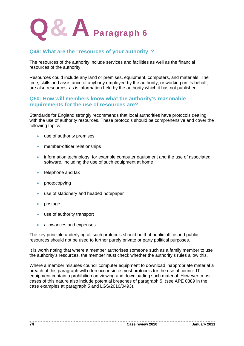

#### **Q49: What are the "resources of your authority"?**

The resources of the authority include services and facilities as well as the financial resources of the authority.

Resources could include any land or premises, equipment, computers, and materials. The time, skills and assistance of anybody employed by the authority, or working on its behalf, are also resources, as is information held by the authority which it has not published.

#### **Q50: How will members know what the authority's reasonable requirements for the use of resources are?**

Standards for England strongly recommends that local authorities have protocols dealing with the use of authority resources. These protocols should be comprehensive and cover the following topics:

- use of authority premises
- member-officer relationships
- information technology, for example computer equipment and the use of associated software, including the use of such equipment at home
- $\bullet$  telephone and fax
- photocopying
- use of stationery and headed notepaper
- postage
- use of authority transport
- allowances and expenses

The key principle underlying all such protocols should be that public office and public resources should not be used to further purely private or party political purposes.

It is worth noting that where a member authorises someone such as a family member to use the authority's resources, the member must check whether the authority's rules allow this.

Where a member misuses council computer equipment to download inappropriate material a breach of this paragraph will often occur since most protocols for the use of council IT equipment contain a prohibition on viewing and downloading such material. However, most cases of this nature also include potential breaches of paragraph 5. (see APE 0389 in the case examples at paragraph 5 and LGS/2010/0493).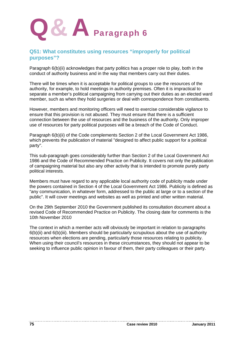

#### **Q51: What constitutes using resources "improperly for political purposes"?**

Paragraph 6(b)(ii) acknowledges that party politics has a proper role to play, both in the conduct of authority business and in the way that members carry out their duties.

There will be times when it is acceptable for political groups to use the resources of the authority, for example, to hold meetings in authority premises. Often it is impractical to separate a member's political campaigning from carrying out their duties as an elected ward member, such as when they hold surgeries or deal with correspondence from constituents.

However, members and monitoring officers will need to exercise considerable vigilance to ensure that this provision is not abused. They must ensure that there is a sufficient connection between the use of resources and the business of the authority. Only improper use of resources for party political purposes will be a breach of the Code of Conduct.

Paragraph 6(b)(ii) of the Code complements Section 2 of the Local Government Act 1986, which prevents the publication of material "designed to affect public support for a political party".

This sub-paragraph goes considerably further than Section 2 of the Local Government Act 1986 and the Code of Recommended Practice on Publicity. It covers not only the publication of campaigning material but also any other activity that is intended to promote purely party political interests.

Members must have regard to any applicable local authority code of publicity made under the powers contained in Section 4 of the Local Government Act 1986. Publicity is defined as "any communication, in whatever form, addressed to the public at large or to a section of the public". It will cover meetings and websites as well as printed and other written material.

On the 29th September 2010 the Government published its consultation document about a revised Code of Recommended Practice on Publicity. The closing date for comments is the 10th November 2010

The context in which a member acts will obviously be important in relation to paragraphs 6(b)(ii) and 6(b)(iii). Members should be particularly scrupulous about the use of authority resources when elections are pending, particularly those resources relating to publicity. When using their council's resources in these circumstances, they should not appear to be seeking to influence public opinion in favour of them, their party colleagues or their party.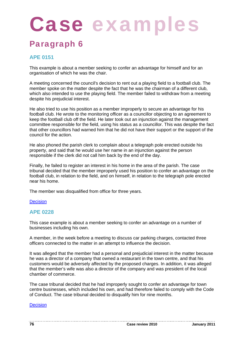# Case examp

### Paragraph 6

#### **APE 0151**

This example is about a member seeking to confer an advantage for himself and for an organisation of which he was the chair.

A meeting concerned the council's decision to rent out a playing field to a football club. The member spoke on the matter despite the fact that he was the chairman of a different club, which also intended to use the playing field. The member failed to withdraw from a meeting despite his prejudicial interest.

He also tried to use his position as a member improperly to secure an advantage for his football club. He wrote to the monitoring officer as a councillor objecting to an agreement to keep the football club off the field. He later took out an injunction against the management committee responsible for the field, using his status as a councillor. This was despite the fact that other councillors had warned him that he did not have their support or the support of the council for the action.

He also phoned the parish clerk to complain about a telegraph pole erected outside his property, and said that he would use her name in an injunction against the person responsible if the clerk did not call him back by the end of the day.

Finally, he failed to register an interest in his home in the area of the parish. The case tribunal decided that the member improperly used his position to confer an advantage on the football club, in relation to the field, and on himself, in relation to the telegraph pole erected near his home.

The member was disqualified from office for three years.

#### **Decision**

#### **APE 0228**

This case example is about a member seeking to confer an advantage on a number of businesses including his own.

A member, in the week before a meeting to discuss car parking charges, contacted three officers connected to the matter in an attempt to influence the decision.

It was alleged that the member had a personal and prejudicial interest in the matter because he was a director of a company that owned a restaurant in the town centre, and that his customers would be adversely affected by the proposed charges. In addition, it was alleged that the member's wife was also a director of the company and was president of the local chamber of commerce.

The case tribunal decided that he had improperly sought to confer an advantage for town centre businesses, which included his own, and had therefore failed to comply with the Code of Conduct. The case tribunal decided to disqualify him for nine months.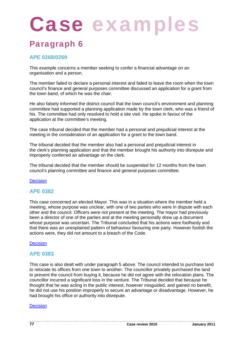# Case examples

### Paragraph 6

#### **APE 0268/0269**

This example concerns a member seeking to confer a financial advantage on an organisation and a person.

The member failed to declare a personal interest and failed to leave the room when the town council's finance and general purposes committee discussed an application for a grant from the town band, of which he was the chair.

He also falsely informed the district council that the town council's environment and planning committee had supported a planning application made by the town clerk, who was a friend of his. The committee had only resolved to hold a site visit. He spoke in favour of the application at the committee's meeting.

The case tribunal decided that the member had a personal and prejudicial interest at the meeting in the consideration of an application for a grant to the town band.

The tribunal decided that the member also had a personal and prejudicial interest in the clerk's planning application and that the member brought his authority into disrepute and improperly conferred an advantage on the clerk.

The tribunal decided that the member should be suspended for 12 months from the town council's planning committee and finance and general purposes committee.

#### **Decision**

#### **APE 0382**

This case concerned an elected Mayor. This was in a situation where the member held a meeting, whose purpose was unclear, with one of two parties who were in dispute with each other and the council. Officers were not present at the meeting. The mayor had previously been a director of one of the parties and at the meeting personally drew up a document whose purpose was uncertain. The Tribunal concluded that his actions were foolhardy and that there was an unexplained pattern of behaviour favouring one party. However foolish the actions were, they did not amount to a breach of the Code.

#### **Decision**

#### **APE 0383**

This case is also dealt with under paragraph 5 above. The council intended to purchase land to relocate its offices from one town to another. The councillor privately purchased the land to prevent the council from buying it, because he did not agree with the relocation plans. The councillor incurred a significant loss in the venture. The Tribunal decided that because he thought that he was acting in the public interest, however misguided, and gained no benefit, he did not use his position improperly to secure an advantage or disadvantage. However, he had brought his office or authority into disrepute.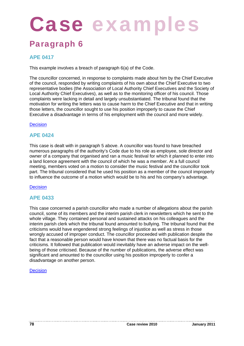# Case examp

### Paragraph 6

#### **APE 0417**

This example involves a breach of paragraph 6(a) of the Code.

The councillor concerned, in response to complaints made about him by the Chief Executive of the council, responded by writing complaints of his own about the Chief Executive to two representative bodies (the Association of Local Authority Chief Executives and the Society of Local Authority Chief Executives), as well as to the monitoring officer of his council. Those complaints were lacking in detail and largely unsubstantiated. The tribunal found that the motivation for writing the letters was to cause harm to the Chief Executive and that in writing those letters, the councillor sought to use his position improperly to cause the Chief Executive a disadvantage in terms of his employment with the council and more widely.

#### **Decision**

#### **APE 0424**

This case is dealt with in paragraph 5 above. A councillor was found to have breached numerous paragraphs of the authority's Code due to his role as employee, sole director and owner of a company that organised and ran a music festival for which it planned to enter into a land licence agreement with the council of which he was a member. At a full council meeting, members voted on a motion to consider the music festival and the councillor took part. The tribunal considered that he used his position as a member of the council improperly to influence the outcome of a motion which would be to his and his company's advantage.

#### Decision

#### **APE 0433**

This case concerned a parish councillor who made a number of allegations about the parish council, some of its members and the interim parish clerk in newsletters which he sent to the whole village. They contained personal and sustained attacks on his colleagues and the interim parish clerk which the tribunal found amounted to bullying. The tribunal found that the criticisms would have engendered strong feelings of injustice as well as stress in those wrongly accused of improper conduct. The councillor proceeded with publication despite the fact that a reasonable person would have known that there was no factual basis for the criticisms. It followed that publication would inevitably have an adverse impact on the wellbeing of those criticised. Because of the number of publications, the adverse effect was significant and amounted to the councillor using his position improperly to confer a disadvantage on another person.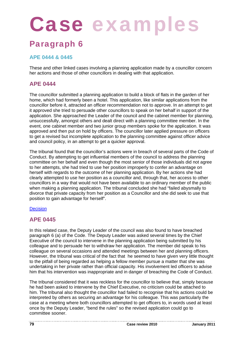# Case examples

### Paragraph 6

#### **APE 0444 & 0445**

These and other linked cases involving a planning application made by a councillor concern her actions and those of other councillors in dealing with that application.

#### **APE 0444**

The councillor submitted a planning application to build a block of flats in the garden of her home, which had formerly been a hotel. This application, like similar applications from the councillor before it, attracted an officer recommendation not to approve. In an attempt to get it approved she tried to persuade other councillors to speak on her behalf in support of the application. She approached the Leader of the council and the cabinet member for planning, unsuccessfully, amongst others and dealt direct with a planning committee member. In the event, one cabinet member and two junior group members spoke for the application. It was approved and then put on hold by officers. The councillor later applied pressure on officers to get a revised but incomplete application to the planning committee against officer advice and council policy, in an attempt to get a quicker approval.

The tribunal found that the councillor's actions were in breach of several parts of the Code of Conduct. By attempting to get influential members of the council to address the planning committee on her behalf and even though the most senior of those individuals did not agree to her attempts, she had tried to use her position improperly to confer an advantage on herself with regards to the outcome of her planning application. By her actions she had clearly attempted to use her position as a councillor and, through that, her access to other councillors in a way that would not have been available to an ordinary member of the public when making a planning application. The tribunal concluded she had "failed abysmally to divorce that private capacity from her position as a Councillor and she did seek to use that position to gain advantage for herself".

#### **Decision**

#### **APE 0445**

In this related case, the Deputy Leader of the council was also found to have breached paragraph 6 (a) of the Code. The Deputy Leader was asked several times by the Chief Executive of the council to intervene in the planning application being submitted by his colleague and to persuade her to withdraw her application. The member did speak to his colleague on several occasions and attended meetings between her and planning officers. However, the tribunal was critical of the fact that he seemed to have given very little thought to the pitfall of being regarded as helping a fellow member pursue a matter that she was undertaking in her private rather than official capacity. His involvement led officers to advise him that his intervention was inappropriate and in danger of breaching the Code of Conduct.

The tribunal considered that it was reckless for the councillor to believe that, simply because he had been asked to intervene by the Chief Executive, no criticism could be attached to him. The tribunal also thought the councillor had failed to recognise that his actions could be interpreted by others as securing an advantage for his colleague. This was particularly the case at a meeting where both councillors attempted to get officers to, in words used at least once by the Deputy Leader, "bend the rules" so the revised application could go to committee sooner.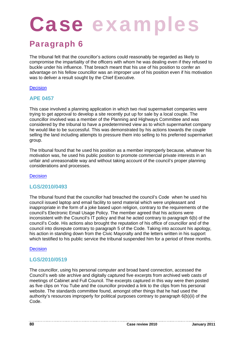# Case examp

### Paragraph 6

The tribunal felt that the councillor's actions could reasonably be regarded as likely to compromise the impartiality of the officers with whom he was dealing even if they refused to buckle under his influence. That breach meant that his use of his position to confer an advantage on his fellow councillor was an improper use of his position even if his motivation was to deliver a result sought by the Chief Executive.

#### **Decision**

#### **APE 0457**

This case involved a planning application in which two rival supermarket companies were trying to get approval to develop a site recently put up for sale by a local couple. The councillor involved was a member of the Planning and Highways Committee and was considered by the tribunal to have a predetermined view as to which supermarket company he would like to be successful. This was demonstrated by his actions towards the couple selling the land including attempts to pressure them into selling to his preferred supermarket group.

The tribunal found that he used his position as a member improperly because, whatever his motivation was, he used his public position to promote commercial private interests in an unfair and unreasonable way and without taking account of the council's proper planning considerations and processes.

**Decision** 

#### **LGS/2010/0493**

The tribunal found that the councillor had breached the council's Code when he used his council issued laptop and email facility to send material which were unpleasant and inappropriate in the form of a joke based upon religion, contrary to the requirements of the council's Electronic Email Usage Policy. The member agreed that his actions were inconsistent with the Council's IT policy and that he acted contrary to paragraph 6(b) of the council's Code. His actions also brought the reputation of his office of councillor and of the council into disrepute contrary to paragraph 5 of the Code. Taking into account his apology, his action in standing down from the Civic Mayoralty and the letters written in his support which testified to his public service the tribunal suspended him for a period of three months.

#### **Decision**

#### **LGS/2010/0519**

The councillor, using his personal computer and broad band connection, accessed the Council's web site archive and digitally captured five excerpts from archived web casts of meetings of Cabinet and Full Council. The excerpts captured in this way were then posted as five clips on You Tube and the councillor provided a link to the clips from his personal website. The standards committee found, amongst other things that he had used the authority's resources improperly for political purposes contrary to paragraph 6(b)(ii) of the Code.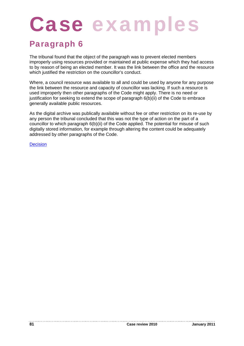# Case examp

### Paragraph 6

The tribunal found that the object of the paragraph was to prevent elected members improperly using resources provided or maintained at public expense which they had access to by reason of being an elected member. It was the link between the office and the resource which justified the restriction on the councillor's conduct.

Where, a council resource was available to all and could be used by anyone for any purpose the link between the resource and capacity of councillor was lacking. If such a resource is used improperly then other paragraphs of the Code might apply. There is no need or justification for seeking to extend the scope of paragraph 6(b)(ii) of the Code to embrace generally available public resources.

As the digital archive was publically available without fee or other restriction on its re-use by any person the tribunal concluded that this was not the type of action on the part of a councillor to which paragraph 6(b)(ii) of the Code applied. The potential for misuse of such digitally stored information, for example through altering the content could be adequately addressed by other paragraphs of the Code.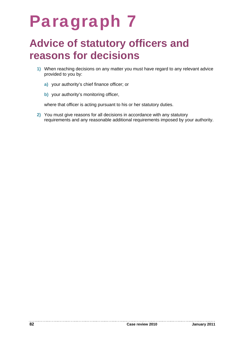## Paragraph 7

### **Advice of statutory officers and reasons for decisions**

- **1)** When reaching decisions on any matter you must have regard to any relevant advice provided to you by:
	- **a)** your authority's chief finance officer; or
	- **b)** your authority's monitoring officer,

where that officer is acting pursuant to his or her statutory duties.

**2)** You must give reasons for all decisions in accordance with any statutory requirements and any reasonable additional requirements imposed by your authority.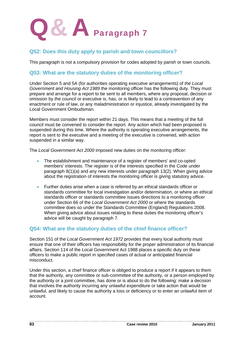

#### **Q52: Does this duty apply to parish and town councillors?**

This paragraph is not a compulsory provision for codes adopted by parish or town councils.

#### **Q53: What are the statutory duties of the monitoring officer?**

Under Section 5 and 5A (for authorities operating executive arrangements) of *the Local Government and Housing Act 1989* the monitoring officer has the following duty. They must prepare and arrange for a report to be sent to all members, where any proposal, decision or omission by the council or executive is, has, or is likely to lead to a contravention of any enactment or rule of law, or any maladministration or injustice, already investigated by the Local Government Ombudsman.

Members must consider the report within 21 days. This means that a meeting of the full council must be convened to consider the report. Any action which had been proposed is suspended during this time. Where the authority is operating executive arrangements, the report is sent to the executive and a meeting of the executive is convened, with action suspended in a similar way.

The *Local Government Act 2000* imposed new duties on the monitoring officer:

- The establishment and maintenance of a register of members' and co-opted members' interests. The register is of the interests specified in the Code under paragraph 8(1)(a) and any new interests under paragraph 13(2). When giving advice about the registration of interests the monitoring officer is giving statutory advice.
- Further duties arise when a case is referred by an ethical standards officer or standards committee for local investigation and/or determination, or where an ethical standards officer or standards committee issues directions to a monitoring officer under Section 66 of the *Local Government Act 2000* or where the standards committee does so under the Standards Committee (England) Regulations 2008. When giving advice about issues relating to these duties the monitoring officer's advice will be caught by paragraph 7.

#### **Q54: What are the statutory duties of the chief finance officer?**

Section 151 of the *Local Government Act 1972* provides that every local authority must ensure that one of their officers has responsibility for the proper administration of its financial affairs. Section 114 of the Local Government Act 1988 places a specific duty on these officers to make a public report in specified cases of actual or anticipated financial misconduct.

Under this section, a chief finance officer is obliged to produce a report if it appears to them that the authority, any committee or sub-committee of the authority, or a person employed by the authority or a joint committee, has done or is about to do the following: make a decision that involves the authority incurring any unlawful expenditure or take action that would be unlawful, and likely to cause the authority a loss or deficiency or to enter an unlawful item of account.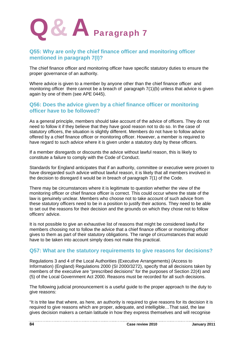

#### **Q55: Why are only the chief finance officer and monitoring officer mentioned in paragraph 7(I)?**

The chief finance officer and monitoring officer have specific statutory duties to ensure the proper governance of an authority.

Where advice is given to a member by anyone other than the chief finance officer and monitoring officer there cannot be a breach of paragraph 7(1)(b) unless that advice is given again by one of them (see APE 0445).

#### **Q56: Does the advice given by a chief finance officer or monitoring officer have to be followed?**

As a general principle, members should take account of the advice of officers. They do not need to follow it if they believe that they have good reason not to do so. In the case of statutory officers, the situation is slightly different. Members do not have to follow advice offered by a chief finance officer or monitoring officer. However, a member is required to have regard to such advice where it is given under a statutory duty by these officers.

If a member disregards or discounts the advice without lawful reason, this is likely to constitute a failure to comply with the Code of Conduct.

Standards for England anticipates that if an authority, committee or executive were proven to have disregarded such advice without lawful reason, it is likely that all members involved in the decision to disregard it would be in breach of paragraph 7(1) of the Code.

There may be circumstances where it is legitimate to question whether the view of the monitoring officer or chief finance officer is correct. This could occur where the state of the law is genuinely unclear. Members who choose not to take account of such advice from these statutory officers need to be in a position to justify their actions. They need to be able to set out the reasons for their decision and the grounds on which they chose not to follow officers' advice.

It is not possible to give an exhaustive list of reasons that might be considered lawful for members choosing not to follow the advice that a chief finance officer or monitoring officer gives to them as part of their statutory obligations. The range of circumstances that would have to be taken into account simply does not make this practical.

#### **Q57: What are the statutory requirements to give reasons for decisions?**

Regulations 3 and 4 of the Local Authorities (Executive Arrangements) (Access to Information) (England) Regulations 2000 (SI 2000/3272), specify that all decisions taken by members of the executive are "prescribed decisions" for the purposes of Section 22(4) and (5) of the Local Government Act 2000. Reasons must be recorded for all such decisions.

The following judicial pronouncement is a useful guide to the proper approach to the duty to give reasons:

"It is trite law that where, as here, an authority is required to give reasons for its decision it is required to give reasons which are proper, adequate, and intelligible…That said, the law gives decision makers a certain latitude in how they express themselves and will recognise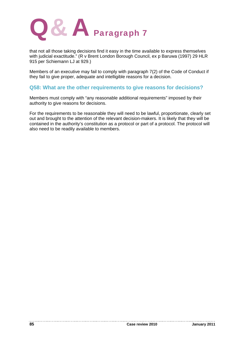

that not all those taking decisions find it easy in the time available to express themselves with judicial exactitude." (R v Brent London Borough Council, ex p Baruwa (1997) 29 HLR 915 per Schiemann LJ at 929.)

Members of an executive may fail to comply with paragraph 7(2) of the Code of Conduct if they fail to give proper, adequate and intelligible reasons for a decision.

#### **Q58: What are the other requirements to give reasons for decisions?**

Members must comply with "any reasonable additional requirements" imposed by their authority to give reasons for decisions.

For the requirements to be reasonable they will need to be lawful, proportionate, clearly set out and brought to the attention of the relevant decision-makers. It is likely that they will be contained in the authority's constitution as a protocol or part of a protocol. The protocol will also need to be readily available to members.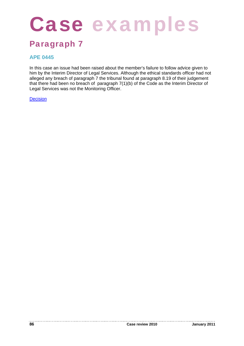# Case examples

### Paragraph 7

#### **APE 0445**

In this case an issue had been raised about the member's failure to follow advice given to him by the Interim Director of Legal Services. Although the ethical standards officer had not alleged any breach of paragraph 7 the tribunal found at paragraph 8.19 of their judgement that there had been no breach of paragraph 7(1)(b) of the Code as the Interim Director of Legal Services was not the Monitoring Officer.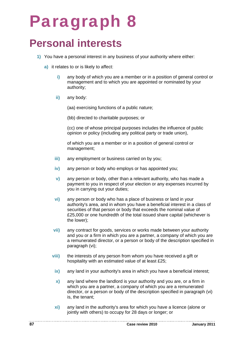## Paragraph 8

### **Personal interests**

- **1)** You have a personal interest in any business of your authority where either:
	- **a)** it relates to or is likely to affect:
		- **i)** any body of which you are a member or in a position of general control or management and to which you are appointed or nominated by your authority;
		- **ii)** any body:

(aa) exercising functions of a public nature;

(bb) directed to charitable purposes; or

(cc) one of whose principal purposes includes the influence of public opinion or policy (including any political party or trade union),

of which you are a member or in a position of general control or management;

- **iii)** any employment or business carried on by you;
- **iv)** any person or body who employs or has appointed you;
- **v)** any person or body, other than a relevant authority, who has made a payment to you in respect of your election or any expenses incurred by you in carrying out your duties;
- **vi)** any person or body who has a place of business or land in your authority's area, and in whom you have a beneficial interest in a class of securities of that person or body that exceeds the nominal value of £25,000 or one hundredth of the total issued share capital (whichever is the lower);
- **vii)** any contract for goods, services or works made between your authority and you or a firm in which you are a partner, a company of which you are a remunerated director, or a person or body of the description specified in paragraph (vi);
- **viii)** the interests of any person from whom you have received a gift or hospitality with an estimated value of at least £25;
- **ix)** any land in your authority's area in which you have a beneficial interest;
- **x)** any land where the landlord is your authority and you are, or a firm in which you are a partner, a company of which you are a remunerated director, or a person or body of the description specified in paragraph (vi) is, the tenant;
- **xi)** any land in the authority's area for which you have a licence (alone or jointly with others) to occupy for 28 days or longer; or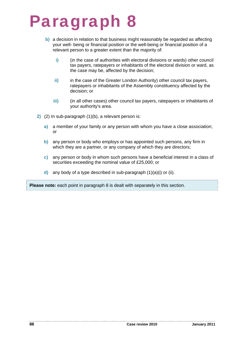## Paragraph 8

- **b)** a decision in relation to that business might reasonably be regarded as affecting your well- being or financial position or the well-being or financial position of a relevant person to a greater extent than the majority of:
	- **i)** (in the case of authorities with electoral divisions or wards) other council tax payers, ratepayers or inhabitants of the electoral division or ward, as the case may be, affected by the decision;
	- ii) in the case of the Greater London Authority) other council tax payers, ratepayers or inhabitants of the Assembly constituency affected by the decision; or
	- **iii)** (in all other cases) other council tax payers, ratepayers or inhabitants of your authority's area.
- **2)** (2) In sub-paragraph (1)(b), a relevant person is:
	- **a)** a member of your family or any person with whom you have a close association; or
	- **b)** any person or body who employs or has appointed such persons, any firm in which they are a partner, or any company of which they are directors:
	- **c)** any person or body in whom such persons have a beneficial interest in a class of securities exceeding the nominal value of £25,000; or
	- **d)** any body of a type described in sub-paragraph (1)(a)(i) or (ii).

**Please note:** each point in paragraph 8 is dealt with separately in this section.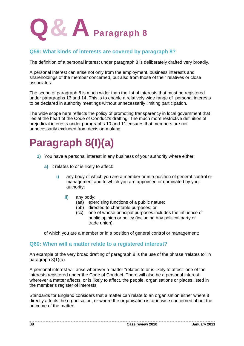

#### **Q59: What kinds of interests are covered by paragraph 8?**

The definition of a personal interest under paragraph 8 is deliberately drafted very broadly.

A personal interest can arise not only from the employment, business interests and shareholdings of the member concerned, but also from those of their relatives or close associates.

The scope of paragraph 8 is much wider than the list of interests that must be registered under paragraphs 13 and 14. This is to enable a relatively wide range of personal interests to be declared in authority meetings without unnecessarily limiting participation.

The wide scope here reflects the policy of promoting transparency in local government that lies at the heart of the Code of Conduct's drafting. The much more restrictive definition of prejudicial interests under paragraphs 10 and 11 ensures that members are not unnecessarily excluded from decision-making.

**Paragraph 8(I)(a)** 

- **1)** You have a personal interest in any business of your authority where either:
	- **a)** it relates to or is likely to affect:
		- **i)** any body of which you are a member or in a position of general control or management and to which you are appointed or nominated by your authority;
			- ii) any body:
				- (aa) exercising functions of a public nature;
				- (bb) directed to charitable purposes; or
				- (cc) one of whose principal purposes includes the influence of public opinion or policy (including any political party or trade union),

of which you are a member or in a position of general control or management;

#### **Q60: When will a matter relate to a registered interest?**

An example of the very broad drafting of paragraph 8 is the use of the phrase "relates to" in paragraph 8(1)(a).

A personal interest will arise wherever a matter "relates to or is likely to affect" one of the interests registered under the Code of Conduct. There will also be a personal interest wherever a matter affects, or is likely to affect, the people, organisations or places listed in the member's register of interests.

Standards for England considers that a matter can relate to an organisation either where it directly affects the organisation, or where the organisation is otherwise concerned about the outcome of the matter.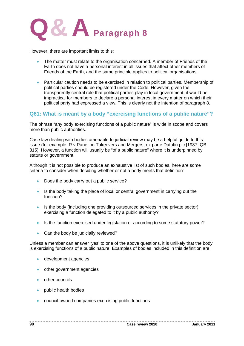

However, there are important limits to this:

- The matter must relate to the organisation concerned. A member of Friends of the Earth does not have a personal interest in all issues that affect other members of Friends of the Earth, and the same principle applies to political organisations.
- Particular caution needs to be exercised in relation to political parties. Membership of political parties should be registered under the Code. However, given the transparently central role that political parties play in local government, it would be impractical for members to declare a personal interest in every matter on which their political party had expressed a view. This is clearly not the intention of paragraph 8.

#### **Q61: What is meant by a body "exercising functions of a public nature"?**

The phrase "any body exercising functions of a public nature" is wide in scope and covers more than public authorities.

Case law dealing with bodies amenable to judicial review may be a helpful guide to this issue (for example, R v Panel on Takeovers and Mergers, ex parte Datafin plc [1987] QB 815). However, a function will usually be "of a public nature" where it is underpinned by statute or government.

Although it is not possible to produce an exhaustive list of such bodies, here are some criteria to consider when deciding whether or not a body meets that definition:

- Does the body carry out a public service?
- Is the body taking the place of local or central government in carrying out the function?
- Is the body (including one providing outsourced services in the private sector) exercising a function delegated to it by a public authority?
- Is the function exercised under legislation or according to some statutory power?
- Can the body be judicially reviewed?

Unless a member can answer 'yes' to one of the above questions, it is unlikely that the body is exercising functions of a public nature. Examples of bodies included in this definition are:

- development agencies
- other government agencies
- other councils
- public health bodies
- council-owned companies exercising public functions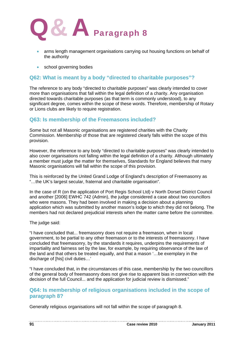

- arms length management organisations carrying out housing functions on behalf of the authority
- **•** school governing bodies

#### **Q62: What is meant by a body "directed to charitable purposes"?**

The reference to any body "directed to charitable purposes" was clearly intended to cover more than organisations that fall within the legal definition of a charity. Any organisation directed towards charitable purposes (as that term is commonly understood), to any significant degree, comes within the scope of these words. Therefore, membership of Rotary or Lions clubs are likely to require registration.

#### **Q63: Is membership of the Freemasons included?**

Some but not all Masonic organisations are registered charities with the Charity Commission. Membership of those that are registered clearly falls within the scope of this provision.

However, the reference to any body "directed to charitable purposes" was clearly intended to also cover organisations not falling within the legal definition of a charity. Although ultimately a member must judge the matter for themselves, Standards for England believes that many Masonic organisations will fall within the scope of this provision.

This is reinforced by the United Grand Lodge of England's description of Freemasonry as "…the UK's largest secular, fraternal and charitable organisation".

In the case of R (on the application of Port Regis School Ltd) v North Dorset District Council and another [2006] EWHC 742 (Admin), the judge considered a case about two councillors who were masons. They had been involved in making a decision about a planning application which was submitted by another mason's lodge to which they did not belong. The members had not declared prejudicial interests when the matter came before the committee.

The judge said:

"I have concluded that... freemasonry does not require a freemason, when in local government, to be partial to any other freemason or to the interests of freemasonry. I have concluded that freemasonry, by the standards it requires, underpins the requirements of impartiality and fairness set by the law, for example, by requiring observance of the law of the land and that others be treated equally, and that a mason '…be exemplary in the discharge of [his] civil duties…'

"I have concluded that, in the circumstances of this case, membership by the two councillors of the general body of freemasonry does not give rise to apparent bias in connection with the decision of the full Council... and the application for judicial review is dismissed."

#### **Q64: Is membership of religious organisations included in the scope of paragraph 8?**

Generally religious organisations will not fall within the scope of paragraph 8.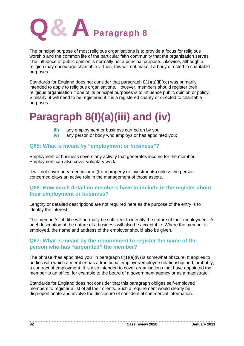

The principal purpose of most religious organisations is to provide a focus for religious worship and the common life of the particular faith community that the organisation serves. The influence of public opinion is normally not a principal purpose. Likewise, although a religion may encourage charitable virtues, this will not make it a body directed to charitable purposes.

Standards for England does not consider that paragraph 8(1)(a)(ii)(cc) was primarily intended to apply to religious organisations. However, members should register their religious organisation if one of its principal purposes is to influence public opinion or policy. Similarly, it will need to be registered if it is a registered charity or directed to charitable purposes.

## **Paragraph 8(I)(a)(iii) and (iv)**

- **iii)** any employment or business carried on by you;
- **iv)** any person or body who employs or has appointed you;

#### **Q65: What is meant by "employment or business"?**

Employment or business covers any activity that generates income for the member. Employment can also cover voluntary work.

It will not cover unearned income (from property or investments) unless the person concerned plays an active role in the management of those assets.

#### **Q66: How much detail do members have to include in the register about their employment or business?**

Lengthy or detailed descriptions are not required here as the purpose of the entry is to identify the interest.

The member's job title will normally be sufficient to identify the nature of their employment. A brief description of the nature of a business will also be acceptable. Where the member is employed, the name and address of the employer should also be given.

#### **Q67: What is meant by the requirement to register the name of the person who has "appointed" the member?**

The phrase "has appointed you" in paragraph 8(1)(a)(iv) is somewhat obscure. It applies to bodies with which a member has a traditional employer/employee relationship and, probably, a contract of employment. It is also intended to cover organisations that have appointed the member to an office, for example to the board of a government agency or as a magistrate.

Standards for England does not consider that this paragraph obliges self-employed members to register a list of all their clients. Such a requirement would clearly be disproportionate and involve the disclosure of confidential commercial information.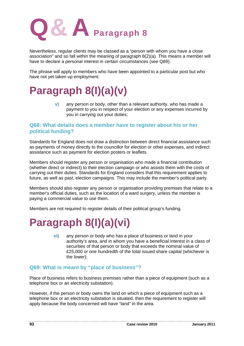

Nevertheless, regular clients may be classed as a "person with whom you have a close association" and so fall within the meaning of paragraph 8(2)(a). This means a member will have to declare a personal interest in certain circumstances (see Q89).

The phrase will apply to members who have been appointed to a particular post but who have not yet taken up employment.

## **Paragraph 8(I)(a)(v)**

**v)** any person or body, other than a relevant authority, who has made a payment to you in respect of your election or any expenses incurred by you in carrying out your duties;

#### **Q68: What details does a member have to register about his or her political funding?**

Standards for England does not draw a distinction between direct financial assistance such as payments of money directly to the councillor for election or other expenses, and indirect assistance such as payment for election posters or leaflets.

Members should register any person or organisation who made a financial contribution (whether direct or indirect) to their election campaign or who assists them with the costs of carrying out their duties. Standards for England considers that this requirement applies to future, as well as past, election campaigns. This may include the member's political party.

Members should also register any person or organisation providing premises that relate to a member's official duties, such as the location of a ward surgery, unless the member is paying a commercial value to use them.

Members are not required to register details of their political group's funding.

## **Paragraph 8(I)(a)(vi)**

**vi)** any person or body who has a place of business or land in your authority's area, and in whom you have a beneficial interest in a class of securities of that person or body that exceeds the nominal value of £25,000 or one hundredth of the total issued share capital (whichever is the lower);

#### **Q69: What is meant by "place of business"?**

Place of business refers to business premises rather than a piece of equipment (such as a telephone box or an electricity substation).

However, if the person or body owns the land on which a piece of equipment such as a telephone box or an electricity substation is situated, then the requirement to register will apply because the body concerned will have "land" in the area.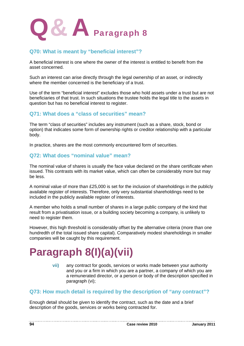

#### **Q70: What is meant by "beneficial interest"?**

A beneficial interest is one where the owner of the interest is entitled to benefit from the asset concerned.

Such an interest can arise directly through the legal ownership of an asset, or indirectly where the member concerned is the beneficiary of a trust.

Use of the term "beneficial interest" excludes those who hold assets under a trust but are not beneficiaries of that trust. In such situations the trustee holds the legal title to the assets in question but has no beneficial interest to register.

#### **Q71: What does a "class of securities" mean?**

The term "class of securities" includes any instrument (such as a share, stock, bond or option) that indicates some form of ownership rights or creditor relationship with a particular body.

In practice, shares are the most commonly encountered form of securities.

#### **Q72: What does "nominal value" mean?**

The nominal value of shares is usually the face value declared on the share certificate when issued. This contrasts with its market value, which can often be considerably more but may be less.

A nominal value of more than £25,000 is set for the inclusion of shareholdings in the publicly available register of interests. Therefore, only very substantial shareholdings need to be included in the publicly available register of interests.

A member who holds a small number of shares in a large public company of the kind that result from a privatisation issue, or a building society becoming a company, is unlikely to need to register them.

However, this high threshold is considerably offset by the alternative criteria (more than one hundredth of the total issued share capital). Comparatively modest shareholdings in smaller companies will be caught by this requirement.

## **Paragraph 8(I)(a)(vii)**

**vii)** any contract for goods, services or works made between your authority and you or a firm in which you are a partner, a company of which you are a remunerated director, or a person or body of the description specified in paragraph (vi);

#### **Q73: How much detail is required by the description of "any contract"?**

Enough detail should be given to identify the contract, such as the date and a brief description of the goods, services or works being contracted for.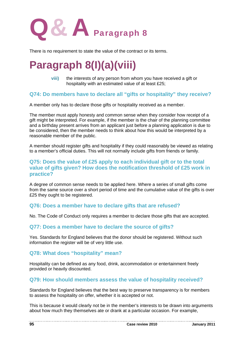

There is no requirement to state the value of the contract or its terms.

## **Paragraph 8(I)(a)(viii)**

**viii)** the interests of any person from whom you have received a gift or hospitality with an estimated value of at least £25;

#### **Q74: Do members have to declare all "gifts or hospitality" they receive?**

A member only has to declare those gifts or hospitality received as a member.

The member must apply honesty and common sense when they consider how receipt of a gift might be interpreted. For example, if the member is the chair of the planning committee and a birthday present arrives from an applicant just before a planning application is due to be considered, then the member needs to think about how this would be interpreted by a reasonable member of the public.

A member should register gifts and hospitality if they could reasonably be viewed as relating to a member's official duties. This will not normally include gifts from friends or family.

#### **Q75: Does the value of £25 apply to each individual gift or to the total value of gifts given? How does the notification threshold of £25 work in practice?**

A degree of common sense needs to be applied here. Where a series of small gifts come from the same source over a short period of time and the cumulative value of the gifts is over £25 they ought to be registered.

#### **Q76: Does a member have to declare gifts that are refused?**

No. The Code of Conduct only requires a member to declare those gifts that are accepted.

#### **Q77: Does a member have to declare the source of gifts?**

Yes. Standards for England believes that the donor should be registered. Without such information the register will be of very little use.

#### **Q78: What does "hospitality" mean?**

Hospitality can be defined as any food, drink, accommodation or entertainment freely provided or heavily discounted.

#### **Q79: How should members assess the value of hospitality received?**

Standards for England believes that the best way to preserve transparency is for members to assess the hospitality on offer, whether it is accepted or not.

This is because it would clearly not be in the member's interests to be drawn into arguments about how much they themselves ate or drank at a particular occasion. For example,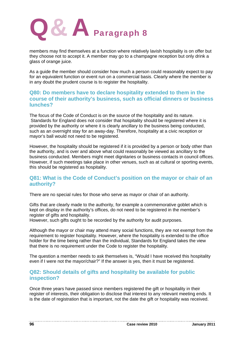

members may find themselves at a function where relatively lavish hospitality is on offer but they choose not to accept it. A member may go to a champagne reception but only drink a glass of orange juice.

As a guide the member should consider how much a person could reasonably expect to pay for an equivalent function or event run on a commercial basis. Clearly where the member is in any doubt the prudent course is to register the hospitality.

#### **Q80: Do members have to declare hospitality extended to them in the course of their authority's business, such as official dinners or business lunches?**

The focus of the Code of Conduct is on the source of the hospitality and its nature. Standards for England does not consider that hospitality should be registered where it is provided by the authority or where it is clearly ancillary to the business being conducted, such as an overnight stay for an away-day. Therefore, hospitality at a civic reception or mayor's ball would not need to be registered.

However, the hospitality should be registered if it is provided by a person or body other than the authority, and is over and above what could reasonably be viewed as ancillary to the business conducted. Members might meet dignitaries or business contacts in council offices. However, if such meetings take place in other venues, such as at cultural or sporting events, this should be registered as hospitality.

#### **Q81: What is the Code of Conduct's position on the mayor or chair of an authority?**

There are no special rules for those who serve as mayor or chair of an authority.

Gifts that are clearly made to the authority, for example a commemorative goblet which is kept on display in the authority's offices, do not need to be registered in the member's register of gifts and hospitality.

However, such gifts ought to be recorded by the authority for audit purposes.

Although the mayor or chair may attend many social functions, they are not exempt from the requirement to register hospitality. However, where the hospitality is extended to the office holder for the time being rather than the individual, Standards for England takes the view that there is no requirement under the Code to register the hospitality.

The question a member needs to ask themselves is, "Would I have received this hospitality even if I were not the mayor/chair?" If the answer is yes, then it must be registered.

#### **Q82: Should details of gifts and hospitality be available for public inspection?**

Once three years have passed since members registered the gift or hospitality in their register of interests, their obligation to disclose that interest to any relevant meeting ends. It is the date of registration that is important, not the date the gift or hospitality was received.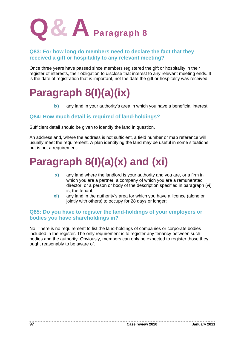

#### **Q83: For how long do members need to declare the fact that they received a gift or hospitality to any relevant meeting?**

Once three years have passed since members registered the gift or hospitality in their register of interests, their obligation to disclose that interest to any relevant meeting ends. It is the date of registration that is important, not the date the gift or hospitality was received.

## **Paragraph 8(I)(a)(ix)**

**ix)** any land in your authority's area in which you have a beneficial interest;

#### **Q84: How much detail is required of land-holdings?**

Sufficient detail should be given to identify the land in question.

An address and, where the address is not sufficient, a field number or map reference will usually meet the requirement. A plan identifying the land may be useful in some situations but is not a requirement.

## **Paragraph 8(I)(a)(x) and (xi)**

- **x)** any land where the landlord is your authority and you are, or a firm in which you are a partner, a company of which you are a remunerated director, or a person or body of the description specified in paragraph (vi) is, the tenant;
- **xi)** any land in the authority's area for which you have a licence (alone or jointly with others) to occupy for 28 days or longer;

#### **Q85: Do you have to register the land-holdings of your employers or bodies you have shareholdings in?**

No. There is no requirement to list the land-holdings of companies or corporate bodies included in the register. The only requirement is to register any tenancy between such bodies and the authority. Obviously, members can only be expected to register those they ought reasonably to be aware of.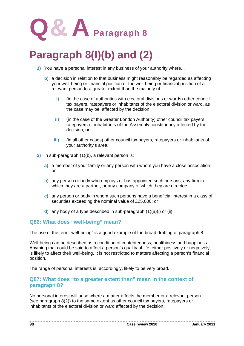

## **Paragraph 8(I)(b) and (2)**

- **1)** You have a personal interest in any business of your authority where...
	- **b)** a decision in relation to that business might reasonably be regarded as affecting your well-being or financial position or the well-being or financial position of a relevant person to a greater extent than the majority of:
		- **i)** (in the case of authorities with electoral divisions or wards) other council tax payers, ratepayers or inhabitants of the electoral division or ward, as the case may be, affected by the decision;
		- **ii)** (in the case of the Greater London Authority) other council tax payers, ratepayers or inhabitants of the Assembly constituency affected by the decision; or
		- **iii)** (in all other cases) other council tax payers, ratepayers or inhabitants of your authority's area.
- **2)** In sub-paragraph (1)(b), a relevant person is:
	- **a)** a member of your family or any person with whom you have a close association; or
	- **b)** any person or body who employs or has appointed such persons, any firm in which they are a partner, or any company of which they are directors;
	- **c)** any person or body in whom such persons have a beneficial interest in a class of securities exceeding the nominal value of £25,000; or
	- **d)** any body of a type described in sub-paragraph (1)(a)(i) or (ii).

#### **Q86: What does "well-being" mean?**

The use of the term "well-being" is a good example of the broad drafting of paragraph 8.

Well-being can be described as a condition of contentedness, healthiness and happiness. Anything that could be said to affect a person's quality of life, either positively or negatively, is likely to affect their well-being. It is not restricted to matters affecting a person's financial position.

The range of personal interests is, accordingly, likely to be very broad.

#### **Q87: What does "to a greater extent than" mean in the context of paragraph 8?**

No personal interest will arise where a matter affects the member or a relevant person (see paragraph 8(2)) to the same extent as other council tax payers, ratepayers or inhabitants of the electoral division or ward affected by the decision.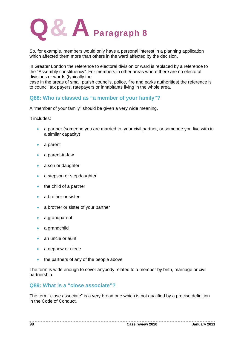

So, for example, members would only have a personal interest in a planning application which affected them more than others in the ward affected by the decision.

In Greater London the reference to electoral division or ward is replaced by a reference to the "Assembly constituency". For members in other areas where there are no electoral divisions or wards (typically the

case in the areas of small parish councils, police, fire and parks authorities) the reference is to council tax payers, ratepayers or inhabitants living in the whole area.

#### **Q88: Who is classed as "a member of your family"?**

A "member of your family" should be given a very wide meaning.

It includes:

- a partner (someone you are married to, your civil partner, or someone you live with in a similar capacity)
- a parent
- a parent-in-law
- a son or daughter
- a stepson or stepdaughter
- the child of a partner
- a brother or sister
- a brother or sister of your partner
- a grandparent
- a grandchild
- an uncle or aunt
- a nephew or niece
- the partners of any of the people above

The term is wide enough to cover anybody related to a member by birth, marriage or civil partnership.

#### **Q89: What is a "close associate"?**

The term "close associate" is a very broad one which is not qualified by a precise definition in the Code of Conduct.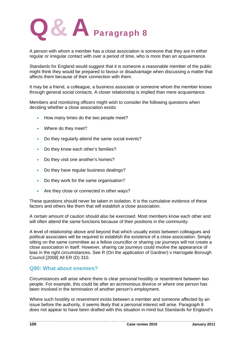

A person with whom a member has a close association is someone that they are in either regular or irregular contact with over a period of time, who is more than an acquaintance.

Standards for England would suggest that it is someone a reasonable member of the public might think they would be prepared to favour or disadvantage when discussing a matter that affects them because of their connection with them.

It may be a friend, a colleague, a business associate or someone whom the member knows through general social contacts. A closer relationship is implied than mere acquaintance.

Members and monitoring officers might wish to consider the following questions when deciding whether a close association exists:

- How many times do the two people meet?
- Where do they meet?
- Do they regularly attend the same social events?
- Do they know each other's families?
- Do they visit one another's homes?
- Do they have regular business dealings?
- Do they work for the same organisation?
- Are they close or connected in other ways?

These questions should never be taken in isolation. It is the cumulative evidence of these factors and others like them that will establish a close association.

A certain amount of caution should also be exercised. Most members know each other and will often attend the same functions because of their positions in the community.

A level of relationship above and beyond that which usually exists between colleagues and political associates will be required to establish the existence of a close association. Simply sitting on the same committee as a fellow councillor or sharing car journeys will not create a close association in itself. However, sharing car journeys could involve the appearance of bias in the right circumstances. See R (On the application of Gardner) v Harrogate Borough Council [2008] All ER (D) 310.

#### **Q90: What about enemies?**

Circumstances will arise where there is clear personal hostility or resentment between two people. For example, this could be after an acrimonious divorce or where one person has been involved in the termination of another person's employment.

Where such hostility or resentment exists between a member and someone affected by an issue before the authority, it seems likely that a personal interest will arise. Paragraph 8 does not appear to have been drafted with this situation in mind but Standards for England's

--------------------------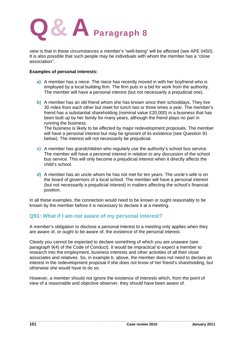

view is that in these circumstances a member's "well-being" will be affected (see APE 0450). It is also possible that such people may be individuals with whom the member has a "close association".

#### **Examples of personal interests:**

- **a)** A member has a niece. The niece has recently moved in with her boyfriend who is employed by a local building firm. The firm puts in a bid for work from the authority. The member will have a personal interest (but not necessarily a prejudicial one).
- **b)** A member has an old friend whom she has known since their schooldays. They live 30 miles from each other but meet for lunch two or three times a year. The member's friend has a substantial shareholding (nominal value £20,000) in a business that has been built up by her family for many years, although the friend plays no part in running the business.

The business is likely to be affected by major redevelopment proposals. The member will have a personal interest but may be ignorant of its existence (see Question 91 below). The interest will not necessarily be prejudicial.

- **c)** A member has grandchildren who regularly use the authority's school bus service. The member will have a personal interest in relation to any discussion of the school bus service. This will only become a prejudicial interest when it directly affects the child's school.
- **d)** A member has an uncle whom he has not met for ten years. The uncle's wife is on the board of governors of a local school. The member will have a personal interest (but not necessarily a prejudicial interest) in matters affecting the school's financial position.

In all these examples, the connection would need to be known or ought reasonably to be known by the member before it is necessary to declare it at a meeting.

#### **Q91: What if I am not aware of my personal interest?**

A member's obligation to disclose a personal interest to a meeting only applies when they are aware of, or ought to be aware of, the existence of the personal interest.

Clearly you cannot be expected to declare something of which you are unaware (see paragraph 9(4) of the Code of Conduct). It would be impractical to expect a member to research into the employment, business interests and other activities of all their close associates and relatives. So, in example b. above, the member does not need to declare an interest in the redevelopment proposal if she does not know of her friend's shareholding, but otherwise she would have to do so.

However, a member should not ignore the existence of interests which, from the point of view of a reasonable and objective observer, they should have been aware of.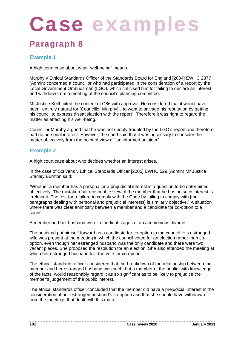# Case examp

### Paragraph 8

#### **Example 1**

A high court case about what "well-being" means.

Murphy v Ethical Standards Officer of the Standards Board for England [2004] EWHC 2377 (Admin) concerned a councillor who had participated in the consideration of a report by the Local Government Ombudsman (LGO), which criticised him for failing to declare an interest and withdraw from a meeting of the council's planning committee.

Mr Justice Keith cited the content of Q86 with approval. He considered that it would have been "entirely natural for [Councillor Murphy]…to want to salvage his reputation by getting his council to express dissatisfaction with the report". Therefore it was right to regard the matter as affecting his well-being.

Councillor Murphy argued that he was not unduly troubled by the LGO's report and therefore had no personal interest. However, the court said that it was necessary to consider the matter objectively from the point of view of "an informed outsider".

#### **Example 2**

A high court case about who decides whether an interest arises.

In the case of Scrivens v Ethical Standards Officer [2005] EWHC 529 (Admin) Mr Justice Stanley Burnton said:

"Whether a member has a personal or a prejudicial interest is a question to be determined objectively. The mistaken but reasonable view of the member that he has no such interest is irrelevant. The test for a failure to comply with the Code by failing to comply with [the paragraphs dealing with personal and prejudicial interests] is similarly objective." A situation where there was clear animosity between a member and a candidate for co-option to a council.

A member and her husband were in the final stages of an acrimonious divorce.

The husband put himself forward as a candidate for co-option to the council. His estranged wife was present at the meeting in which the council voted for an election rather than cooption, even though her estranged husband was the only candidate and there were two vacant places. She proposed the resolution for an election. She also attended the meeting at which her estranged husband lost the vote for co-option.

The ethical standards officer considered that the breakdown of the relationship between the member and her estranged husband was such that a member of the public, with knowledge of the facts, would reasonably regard it as so significant as to be likely to prejudice the member's judgement of the public interest.

The ethical standards officer concluded that the member did have a prejudicial interest in the consideration of her estranged husband's co-option and that she should have withdrawn from the meetings that dealt with this matter.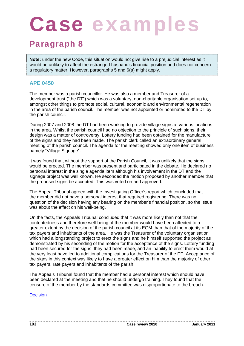# Case examp

### Paragraph 8

**Note:** under the new Code, this situation would not give rise to a prejudicial interest as it would be unlikely to affect the estranged husband's financial position and does not concern a regulatory matter. However, paragraphs 5 and 6(a) might apply.

#### **APE 0450**

The member was a parish councillor. He was also a member and Treasurer of a development trust ("the DT") which was a voluntary, non-charitable organisation set up to, amongst other things to promote social, cultural, economic and environmental regeneration in the area of the parish council. The member was not appointed or nominated to the DT by the parish council.

During 2007 and 2008 the DT had been working to provide village signs at various locations in the area. Whilst the parish council had no objection to the principle of such signs, their design was a matter of controversy. Lottery funding had been obtained for the manufacture of the signs and they had been made. The parish clerk called an extraordinary general meeting of the parish council. The agenda for the meeting showed only one item of business namely "Village Signage".

It was found that, without the support of the Parish Council, it was unlikely that the signs would be erected. The member was present and participated in the debate. He declared no personal interest in the single agenda item although his involvement in the DT and the signage project was well known. He seconded the motion proposed by another member that the proposed signs be accepted. This was voted on and approved.

The Appeal Tribunal agreed with the Investigating Officer's report which concluded that the member did not have a personal interest that required registering. There was no question of the decision having any bearing on the member's financial position, so the issue was about the effect on his well-being.

On the facts, the Appeals Tribunal concluded that it was more likely than not that the contentedness and therefore well-being of the member would have been affected to a greater extent by the decision of the parish council at its EGM than that of the majority of the tax payers and inhabitants of the area. He was the Treasurer of the voluntary organisation which had a longstanding project to erect the signs and he himself supported the project as demonstrated by his seconding of the motion for the acceptance of the signs. Lottery funding had been secured for the signs, they had been made, and an inability to erect them would at the very least have led to additional complications for the Treasurer of the DT. Acceptance of the signs in this context was likely to have a greater effect on him than the majority of other tax payers, rate payers and inhabitants of the parish.

The Appeals Tribunal found that the member had a personal interest which should have been declared at the meeting and that he should undergo training. They found that the censure of the member by the standards committee was disproportionate to the breach.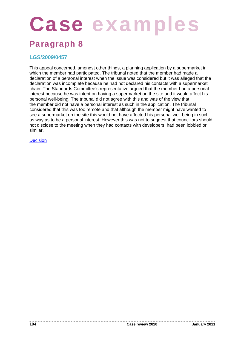# Case examples

### Paragraph 8

#### **LGS/2009/0457**

This appeal concerned, amongst other things, a planning application by a supermarket in which the member had participated. The tribunal noted that the member had made a declaration of a personal interest when the issue was considered but it was alleged that the declaration was incomplete because he had not declared his contacts with a supermarket chain. The Standards Committee's representative argued that the member had a personal interest because he was intent on having a supermarket on the site and it would affect his personal well-being. The tribunal did not agree with this and was of the view that the member did not have a personal interest as such in the application. The tribunal considered that this was too remote and that although the member might have wanted to see a supermarket on the site this would not have affected his personal well-being in such as way as to be a personal interest. However this was not to suggest that councillors should not disclose to the meeting when they had contacts with developers, had been lobbied or similar.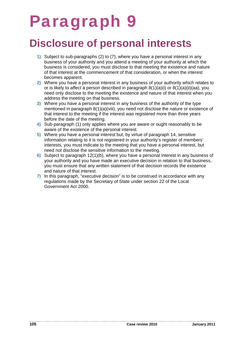## Paragraph 9

### **Disclosure of personal interests**

- **1)** Subject to sub-paragraphs (2) to (7), where you have a personal interest in any business of your authority and you attend a meeting of your authority at which the business is considered, you must disclose to that meeting the existence and nature of that interest at the commencement of that consideration, or when the interest becomes apparent.
- **2)** Where you have a personal interest in any business of your authority which relates to or is likely to affect a person described in paragraph 8(1)(a)(i) or 8(1)(a)(ii)(aa), you need only disclose to the meeting the existence and nature of that interest when you address the meeting on that business.
- **3)** Where you have a personal interest in any business of the authority of the type mentioned in paragraph 8(1)(a)(viii), you need not disclose the nature or existence of that interest to the meeting if the interest was registered more than three years before the date of the meeting.
- **4)** Sub-paragraph (1) only applies where you are aware or ought reasonably to be aware of the existence of the personal interest.
- **5)** Where you have a personal interest but, by virtue of paragraph 14, sensitive information relating to it is not registered in your authority's register of members' interests, you must indicate to the meeting that you have a personal interest, but need not disclose the sensitive information to the meeting.
- **6)** Subject to paragraph 12(1)(b), where you have a personal interest in any business of your authority and you have made an executive decision in relation to that business, you must ensure that any written statement of that decision records the existence and nature of that interest.
- **7)** In this paragraph, "executive decision" is to be construed in accordance with any regulations made by the Secretary of State under section 22 of the Local Government Act 2000.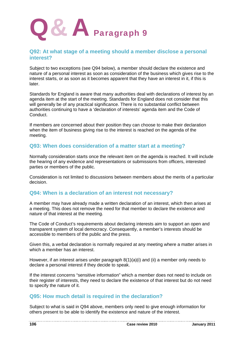

#### **Q92: At what stage of a meeting should a member disclose a personal interest?**

Subject to two exceptions (see Q94 below), a member should declare the existence and nature of a personal interest as soon as consideration of the business which gives rise to the interest starts, or as soon as it becomes apparent that they have an interest in it, if this is later.

Standards for England is aware that many authorities deal with declarations of interest by an agenda item at the start of the meeting. Standards for England does not consider that this will generally be of any practical significance. There is no substantial conflict between authorities continuing to have a 'declaration of interests' agenda item and the Code of Conduct.

If members are concerned about their position they can choose to make their declaration when the item of business giving rise to the interest is reached on the agenda of the meeting.

#### **Q93: When does consideration of a matter start at a meeting?**

Normally consideration starts once the relevant item on the agenda is reached. It will include the hearing of any evidence and representations or submissions from officers, interested parties or members of the public.

Consideration is not limited to discussions between members about the merits of a particular decision.

#### **Q94: When is a declaration of an interest not necessary?**

A member may have already made a written declaration of an interest, which then arises at a meeting. This does not remove the need for that member to declare the existence and nature of that interest at the meeting.

The Code of Conduct's requirements about declaring interests aim to support an open and transparent system of local democracy. Consequently, a member's interests should be accessible to members of the public and the press.

Given this, a verbal declaration is normally required at any meeting where a matter arises in which a member has an interest.

However, if an interest arises under paragraph 8(1)(a)(i) and (ii) a member only needs to declare a personal interest if they decide to speak.

If the interest concerns "sensitive information" which a member does not need to include on their register of interests, they need to declare the existence of that interest but do not need to specify the nature of it.

#### **Q95: How much detail is required in the declaration?**

Subject to what is said in Q94 above, members only need to give enough information for others present to be able to identify the existence and nature of the interest.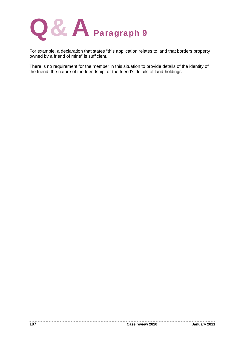

For example, a declaration that states "this application relates to land that borders property owned by a friend of mine" is sufficient.

There is no requirement for the member in this situation to provide details of the identity of the friend, the nature of the friendship, or the friend's details of land-holdings.

. . . . . . . . .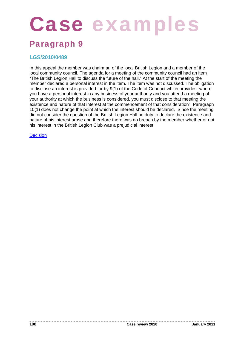# Case examples

### Paragraph 9

#### **LGS/2010/0489**

In this appeal the member was chairman of the local British Legion and a member of the local community council. The agenda for a meeting of the community council had an item "The British Legion Hall to discuss the future of the hall." At the start of the meeting the member declared a personal interest in the item. The item was not discussed. The obligation to disclose an interest is provided for by 9(1) of the Code of Conduct which provides "where you have a personal interest in any business of your authority and you attend a meeting of your authority at which the business is considered, you must disclose to that meeting the existence and nature of that interest at the commencement of that consideration". Paragraph 10(1) does not change the point at which the interest should be declared. Since the meeting did not consider the question of the British Legion Hall no duty to declare the existence and nature of his interest arose and therefore there was no breach by the member whether or not his interest in the British Legion Club was a prejudicial interest.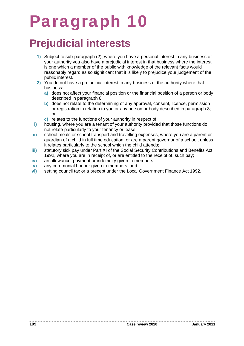### Paragraph 10

### **Prejudicial interests**

- **1)** Subject to sub-paragraph (2), where you have a personal interest in any business of your authority you also have a prejudicial interest in that business where the interest is one which a member of the public with knowledge of the relevant facts would reasonably regard as so significant that it is likely to prejudice your judgement of the public interest.
- **2)** You do not have a prejudicial interest in any business of the authority where that business:
	- **a)** does not affect your financial position or the financial position of a person or body described in paragraph 8;
	- **b)** does not relate to the determining of any approval, consent, licence, permission or registration in relation to you or any person or body described in paragraph 8; or
	- **c)** relates to the functions of your authority in respect of:
- **i)** housing, where you are a tenant of your authority provided that those functions do not relate particularly to your tenancy or lease;
- **ii)** school meals or school transport and travelling expenses, where you are a parent or guardian of a child in full time education, or are a parent governor of a school, unless it relates particularly to the school which the child attends;
- **iii)** statutory sick pay under Part XI of the Social Security Contributions and Benefits Act 1992, where you are in receipt of, or are entitled to the receipt of, such pay;
- **iv)** an allowance, payment or indemnity given to members;
- **v)** any ceremonial honour given to members; and
- **vi)** setting council tax or a precept under the Local Government Finance Act 1992.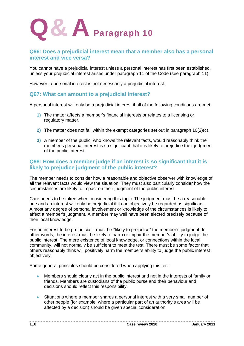

### **Q96: Does a prejudicial interest mean that a member also has a personal interest and vice versa?**

You cannot have a prejudicial interest unless a personal interest has first been established, unless your prejudicial interest arises under paragraph 11 of the Code (see paragraph 11).

However, a personal interest is not necessarily a prejudicial interest.

### **Q97: What can amount to a prejudicial interest?**

A personal interest will only be a prejudicial interest if all of the following conditions are met:

- **1)** The matter affects a member's financial interests or relates to a licensing or regulatory matter.
- **2)** The matter does not fall within the exempt categories set out in paragraph 10(2)(c).
- **3)** A member of the public, who knows the relevant facts, would reasonably think the member's personal interest is so significant that it is likely to prejudice their judgment of the public interest.

### **Q98: How does a member judge if an interest is so significant that it is likely to prejudice judgment of the public interest?**

The member needs to consider how a reasonable and objective observer with knowledge of all the relevant facts would view the situation. They must also particularly consider how the circumstances are likely to impact on their judgment of the public interest.

Care needs to be taken when considering this topic. The judgment must be a reasonable one and an interest will only be prejudicial if it can objectively be regarded as significant. Almost any degree of personal involvement or knowledge of the circumstances is likely to affect a member's judgment. A member may well have been elected precisely because of their local knowledge.

For an interest to be prejudicial it must be "likely to prejudice" the member's judgment. In other words, the interest must be likely to harm or impair the member's ability to judge the public interest. The mere existence of local knowledge, or connections within the local community, will not normally be sufficient to meet the test. There must be some factor that others reasonably think will positively harm the member's ability to judge the public interest objectively.

Some general principles should be considered when applying this test:

- Members should clearly act in the public interest and not in the interests of family or friends. Members are custodians of the public purse and their behaviour and decisions should reflect this responsibility.
- Situations where a member shares a personal interest with a very small number of other people (for example, where a particular part of an authority's area will be affected by a decision) should be given special consideration.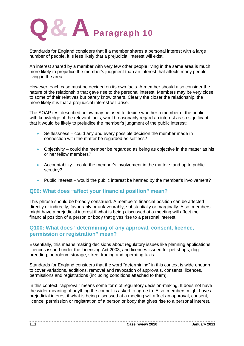

Standards for England considers that if a member shares a personal interest with a large number of people, it is less likely that a prejudicial interest will exist.

An interest shared by a member with very few other people living in the same area is much more likely to prejudice the member's judgment than an interest that affects many people living in the area.

However, each case must be decided on its own facts. A member should also consider the nature of the relationship that gave rise to the personal interest. Members may be very close to some of their relatives but barely know others. Clearly the closer the relationship, the more likely it is that a prejudicial interest will arise.

The SOAP test described below may be used to decide whether a member of the public, with knowledge of the relevant facts, would reasonably regard an interest as so significant that it would be likely to prejudice the member's judgment of the public interest:

- Selflessness could any and every possible decision the member made in connection with the matter be regarded as selfless?
- Objectivity could the member be regarded as being as objective in the matter as his or her fellow members?
- Accountability could the member's involvement in the matter stand up to public scrutiny?
- Public interest would the public interest be harmed by the member's involvement?

### **Q99: What does "affect your financial position" mean?**

This phrase should be broadly construed. A member's financial position can be affected directly or indirectly, favourably or unfavourably, substantially or marginally. Also, members might have a prejudicial interest if what is being discussed at a meeting will affect the financial position of a person or body that gives rise to a personal interest.

### **Q100: What does "determining of any approval, consent, licence, permission or registration" mean?**

Essentially, this means making decisions about regulatory issues like planning applications, licences issued under the Licensing Act 2003, and licences issued for pet shops, dog breeding, petroleum storage, street trading and operating taxis.

Standards for England considers that the word "determining" in this context is wide enough to cover variations, additions, removal and revocation of approvals, consents, licences, permissions and registrations (including conditions attached to them).

In this context, "approval" means some form of regulatory decision-making. It does not have the wider meaning of anything the council is asked to agree to. Also, members might have a prejudicial interest if what is being discussed at a meeting will affect an approval, consent, licence, permission or registration of a person or body that gives rise to a personal interest.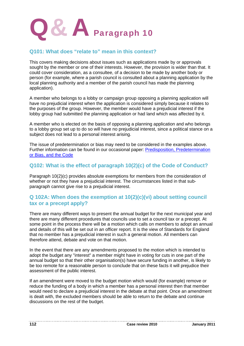

### **Q101: What does "relate to" mean in this context?**

This covers making decisions about issues such as applications made by or approvals sought by the member or one of their interests. However, the provision is wider than that. It could cover consideration, as a consultee, of a decision to be made by another body or person (for example, where a parish council is consulted about a planning application by the local planning authority and a member of the parish council has made the planning application).

A member who belongs to a lobby or campaign group opposing a planning application will have no prejudicial interest when the application is considered simply because it relates to the purposes of the group. However, the member would have a prejudicial interest if the lobby group had submitted the planning application or had land which was affected by it.

A member who is elected on the basis of opposing a planning application and who belongs to a lobby group set up to do so will have no prejudicial interest, since a political stance on a subject does not lead to a personal interest arising.

The issue of predetermination or bias may need to be considered in the examples above. Further information can be found in our occasional paper: Predisposition, Predetermination or Bias, and the Code

### **Q102: What is the effect of paragraph 10(2)(c) of the Code of Conduct?**

Paragraph 10(2)(c) provides absolute exemptions for members from the consideration of whether or not they have a prejudicial interest. The circumstances listed in that subparagraph cannot give rise to a prejudicial interest.

### **Q 102A: When does the exemption at 10(2)(c)(vi) about setting council tax or a precept apply?**

There are many different ways to present the annual budget for the next municipal year and there are many different procedures that councils use to set a council tax or a precept. At some point in the process there will be a motion which calls on members to adopt an annual and details of this will be set out in an officer report. It is the view of Standards for England that no member has a prejudicial interest in such a general motion. All members can therefore attend, debate and vote on that motion.

In the event that there are any amendments proposed to the motion which is intended to adopt the budget any "interest" a member might have in voting for cuts in one part of the annual budget so that their other organisation(s) have secure funding in another, is likely to be too remote for a reasonable person to conclude that on these facts it will prejudice their assessment of the public interest.

If an amendment were moved to the budget motion which would (for example) remove or reduce the funding of a body in which a member has a personal interest then that member would need to declare a prejudicial interest in the debate at that point. Once an amendment is dealt with, the excluded members should be able to return to the debate and continue discussions on the rest of the budget.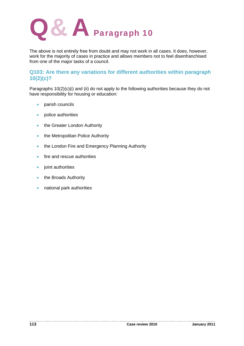

The above is not entirely free from doubt and may not work in all cases. It does, however, work for the majority of cases in practice and allows members not to feel disenfranchised from one of the major tasks of a council.

### **Q103: Are there any variations for different authorities within paragraph 10(2)(c)?**

Paragraphs 10(2)(c)(i) and (ii) do not apply to the following authorities because they do not have responsibility for housing or education:

- parish councils
- police authorities
- the Greater London Authority
- the Metropolitan Police Authority
- the London Fire and Emergency Planning Authority
- **fire and rescue authorities**
- joint authorities
- the Broads Authority
- national park authorities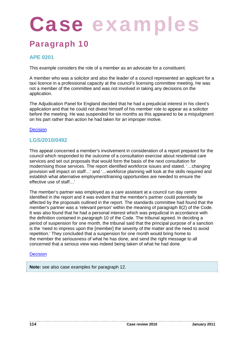# Case examp

### Paragraph 10

### **APE 0201**

This example considers the role of a member as an advocate for a constituent.

A member who was a solicitor and also the leader of a council represented an applicant for a taxi licence in a professional capacity at the council's licensing committee meeting. He was not a member of the committee and was not involved in taking any decisions on the application.

The Adjudication Panel for England decided that he had a prejudicial interest in his client's application and that he could not divest himself of his member role to appear as a solicitor before the meeting. He was suspended for six months as this appeared to be a misjudgment on his part rather than action he had taken for an improper motive.

#### Decision

### **LGS/2010/0492**

This appeal concerned a member's involvement in consideration of a report prepared for the council which responded to the outcome of a consultation exercise about residential care services and set out proposals that would form the basis of the next consultation for modernising those services. The report identified workforce issues and stated. '…changing provision will impact on staff…' and '…workforce planning will look at the skills required and establish what alternative employment/training opportunities are needed to ensure the effective use of staff…'

The member's partner was employed as a care assistant at a council run day centre identified in the report and it was evident that the member's partner could potentially be affected by the proposals outlined in the report. The standards committee had found that the member's partner was a 'relevant person' within the meaning of paragraph 8(2) of the Code. It was also found that he had a personal interest which was prejudicial in accordance with the definition contained in paragraph 10 of the Code. The tribunal agreed. In deciding a period of suspension for one month, the tribunal said that the principal purpose of a sanction is the 'need to impress upon the [member] the severity of the matter and the need to avoid repetition.' They concluded that a suspension for one month would bring home to the member the seriousness of what he has done, and send the right message to all concerned that a serious view was indeed being taken of what he had done.

#### **Decision**

**Note:** see also case examples for paragraph 12.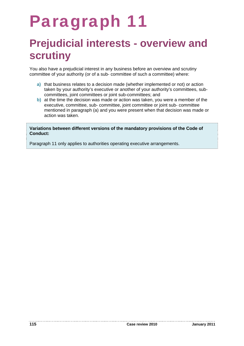### Paragraph 11

### **Prejudicial interests - overview and scrutiny**

You also have a prejudicial interest in any business before an overview and scrutiny committee of your authority (or of a sub- committee of such a committee) where:

- **a)** that business relates to a decision made (whether implemented or not) or action taken by your authority's executive or another of your authority's committees, subcommittees, joint committees or joint sub-committees; and
- **b)** at the time the decision was made or action was taken, you were a member of the executive, committee, sub- committee, joint committee or joint sub- committee mentioned in paragraph (a) and you were present when that decision was made or action was taken.

**Variations between different versions of the mandatory provisions of the Code of Conduct:** 

Paragraph 11 only applies to authorities operating executive arrangements.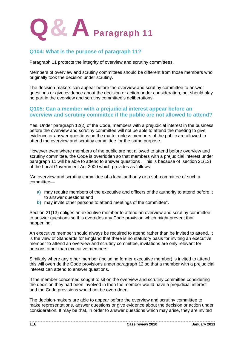

### **Q104: What is the purpose of paragraph 11?**

Paragraph 11 protects the integrity of overview and scrutiny committees.

Members of overview and scrutiny committees should be different from those members who originally took the decision under scrutiny.

The decision-makers can appear before the overview and scrutiny committee to answer questions or give evidence about the decision or action under consideration, but should play no part in the overview and scrutiny committee's deliberations.

### **Q105: Can a member with a prejudicial interest appear before an overview and scrutiny committee if the public are not allowed to attend?**

Yes. Under paragraph 12(2) of the Code, members with a prejudicial interest in the business before the overview and scrutiny committee will not be able to attend the meeting to give evidence or answer questions on the matter unless members of the public are allowed to attend the overview and scrutiny committee for the same purpose.

However even where members of the public are not allowed to attend before overview and scrutiny committee, the Code is overridden so that members with a prejudicial interest under paragraph 11 will be able to attend to answer questions . This is because of section 21(13) of the Local Government Act 2000 which provides as follows:

"An overview and scrutiny committee of a local authority or a sub-committee of such a committee—

- **a)** may require members of the executive and officers of the authority to attend before it to answer questions and
- **b)** may invite other persons to attend meetings of the committee".

Section 21(13) obliges an executive member to attend an overview and scrutiny committee to answer questions so this overrides any Code provision which might prevent that happening.

An executive member should always be required to attend rather than be invited to attend. It is the view of Standards for England that there is no statutory basis for inviting an executive member to attend an overview and scrutiny committee, invitations are only relevant for persons other than executive members.

Similarly where any other member (including former executive member) is invited to attend this will override the Code provisions under paragraph 12 so that a member with a prejudicial interest can attend to answer questions.

If the member concerned sought to sit on the overview and scrutiny committee considering the decision they had been involved in then the member would have a prejudicial interest and the Code provisions would not be overridden.

The decision-makers are able to appear before the overview and scrutiny committee to make representations, answer questions or give evidence about the decision or action under consideration. It may be that, in order to answer questions which may arise, they are invited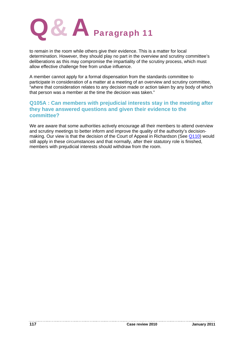

to remain in the room while others give their evidence. This is a matter for local determination. However, they should play no part in the overview and scrutiny committee's deliberations as this may compromise the impartiality of the scrutiny process, which must allow effective challenge free from undue influence.

A member cannot apply for a formal dispensation from the standards committee to participate in consideration of a matter at a meeting of an overview and scrutiny committee, "where that consideration relates to any decision made or action taken by any body of which that person was a member at the time the decision was taken."

### **Q105A : Can members with prejudicial interests stay in the meeting after they have answered questions and given their evidence to the committee?**

We are aware that some authorities actively encourage all their members to attend overview and scrutiny meetings to better inform and improve the quality of the authority's decisionmaking. Our view is that the decision of the Court of Appeal in Richardson (See Q110) would still apply in these circumstances and that normally, after their statutory role is finished, members with prejudicial interests should withdraw from the room.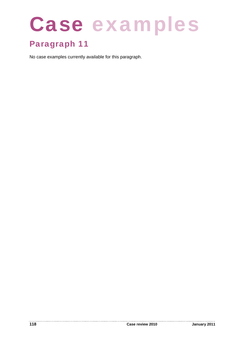# Case examples

### Paragraph 11

No case examples currently available for this paragraph.

. . . . . . . . . . . .

. . . . . . . . . .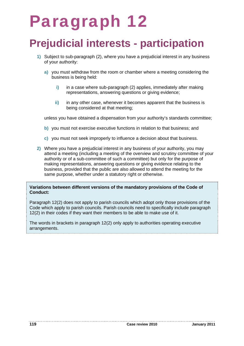### Paragraph 12

### **Prejudicial interests - participation**

- **1)** Subject to sub-paragraph (2), where you have a prejudicial interest in any business of your authority:
	- **a)** you must withdraw from the room or chamber where a meeting considering the business is being held:
		- **i)** in a case where sub-paragraph (2) applies, immediately after making representations, answering questions or giving evidence;
		- **ii)** in any other case, whenever it becomes apparent that the business is being considered at that meeting;

unless you have obtained a dispensation from your authority's standards committee;

- **b)** you must not exercise executive functions in relation to that business; and
- **c)** you must not seek improperly to influence a decision about that business.
- **2)** Where you have a prejudicial interest in any business of your authority, you may attend a meeting (including a meeting of the overview and scrutiny committee of your authority or of a sub-committee of such a committee) but only for the purpose of making representations, answering questions or giving evidence relating to the business, provided that the public are also allowed to attend the meeting for the same purpose, whether under a statutory right or otherwise.

#### **Variations between different versions of the mandatory provisions of the Code of Conduct:**

Paragraph 12(2) does not apply to parish councils which adopt only those provisions of the Code which apply to parish councils. Parish councils need to specifically include paragraph 12(2) in their codes if they want their members to be able to make use of it.

The words in brackets in paragraph 12(2) only apply to authorities operating executive arrangements.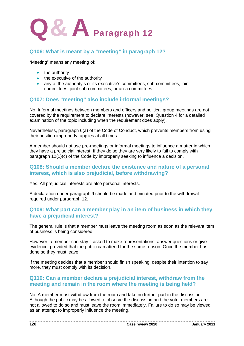

### **Q106: What is meant by a "meeting" in paragraph 12?**

"Meeting" means any meeting of:

- the authority
- the executive of the authority
- any of the authority's or its executive's committees, sub-committees, joint committees, joint sub-committees, or area committees

### **Q107: Does "meeting" also include informal meetings?**

No. Informal meetings between members and officers and political group meetings are not covered by the requirement to declare interests (however, see Question 4 for a detailed examination of the topic including when the requirement does apply).

Nevertheless, paragraph 6(a) of the Code of Conduct, which prevents members from using their position improperly, applies at all times.

A member should not use pre-meetings or informal meetings to influence a matter in which they have a prejudicial interest. If they do so they are very likely to fail to comply with paragraph 12(1)(c) of the Code by improperly seeking to influence a decision.

### **Q108: Should a member declare the existence and nature of a personal interest, which is also prejudicial, before withdrawing?**

Yes. All prejudicial interests are also personal interests.

A declaration under paragraph 9 should be made and minuted prior to the withdrawal required under paragraph 12.

### **Q109: What part can a member play in an item of business in which they have a prejudicial interest?**

The general rule is that a member must leave the meeting room as soon as the relevant item of business is being considered.

However, a member can stay if asked to make representations, answer questions or give evidence, provided that the public can attend for the same reason. Once the member has done so they must leave.

If the meeting decides that a member should finish speaking, despite their intention to say more, they must comply with its decision.

### **Q110: Can a member declare a prejudicial interest, withdraw from the meeting and remain in the room where the meeting is being held?**

No. A member must withdraw from the room and take no further part in the discussion. Although the public may be allowed to observe the discussion and the vote, members are not allowed to do so and must leave the room immediately. Failure to do so may be viewed as an attempt to improperly influence the meeting.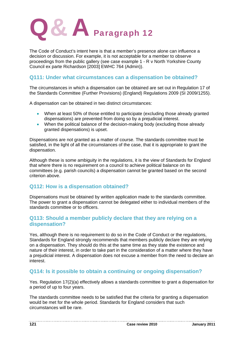

The Code of Conduct's intent here is that a member's presence alone can influence a decision or discussion. For example, it is not acceptable for a member to observe proceedings from the public gallery (see case example 1 - R v North Yorkshire County Council ex parte Richardson [2003] EWHC 764 (Admin)).

### **Q111: Under what circumstances can a dispensation be obtained?**

The circumstances in which a dispensation can be obtained are set out in Regulation 17 of the Standards Committee (Further Provisions) (England) Regulations 2009 (SI 2009/1255).

A dispensation can be obtained in two distinct circumstances:

- When at least 50% of those entitled to participate (excluding those already granted dispensations) are prevented from doing so by a prejudicial interest.
- When the political balance of the decision-making body (excluding those already granted dispensations) is upset.

Dispensations are not granted as a matter of course. The standards committee must be satisfied, in the light of all the circumstances of the case, that it is appropriate to grant the dispensation.

Although these is some ambiguity in the regulations, it is the view of Standards for England that where there is no requirement on a council to achieve political balance on its committees (e.g. parish councils) a dispensation cannot be granted based on the second criterion above.

### **Q112: How is a dispensation obtained?**

Dispensations must be obtained by written application made to the standards committee. The power to grant a dispensation cannot be delegated either to individual members of the standards committee or to officers.

### **Q113: Should a member publicly declare that they are relying on a dispensation?**

Yes, although there is no requirement to do so in the Code of Conduct or the regulations, Standards for England strongly recommends that members publicly declare they are relying on a dispensation. They should do this at the same time as they state the existence and nature of their interest, in order to take part in the consideration of a matter where they have a prejudicial interest. A dispensation does not excuse a member from the need to declare an interest.

### **Q114: Is it possible to obtain a continuing or ongoing dispensation?**

Yes. Regulation 17(2)(a) effectively allows a standards committee to grant a dispensation for a period of up to four years.

The standards committee needs to be satisfied that the criteria for granting a dispensation would be met for the whole period. Standards for England considers that such circumstances will be rare.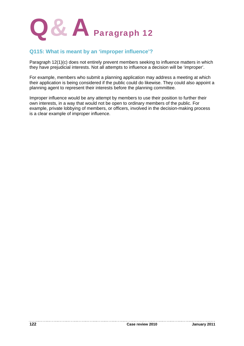

### **Q115: What is meant by an 'improper influence'?**

Paragraph 12(1)(c) does not entirely prevent members seeking to influence matters in which they have prejudicial interests. Not all attempts to influence a decision will be 'improper'.

For example, members who submit a planning application may address a meeting at which their application is being considered if the public could do likewise. They could also appoint a planning agent to represent their interests before the planning committee.

Improper influence would be any attempt by members to use their position to further their own interests, in a way that would not be open to ordinary members of the public. For example, private lobbying of members, or officers, involved in the decision-making process is a clear example of improper influence.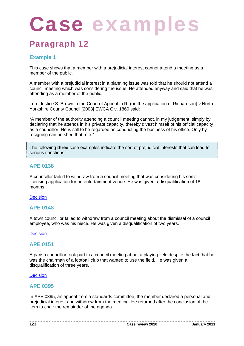# Case examp

### Paragraph 12

### **Example 1**

This case shows that a member with a prejudicial interest cannot attend a meeting as a member of the public.

A member with a prejudicial interest in a planning issue was told that he should not attend a council meeting which was considering the issue. He attended anyway and said that he was attending as a member of the public.

Lord Justice S. Brown in the Court of Appeal in R. (on the application of Richardson) v North Yorkshire County Council [2003] EWCA Civ. 1860 said:

"A member of the authority attending a council meeting cannot, in my judgement, simply by declaring that he attends in his private capacity, thereby divest himself of his official capacity as a councillor. He is still to be regarded as conducting the business of his office. Only by resigning can he shed that role."

The following **three** case examples indicate the sort of prejudicial interests that can lead to serious sanctions.

### **APE 0138**

A councillor failed to withdraw from a council meeting that was considering his son's licensing application for an entertainment venue. He was given a disqualification of 18 months.

#### **Decision**

### **APE 0148**

A town councillor failed to withdraw from a council meeting about the dismissal of a council employee, who was his niece. He was given a disqualification of two years.

#### **Decision**

### **APE 0151**

A parish councillor took part in a council meeting about a playing field despite the fact that he was the chairman of a football club that wanted to use the field. He was given a disqualification of three years.

#### **Decision**

### **APE 0395**

In APE 0395, an appeal from a standards committee, the member declared a personal and prejudicial interest and withdrew from the meeting. He returned after the conclusion of the item to chair the remainder of the agenda.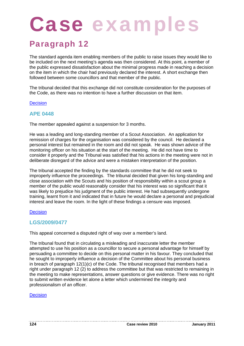# Case examp

### Paragraph 12

The standard agenda item enabling members of the public to raise issues they would like to be included on the next meeting's agenda was then considered. At this point, a member of the public expressed dissatisfaction about the minimal progress made in reaching a decision on the item in which the chair had previously declared the interest. A short exchange then followed between some councillors and that member of the public.

The tribunal decided that this exchange did not constitute consideration for the purposes of the Code, as there was no intention to have a further discussion on that item.

#### **Decision**

### **APE 0448**

The member appealed against a suspension for 3 months.

He was a leading and long-standing member of a Scout Association. An application for remission of charges for the organisation was considered by the council. He declared a personal interest but remained in the room and did not speak. He was shown advice of the monitoring officer on his situation at the start of the meeting. He did not have time to consider it properly and the Tribunal was satisfied that his actions in the meeting were not in deliberate disregard of the advice and were a mistaken interpretation of the position.

The tribunal accepted the finding by the standards committee that he did not seek to improperly influence the proceedings. The tribunal decided that given his long-standing and close association with the Scouts and his position of responsibility within a scout group a member of the public would reasonably consider that his interest was so significant that it was likely to prejudice his judgment of the public interest. He had subsequently undergone training, learnt from it and indicated that in future he would declare a personal and prejudicial interest and leave the room. In the light of these findings a censure was imposed.

#### **Decision**

### **LGS/2009/0477**

This appeal concerned a disputed right of way over a member's land.

The tribunal found that in circulating a misleading and inaccurate letter the member attempted to use his position as a councillor to secure a personal advantage for himself by persuading a committee to decide on this personal matter in his favour. They concluded that he sought to improperly influence a decision of the Committee about his personal business in breach of paragraph 12(1)(c) of the Code. The tribunal recognised that members had a right under paragraph 12 (2) to address the committee but that was restricted to remaining in the meeting to make representations, answer questions or give evidence. There was no right to submit written evidence let alone a letter which undermined the integrity and professionalism of an officer.

#### Decision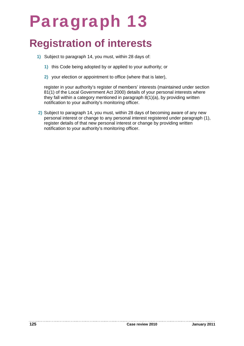### Paragraph 13

### **Registration of interests**

- **1)** Subject to paragraph 14, you must, within 28 days of:
	- **1)** this Code being adopted by or applied to your authority; or
	- **2)** your election or appointment to office (where that is later),

register in your authority's register of members' interests (maintained under section 81(1) of the Local Government Act 2000) details of your personal interests where they fall within a category mentioned in paragraph  $8(1)(a)$ , by providing written notification to your authority's monitoring officer.

**2)** Subject to paragraph 14, you must, within 28 days of becoming aware of any new personal interest or change to any personal interest registered under paragraph (1), register details of that new personal interest or change by providing written notification to your authority's monitoring officer.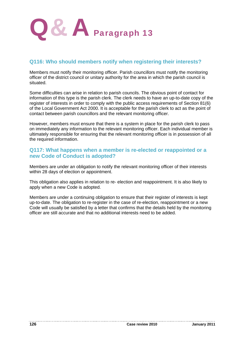

### **Q116: Who should members notify when registering their interests?**

Members must notify their monitoring officer. Parish councillors must notify the monitoring officer of the district council or unitary authority for the area in which the parish council is situated.

Some difficulties can arise in relation to parish councils. The obvious point of contact for information of this type is the parish clerk. The clerk needs to have an up-to-date copy of the register of interests in order to comply with the public access requirements of Section 81(6) of the Local Government Act 2000. It is acceptable for the parish clerk to act as the point of contact between parish councillors and the relevant monitoring officer.

However, members must ensure that there is a system in place for the parish clerk to pass on immediately any information to the relevant monitoring officer. Each individual member is ultimately responsible for ensuring that the relevant monitoring officer is in possession of all the required information.

### **Q117: What happens when a member is re-elected or reappointed or a new Code of Conduct is adopted?**

Members are under an obligation to notify the relevant monitoring officer of their interests within 28 days of election or appointment.

This obligation also applies in relation to re- election and reappointment. It is also likely to apply when a new Code is adopted.

Members are under a continuing obligation to ensure that their register of interests is kept up-to-date. The obligation to re-register in the case of re-election, reappointment or a new Code will usually be satisfied by a letter that confirms that the details held by the monitoring officer are still accurate and that no additional interests need to be added.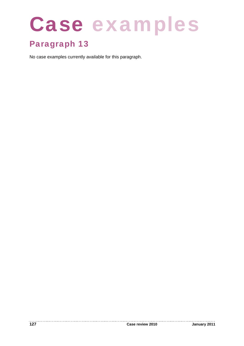# Case examples

### Paragraph 13

No case examples currently available for this paragraph.

. . . . . . . . . . . .

----------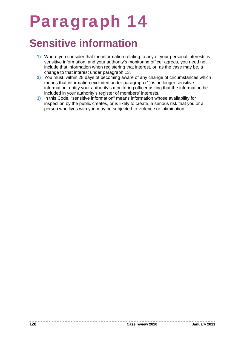### Paragraph 14

### **Sensitive information**

- **1)** Where you consider that the information relating to any of your personal interests is sensitive information, and your authority's monitoring officer agrees, you need not include that information when registering that interest, or, as the case may be, a change to that interest under paragraph 13.
- **2)** You must, within 28 days of becoming aware of any change of circumstances which means that information excluded under paragraph (1) is no longer sensitive information, notify your authority's monitoring officer asking that the information be included in your authority's register of members' interests.
- **3)** In this Code, "sensitive information" means information whose availability for inspection by the public creates, or is likely to create, a serious risk that you or a person who lives with you may be subjected to violence or intimidation.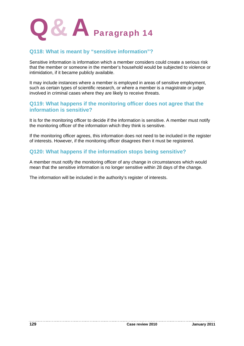

### **Q118: What is meant by "sensitive information"?**

Sensitive information is information which a member considers could create a serious risk that the member or someone in the member's household would be subjected to violence or intimidation, if it became publicly available.

It may include instances where a member is employed in areas of sensitive employment, such as certain types of scientific research, or where a member is a magistrate or judge involved in criminal cases where they are likely to receive threats.

### **Q119: What happens if the monitoring officer does not agree that the information is sensitive?**

It is for the monitoring officer to decide if the information is sensitive. A member must notify the monitoring officer of the information which they think is sensitive.

If the monitoring officer agrees, this information does not need to be included in the register of interests. However, if the monitoring officer disagrees then it must be registered.

### **Q120: What happens if the information stops being sensitive?**

A member must notify the monitoring officer of any change in circumstances which would mean that the sensitive information is no longer sensitive within 28 days of the change.

The information will be included in the authority's register of interests.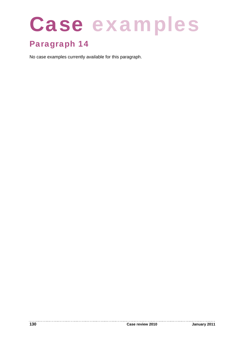# Case examples

### Paragraph 14

No case examples currently available for this paragraph.

. . . . . . . . . . . .

. . . . . . . . . .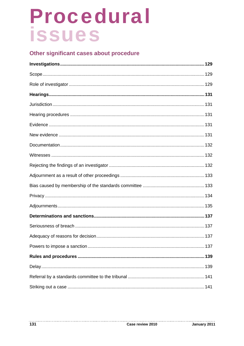### Other significant cases about procedure

. . . . . . . . . . .

--------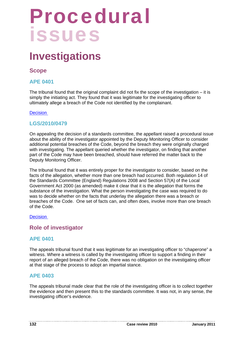### **Investigations**

### **Scope**

### **APE 0401**

The tribunal found that the original complaint did not fix the scope of the investigation  $-$  it is simply the initiating act. They found that it was legitimate for the investigating officer to ultimately allege a breach of the Code not identified by the complainant.

### **Decision**

### **LGS/2010/0479**

On appealing the decision of a standards committee, the appellant raised a procedural issue about the ability of the investigator appointed by the Deputy Monitoring Officer to consider additional potential breaches of the Code, beyond the breach they were originally charged with investigating. The appellant queried whether the investigator, on finding that another part of the Code may have been breached, should have referred the matter back to the Deputy Monitoring Officer.

The tribunal found that it was entirely proper for the investigator to consider, based on the facts of the allegation, whether more than one breach had occurred. Both regulation 14 of the Standards Committee (England) Regulations 2008 and Section 57(A) of the Local Government Act 2000 (as amended) make it clear that it is the allegation that forms the substance of the investigation. What the person investigating the case was required to do was to decide whether on the facts that underlay the allegation there was a breach or breaches of the Code. One set of facts can, and often does, involve more than one breach of the Code.

#### **Decision**

### **Role of investigator**

### **APE 0401**

The appeals tribunal found that it was legitimate for an investigating officer to "chaperone" a witness. Where a witness is called by the investigating officer to support a finding in their report of an alleged breach of the Code, there was no obligation on the investigating officer at that stage of the process to adopt an impartial stance.

### **APE 0403**

The appeals tribunal made clear that the role of the investigating officer is to collect together the evidence and then present this to the standards committee. It was not, in any sense, the investigating officer's evidence.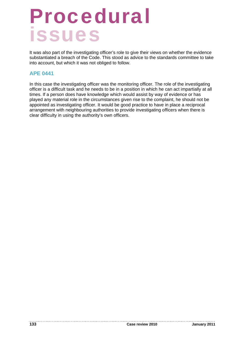It was also part of the investigating officer's role to give their views on whether the evidence substantiated a breach of the Code. This stood as advice to the standards committee to take into account, but which it was not obliged to follow.

### **APE 0441**

In this case the investigating officer was the monitoring officer. The role of the investigating officer is a difficult task and he needs to be in a position in which he can act impartially at all times. If a person does have knowledge which would assist by way of evidence or has played any material role in the circumstances given rise to the complaint, he should not be appointed as investigating officer. It would be good practice to have in place a reciprocal arrangement with neighbouring authorities to provide investigating officers when there is clear difficulty in using the authority's own officers.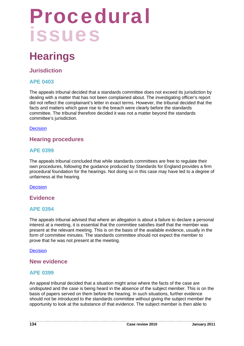### **Hearings**

### **Jurisdiction**

### **APE 0403**

The appeals tribunal decided that a standards committee does not exceed its jurisdiction by dealing with a matter that has not been complained about. The investigating officer's report did not reflect the complainant's letter in exact terms. However, the tribunal decided that the facts and matters which gave rise to the breach were clearly before the standards committee. The tribunal therefore decided it was not a matter beyond the standards committee's jurisdiction.

### **Decision**

### **Hearing procedures**

### **APE 0399**

The appeals tribunal concluded that while standards committees are free to regulate their own procedures, following the guidance produced by Standards for England provides a firm procedural foundation for the hearings. Not doing so in this case may have led to a degree of unfairness at the hearing.

**Decision** 

**Evidence** 

### **APE 0394**

The appeals tribunal advised that where an allegation is about a failure to declare a personal interest at a meeting, it is essential that the committee satisfies itself that the member was present at the relevant meeting. This is on the basis of the available evidence, usually in the form of committee minutes. The standards committee should not expect the member to prove that he was not present at the meeting.

Decision

### **New evidence**

### **APE 0399**

An appeal tribunal decided that a situation might arise where the facts of the case are undisputed and the case is being heard in the absence of the subject member. This is on the basis of papers served on them before the hearing. In such situations, further evidence should not be introduced to the standards committee without giving the subject member the opportunity to look at the substance of that evidence. The subject member is then able to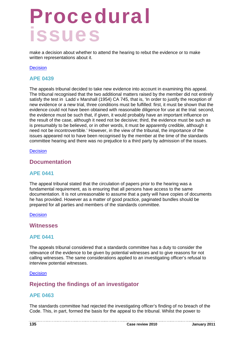make a decision about whether to attend the hearing to rebut the evidence or to make written representations about it.

#### **Decision**

### **APE 0439**

The appeals tribunal decided to take new evidence into account in examining this appeal. The tribunal recognised that the two additional matters raised by the member did not entirely satisfy the test in Ladd v Marshall (1954) CA 745, that is, 'In order to justify the reception of new evidence or a new trial, three conditions must be fulfilled: first, it must be shown that the evidence could not have been obtained with reasonable diligence for use at the trial: second, the evidence must be such that, if given, it would probably have an important influence on the result of the case, although it need not be decisive; third, the evidence must be such as is presumably to be believed, or in other words, it must be apparently credible, although it need not be incontrovertible.' However, in the view of the tribunal, the importance of the issues appeared not to have been recognised by the member at the time of the standards committee hearing and there was no prejudice to a third party by admission of the issues.

Decision

### **Documentation**

### **APE 0441**

The appeal tribunal stated that the circulation of papers prior to the hearing was a fundamental requirement, as is ensuring that all persons have access to the same documentation. It is not unreasonable to assume that a party will have copies of documents he has provided. However as a matter of good practice, paginated bundles should be prepared for all parties and members of the standards committee.

#### **Decision**

### **Witnesses**

### **APE 0441**

The appeals tribunal considered that a standards committee has a duty to consider the relevance of the evidence to be given by potential witnesses and to give reasons for not calling witnesses. The same considerations applied to an investigating officer's refusal to interview potential witnesses.

#### **Decision**

### **Rejecting the findings of an investigator**

### **APE 0463**

The standards committee had rejected the investigating officer's finding of no breach of the Code. This, in part, formed the basis for the appeal to the tribunal. Whilst the power to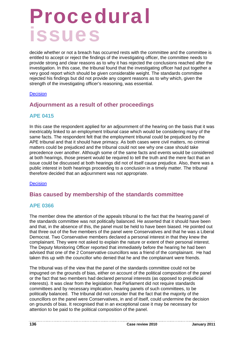decide whether or not a breach has occurred rests with the committee and the committee is entitled to accept or reject the findings of the investigating officer, the committee needs to provide strong and clear reasons as to why it has rejected the conclusions reached after the investigation. In this case, the tribunal found that the investigating officer had put together a very good report which should be given considerable weight. The standards committee rejected his findings but did not provide any cogent reasons as to why which, given the strength of the investigating officer's reasoning, was essential.

#### **Decision**

### **Adjournment as a result of other proceedings**

### **APE 0415**

In this case the respondent applied for an adjournment of the hearing on the basis that it was inextricably linked to an employment tribunal case which would be considering many of the same facts. The respondent felt that the employment tribunal could be prejudiced by the APE tribunal and that it should have primacy. As both cases were civil matters, no criminal matters could be prejudiced and the tribunal could not see why one case should take precedence over another. Although some of the same facts and events would be considered at both hearings, those present would be required to tell the truth and the mere fact that an issue could be discussed at both hearings did not of itself cause prejudice. Also, there was a public interest in both hearings proceeding to a conclusion in a timely matter. The tribunal therefore decided that an adjournment was not appropriate.

### **Decision**

### **Bias caused by membership of the standards committee**

### **APE 0366**

The member drew the attention of the appeals tribunal to the fact that the hearing panel of the standards committee was not politically balanced. He asserted that it should have been and that, in the absence of this, the panel must be held to have been biased. He pointed out that three out of the five members of the panel were Conservatives and that he was a Liberal Democrat. Two Conservative members declared a personal interest in that they knew the complainant. They were not asked to explain the nature or extent of their personal interest. The Deputy Monitoring Officer reported that immediately before the hearing he had been advised that one of the 2 Conservative councillors was a friend of the complainant. He had taken this up with the councillor who denied that he and the complainant were friends.

The tribunal was of the view that the panel of the standards committee could not be impugned on the grounds of bias, either on account of the political composition of the panel or the fact that two members had declared personal interests (as opposed to prejudicial interests). It was clear from the legislation that Parliament did not require standards committees and by necessary implication, hearing panels of such committees, to be politically balanced. The tribunal did not consider that the fact that the majority of the councillors on the panel were Conservatives, in and of itself, could undermine the decision on grounds of bias. It recognised that in an exceptional case it may be necessary for attention to be paid to the political composition of the panel.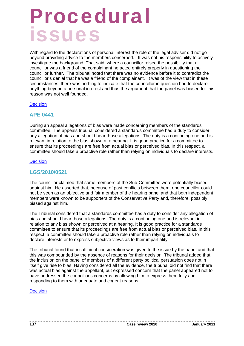With regard to the declarations of personal interest the role of the legal adviser did not go beyond providing advice to the members concerned. It was not his responsibility to actively investigate the background. That said, where a councillor raised the possibility that a councillor was a friend of the complainant he acted entirely properly in questioning the councillor further. The tribunal noted that there was no evidence before it to contradict the councillor's denial that he was a friend of the complainant. It was of the view that in these circumstances, there was nothing to indicate that the councillor in question had to declare anything beyond a personal interest and thus the argument that the panel was biased for this reason was not well founded.

#### **Decision**

### **APE 0441**

During an appeal allegations of bias were made concerning members of the standards committee. The appeals tribunal considered a standards committee had a duty to consider any allegation of bias and should hear those allegations. The duty is a continuing one and is relevant in relation to the bias shown at a hearing. It is good practice for a committee to ensure that its proceedings are free from actual bias or perceived bias. In this respect, a committee should take a proactive role rather than relying on individuals to declare interests.

#### **Decision**

### **LGS/2010/0521**

The councillor claimed that some members of the Sub-Committee were potentially biased against him. He asserted that, because of past conflicts between them, one councillor could not be seen as an objective and fair member of the hearing panel and that both independent members were known to be supporters of the Conservative Party and, therefore, possibly biased against him.

The Tribunal considered that a standards committee has a duty to consider any allegation of bias and should hear those allegations. The duty is a continuing one and is relevant in relation to any bias shown or perceived at a hearing. It is good practice for a standards committee to ensure that its proceedings are free from actual bias or perceived bias. In this respect, a committee should take a proactive role rather than relying on individuals to declare interests or to express subjective views as to their impartiality.

The tribunal found that insufficient consideration was given to the issue by the panel and that this was compounded by the absence of reasons for their decision. The tribunal added that the inclusion on the panel of members of a different party political persuasion does not in itself give rise to bias. Having considered all the evidence, the tribunal did not find that there was actual bias against the appellant, but expressed concern that the panel appeared not to have addressed the councillor's concerns by allowing him to express them fully and responding to them with adequate and cogent reasons.

**Decision**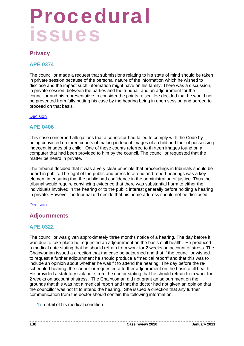### **Privacy**

### **APE 0374**

The councillor made a request that submissions relating to his state of mind should be taken in private session because of the personal nature of the information which he wished to disclose and the impact such information might have on his family. There was a discussion, in private session, between the parties and the tribunal, and an adjournment for the councillor and his representative to consider the points raised. He decided that he would not be prevented from fully putting his case by the hearing being in open session and agreed to proceed on that basis.

### **Decision**

### **APE 0406**

This case concerned allegations that a councillor had failed to comply with the Code by being convicted on three counts of making indecent images of a child and four of possessing indecent images of a child. One of these counts referred to thirteen images found on a computer that had been provided to him by the council. The councillor requested that the matter be heard in private.

The tribunal decided that it was a very clear principle that proceedings in tribunals should be heard in public. The right of the public and press to attend and report hearings was a key element in ensuring that the public had confidence in the administration of justice. Thus the tribunal would require convincing evidence that there was substantial harm to either the individuals involved in the hearing or to the public interest generally before holding a hearing in private. However the tribunal did decide that his home address should not be disclosed.

### **Decision**

### **Adjournments**

### **APE 0322**

The councillor was given approximately three months notice of a hearing. The day before it was due to take place he requested an adjournment on the basis of ill health. He produced a medical note stating that he should refrain from work for 2 weeks on account of stress. The Chairwoman issued a direction that the case be adjourned and that if the councillor wished to request a further adjournment he should produce a "medical report" and that this was to include an opinion about whether he was fit to attend the hearing. The day before the rescheduled hearing the councillor requested a further adjournment on the basis of ill health. He provided a statutory sick note from the doctor stating that he should refrain from work for 2 weeks on account of stress. The Chairwoman did not grant an adjournment on the grounds that this was not a medical report and that the doctor had not given an opinion that the councillor was not fit to attend the hearing. She issued a direction that any further communication from the doctor should contain the following information:

**1)** detail of his medical condition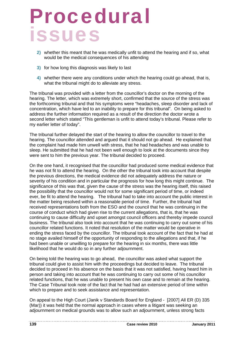- **2)** whether this meant that he was medically unfit to attend the hearing and if so, what would be the medical consequences of his attending
- **3)** for how long this diagnosis was likely to last
- **4)** whether there were any conditions under which the hearing could go ahead, that is, what the tribunal might do to alleviate any stress.

The tribunal was provided with a letter from the councillor's doctor on the morning of the hearing. The letter, which was extremely short, confirmed that the source of the stress was the forthcoming tribunal and that his symptoms were "headaches, sleep disorder and lack of concentration, which have led to an inability to prepare for this tribunal". On being asked to address the further information required as a result of the direction the doctor wrote a second letter which stated "This gentleman is unfit to attend today's tribunal. Please refer to my earlier letter of today".

The tribunal further delayed the start of the hearing to allow the councillor to travel to the hearing. The councillor attended and argued that it should not go ahead. He explained that the complaint had made him unwell with stress, that he had headaches and was unable to sleep. He submitted that he had not been well enough to look at the documents since they were sent to him the previous year. The tribunal decided to proceed.

On the one hand, it recognised that the councillor had produced some medical evidence that he was not fit to attend the hearing. On the other the tribunal took into account that despite the previous directions, the medical evidence did not adequately address the nature or severity of his condition and in particular the prognosis for how long this might continue. The significance of this was that, given the cause of the stress was the hearing itself, this raised the possibility that the councillor would not for some significant period of time, or indeed ever, be fit to attend the hearing. The tribunal had to take into account the public interest in the matter being resolved within a reasonable period of time. Further, the tribunal had received representations both from the ESO and the council that he was continuing in the course of conduct which had given rise to the current allegations, that is, that he was continuing to cause difficulty and upset amongst council officers and thereby impede council business. The tribunal also took into account that he was continuing to carry out some of his councillor related functions. It noted that resolution of the matter would be operative in ending the stress faced by the councillor. The tribunal took account of the fact that he had at no stage availed himself of the opportunity of responding to the allegations and that, if he had been unable or unwilling to prepare for the hearing in six months, there was little likelihood that he would do so in any further adjournment.

On being told the hearing was to go ahead, the councillor was asked what support the tribunal could give to assist him with the proceedings but decided to leave. The tribunal decided to proceed in his absence on the basis that it was not satisfied, having heard him in person and taking into account that he was continuing to carry out some of his councillor related functions, that he was unable to present his own case and to remain at the hearing. The Case Tribunal took note of the fact that he had had an extensive period of time within which to prepare and to seek assistance and representation.

On appeal to the High Court (Janik v Standards Board for England - [2007] All ER (D) 335 (Mar)) it was held that the normal approach in cases where a litigant was seeking an adjournment on medical grounds was to allow such an adjournment, unless strong facts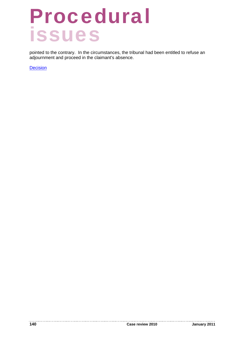pointed to the contrary. In the circumstances, the tribunal had been entitled to refuse an adjournment and proceed in the claimant's absence.

**Decision**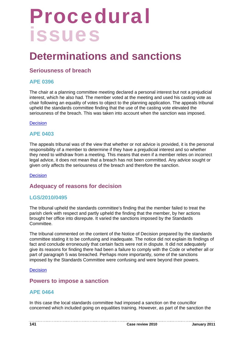### **Determinations and sanctions**

### **Seriousness of breach**

### **APE 0396**

The chair at a planning committee meeting declared a personal interest but not a prejudicial interest, which he also had. The member voted at the meeting and used his casting vote as chair following an equality of votes to object to the planning application. The appeals tribunal upheld the standards committee finding that the use of the casting vote elevated the seriousness of the breach. This was taken into account when the sanction was imposed.

#### **Decision**

### **APE 0403**

The appeals tribunal was of the view that whether or not advice is provided, it is the personal responsibility of a member to determine if they have a prejudicial interest and so whether they need to withdraw from a meeting. This means that even if a member relies on incorrect legal advice, it does not mean that a breach has not been committed. Any advice sought or given only affects the seriousness of the breach and therefore the sanction.

#### **Decision**

### **Adequacy of reasons for decision**

### **LGS/2010/0495**

The tribunal upheld the standards committee's finding that the member failed to treat the parish clerk with respect and partly upheld the finding that the member, by her actions brought her office into disrepute. It varied the sanctions imposed by the Standards Committee.

The tribunal commented on the content of the Notice of Decision prepared by the standards committee stating it to be confusing and inadequate. The notice did not explain its findings of fact and conclude erroneously that certain facts were not in dispute. It did not adequately give its reasons for finding there had been a failure to comply with the Code or whether all or part of paragraph 5 was breached. Perhaps more importantly, some of the sanctions imposed by the Standards Committee were confusing and were beyond their powers.

#### **Decision**

### **Powers to impose a sanction**

### **APE 0464**

In this case the local standards committee had imposed a sanction on the councillor concerned which included going on equalities training. However, as part of the sanction the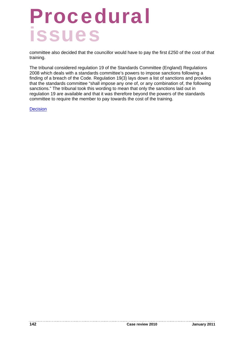committee also decided that the councillor would have to pay the first £250 of the cost of that training.

The tribunal considered regulation 19 of the Standards Committee (England) Regulations 2008 which deals with a standards committee's powers to impose sanctions following a finding of a breach of the Code. Regulation 19(3) lays down a list of sanctions and provides that the standards committee "shall impose any one of, or any combination of, the following sanctions." The tribunal took this wording to mean that only the sanctions laid out in regulation 19 are available and that it was therefore beyond the powers of the standards committee to require the member to pay towards the cost of the training.

**Decision**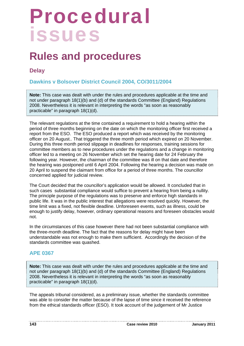### **Rules and procedures**

### **Delay**

### **Dawkins v Bolsover District Council 2004, CO/3011/2004**

**Note:** This case was dealt with under the rules and procedures applicable at the time and not under paragraph 18(1)(b) and (d) of the standards Committee (England) Regulations 2008. Nevertheless it is relevant in interpreting the words "as soon as reasonably practicable" in paragraph 18(1)(d).

The relevant regulations at the time contained a requirement to hold a hearing within the period of three months beginning on the date on which the monitoring officer first received a report from the ESO. The ESO produced a report which was received by the monitoring officer on 20 August.. That triggered the three month period which expired on 20 November. During this three month period slippage in deadlines for responses, training sessions for committee members as to new procedures under the regulations and a change in monitoring officer led to a meeting on 26 November which set the hearing date for 24 February the following year. However, the chairman of the committee was ill on that date and therefore the hearing was postponed until 6 April 2004. Following the hearing a decision was made on 20 April to suspend the claimant from office for a period of three months. The councillor concerned applied for judicial review.

The Court decided that the councillor's application would be allowed. It concluded that in such cases substantial compliance would suffice to prevent a hearing from being a nullity. The principle purpose of the regulations was to preserve and enforce high standards in public life. It was in the public interest that allegations were resolved quickly. However, the time limit was a fixed, not flexible deadline. Unforeseen events, such as illness, could be enough to justify delay, however, ordinary operational reasons and foreseen obstacles would not.

In the circumstances of this case however there had not been substantial compliance with the three-month deadline. The fact that the reasons for delay might have been understandable was not enough to make them sufficient. Accordingly the decision of the standards committee was quashed.

### **APE 0367**

**Note:** This case was dealt with under the rules and procedures applicable at the time and not under paragraph 18(1)(b) and (d) of the standards Committee (England) Regulations 2008. Nevertheless it is relevant in interpreting the words "as soon as reasonably practicable" in paragraph 18(1)(d).

The appeals tribunal considered, as a preliminary issue, whether the standards committee was able to consider the matter because of the lapse of time since it received the reference from the ethical standards officer (ESO). It took account of the judgement of Mr Justice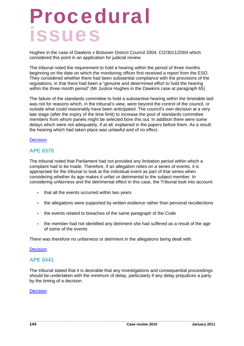Hughes in the case of Dawkins v Bolsover District Council 2004, CO/3011/2004 which considered this point in an application for judicial review.

The tribunal noted the requirement to hold a hearing within the period of three months beginning on the date on which the monitoring officer first received a report from the ESO. They considered whether there had been substantial compliance with the provisions of the regulations, in that there had been a "genuine and determined effort to hold the hearing within the three month period" (Mr Justice Hughes in the Dawkins case at paragraph 65).

The failure of the standards committee to hold a substantive hearing within the timetable laid was not for reasons which, in the tribunal's view, were beyond the control of the council, or outside what could reasonably have been anticipated. The council's own decision at a very late stage (after the expiry of the time limit) to increase the pool of standards committee members from whom panels might be selected bore this out. In addition there were some delays which were not adequately, if at all, explained in the papers before them. As a result the hearing which had taken place was unlawful and of no effect.

#### **Decision**

### **APE 0378**

The tribunal noted that Parliament had not provided any limitation period within which a complaint had to be made. Therefore, if an allegation relies on a series of events, it is appropriate for the tribunal to look at the individual event as part of that series when considering whether its age makes it unfair or detrimental to the subject member. In considering unfairness and the detrimental effect in this case, the Tribunal took into account:

- that all the events occurred within two years
- the allegations were supported by written evidence rather than personal recollections
- the events related to breaches of the same paragraph of the Code
- the member had not identified any detriment she had suffered as a result of the age of some of the events

There was therefore no unfairness or detriment in the allegations being dealt with.

#### **Decision**

### **APE 0441**

The tribunal stated that it is desirable that any investigations and consequential proceedings should be undertaken with the minimum of delay, particularly if any delay prejudices a party by the timing of a decision.

#### Decision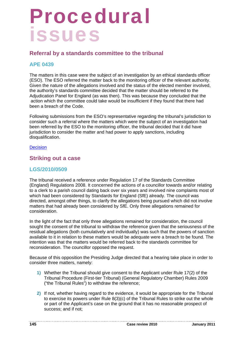# Procedural issues

## **Referral by a standards committee to the tribunal**

### **APE 0439**

The matters in this case were the subject of an investigation by an ethical standards officer (ESO). The ESO referred the matter back to the monitoring officer of the relevant authority. Given the nature of the allegations involved and the status of the elected member involved, the authority's standards committee decided that the matter should be referred to the Adjudication Panel for England (as was then). This was because they concluded that the action which the committee could take would be insufficient if they found that there had been a breach of the Code.

Following submissions from the ESO's representative regarding the tribunal's jurisdiction to consider such a referral where the matters which were the subject of an investigation had been referred by the ESO to the monitoring officer, the tribunal decided that it did have jurisdiction to consider the matter and had power to apply sanctions, including disqualification.

#### **Decision**

### **Striking out a case**

## **LGS/2010/0509**

The tribunal received a reference under Regulation 17 of the Standards Committee (England) Regulations 2008. It concerned the actions of a councillor towards and/or relating to a clerk to a parish council dating back over six years and involved nine complaints most of which had been considered by Standards for England (SfE) already. The council was directed, amongst other things, to clarify the allegations being pursued which did not involve matters that had already been considered by SfE. Only three allegations remained for consideration.

In the light of the fact that only three allegations remained for consideration, the council sought the consent of the tribunal to withdraw the reference given that the seriousness of the residual allegations (both cumulatively and individually) was such that the powers of sanction available to it in relation to these matters would be adequate were a breach to be found. The intention was that the matters would be referred back to the standards committee for reconsideration. The councillor opposed the request.

Because of this opposition the Presiding Judge directed that a hearing take place in order to consider three matters, namely:

- **1)** Whether the Tribunal should give consent to the Applicant under Rule 17(2) of the Tribunal Procedure (First-tier Tribunal) (General Regulatory Chamber) Rules 2009 ("the Tribunal Rules") to withdraw the reference;
- **2)** If not, whether having regard to the evidence, it would be appropriate for the Tribunal to exercise its powers under Rule 8(3)(c) of the Tribunal Rules to strike out the whole or part of the Applicant's case on the ground that it has no reasonable prospect of success; and if not;